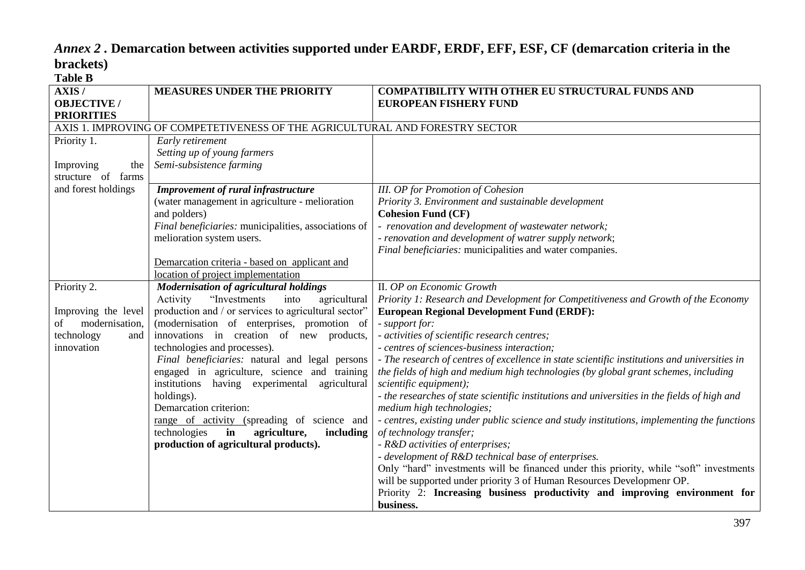# *Annex 2 .* **Demarcation between activities supported under EARDF, ERDF, EFF, ESF, CF (demarcation criteria in the brackets) Table B**

**business.**

| 1 U.VIV 11                                       |                                                                              |                                                                                              |
|--------------------------------------------------|------------------------------------------------------------------------------|----------------------------------------------------------------------------------------------|
| AXIS/<br><b>OBJECTIVE</b> /<br><b>PRIORITIES</b> | <b>MEASURES UNDER THE PRIORITY</b>                                           | <b>COMPATIBILITY WITH OTHER EU STRUCTURAL FUNDS AND</b><br><b>EUROPEAN FISHERY FUND</b>      |
|                                                  | AXIS 1. IMPROVING OF COMPETETIVENESS OF THE AGRICULTURAL AND FORESTRY SECTOR |                                                                                              |
| Priority 1.                                      | Early retirement                                                             |                                                                                              |
|                                                  | Setting up of young farmers                                                  |                                                                                              |
| Improving<br>the                                 | Semi-subsistence farming                                                     |                                                                                              |
| structure of<br>farms                            |                                                                              |                                                                                              |
| and forest holdings                              | Improvement of rural infrastructure                                          | <b>III.</b> OP for Promotion of Cohesion                                                     |
|                                                  | (water management in agriculture - melioration                               | Priority 3. Environment and sustainable development                                          |
|                                                  | and polders)                                                                 | <b>Cohesion Fund (CF)</b>                                                                    |
|                                                  | Final beneficiaries: municipalities, associations of                         | - renovation and development of wastewater network;                                          |
|                                                  | melioration system users.                                                    | - renovation and development of watrer supply network;                                       |
|                                                  |                                                                              | Final beneficiaries: municipalities and water companies.                                     |
|                                                  | Demarcation criteria - based on applicant and                                |                                                                                              |
|                                                  | location of project implementation                                           |                                                                                              |
| Priority 2.                                      | <b>Modernisation of agricultural holdings</b>                                | II. OP on Economic Growth                                                                    |
|                                                  | "Investments<br>agricultural<br>Activity<br>into                             | Priority 1: Research and Development for Competitiveness and Growth of the Economy           |
| Improving the level                              | production and / or services to agricultural sector"                         | <b>European Regional Development Fund (ERDF):</b>                                            |
| modernisation,<br>of                             | (modernisation of enterprises, promotion of                                  | - support for:                                                                               |
| technology<br>and                                | innovations in creation of new products,                                     | - activities of scientific research centres;                                                 |
| innovation                                       | technologies and processes).                                                 | - centres of sciences-business interaction;                                                  |
|                                                  | Final beneficiaries: natural and legal persons                               | - The research of centres of excellence in state scientific institutions and universities in |
|                                                  | engaged in agriculture, science and training                                 | the fields of high and medium high technologies (by global grant schemes, including          |
|                                                  | institutions having experimental<br>agricultural                             | scientific equipment);                                                                       |
|                                                  | holdings).                                                                   | - the researches of state scientific institutions and universities in the fields of high and |
|                                                  | Demarcation criterion:                                                       | medium high technologies;                                                                    |
|                                                  | range of activity (spreading of science and                                  | - centres, existing under public science and study institutions, implementing the functions  |
|                                                  | technologies<br>in<br>agriculture,<br>including                              | of technology transfer;                                                                      |
|                                                  | production of agricultural products).                                        | - R&D activities of enterprises;                                                             |
|                                                  |                                                                              | - development of R&D technical base of enterprises.                                          |
|                                                  |                                                                              | Only "hard" investments will be financed under this priority, while "soft" investments       |
|                                                  |                                                                              | will be supported under priority 3 of Human Resources Developmenr OP.                        |

Priority 2: **Increasing business productivity and improving environment for**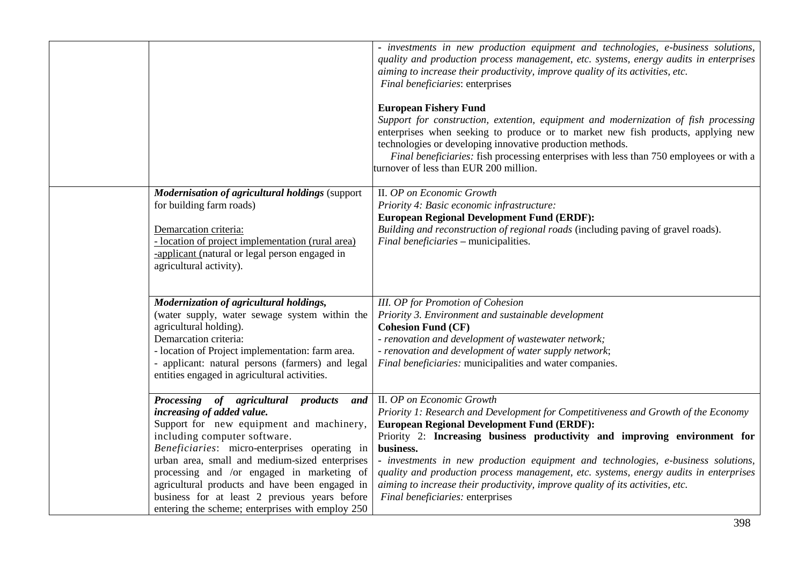|                                                                                                                                                                                                                                                                                                                                                                                                                                                           | - investments in new production equipment and technologies, e-business solutions,<br>quality and production process management, etc. systems, energy audits in enterprises<br>aiming to increase their productivity, improve quality of its activities, etc.<br>Final beneficiaries: enterprises                                                                                                                                                                                                                                                                    |
|-----------------------------------------------------------------------------------------------------------------------------------------------------------------------------------------------------------------------------------------------------------------------------------------------------------------------------------------------------------------------------------------------------------------------------------------------------------|---------------------------------------------------------------------------------------------------------------------------------------------------------------------------------------------------------------------------------------------------------------------------------------------------------------------------------------------------------------------------------------------------------------------------------------------------------------------------------------------------------------------------------------------------------------------|
|                                                                                                                                                                                                                                                                                                                                                                                                                                                           | <b>European Fishery Fund</b><br>Support for construction, extention, equipment and modernization of fish processing<br>enterprises when seeking to produce or to market new fish products, applying new<br>technologies or developing innovative production methods.<br>Final beneficiaries: fish processing enterprises with less than 750 employees or with a<br>turnover of less than EUR 200 million.                                                                                                                                                           |
| <b>Modernisation of agricultural holdings (support)</b><br>for building farm roads)<br>Demarcation criteria:<br>- location of project implementation (rural area)<br>-applicant (natural or legal person engaged in<br>agricultural activity).                                                                                                                                                                                                            | II. OP on Economic Growth<br>Priority 4: Basic economic infrastructure:<br><b>European Regional Development Fund (ERDF):</b><br>Building and reconstruction of regional roads (including paving of gravel roads).<br>Final beneficiaries - municipalities.                                                                                                                                                                                                                                                                                                          |
| Modernization of agricultural holdings,<br>(water supply, water sewage system within the<br>agricultural holding).<br>Demarcation criteria:<br>- location of Project implementation: farm area.<br>- applicant: natural persons (farmers) and legal<br>entities engaged in agricultural activities.                                                                                                                                                       | <b>III.</b> OP for Promotion of Cohesion<br>Priority 3. Environment and sustainable development<br><b>Cohesion Fund (CF)</b><br>- renovation and development of wastewater network;<br>- renovation and development of water supply network;<br>Final beneficiaries: municipalities and water companies.                                                                                                                                                                                                                                                            |
| Processing of agricultural products and<br>increasing of added value.<br>Support for new equipment and machinery,<br>including computer software.<br>Beneficiaries: micro-enterprises operating in<br>urban area, small and medium-sized enterprises<br>processing and /or engaged in marketing of<br>agricultural products and have been engaged in<br>business for at least 2 previous years before<br>entering the scheme; enterprises with employ 250 | II. OP on Economic Growth<br>Priority 1: Research and Development for Competitiveness and Growth of the Economy<br><b>European Regional Development Fund (ERDF):</b><br>Priority 2: Increasing business productivity and improving environment for<br>business.<br>- investments in new production equipment and technologies, e-business solutions,<br>quality and production process management, etc. systems, energy audits in enterprises<br>aiming to increase their productivity, improve quality of its activities, etc.<br>Final beneficiaries: enterprises |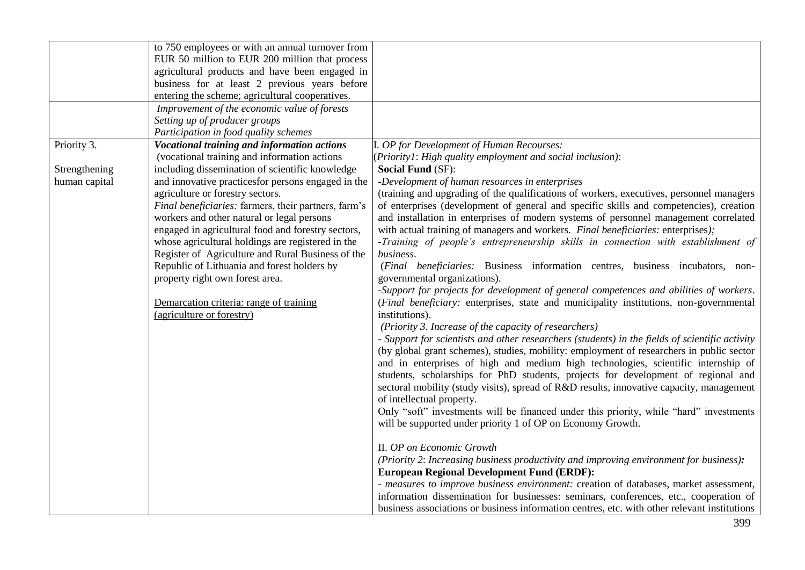|               | to 750 employees or with an annual turnover from     |                                                                                                |
|---------------|------------------------------------------------------|------------------------------------------------------------------------------------------------|
|               | EUR 50 million to EUR 200 million that process       |                                                                                                |
|               | agricultural products and have been engaged in       |                                                                                                |
|               |                                                      |                                                                                                |
|               | business for at least 2 previous years before        |                                                                                                |
|               | entering the scheme; agricultural cooperatives.      |                                                                                                |
|               | Improvement of the economic value of forests         |                                                                                                |
|               | Setting up of producer groups                        |                                                                                                |
|               | Participation in food quality schemes                |                                                                                                |
| Priority 3.   | Vocational training and information actions          | I. OP for Development of Human Recourses:                                                      |
|               | (vocational training and information actions         | (Priority1: High quality employment and social inclusion):                                     |
| Strengthening | including dissemination of scientific knowledge      | <b>Social Fund (SF):</b>                                                                       |
| human capital | and innovative practices for persons engaged in the  | -Development of human resources in enterprises                                                 |
|               | agriculture or forestry sectors.                     | (training and upgrading of the qualifications of workers, executives, personnel managers       |
|               | Final beneficiaries: farmers, their partners, farm's | of enterprises (development of general and specific skills and competencies), creation         |
|               | workers and other natural or legal persons           | and installation in enterprises of modern systems of personnel management correlated           |
|               | engaged in agricultural food and forestry sectors,   | with actual training of managers and workers. Final beneficiaries: enterprises);               |
|               | whose agricultural holdings are registered in the    | -Training of people's entrepreneurship skills in connection with establishment of              |
|               | Register of Agriculture and Rural Business of the    | business.                                                                                      |
|               | Republic of Lithuania and forest holders by          | (Final beneficiaries: Business information centres, business incubators, non-                  |
|               | property right own forest area.                      | governmental organizations).                                                                   |
|               |                                                      | -Support for projects for development of general competences and abilities of workers.         |
|               | Demarcation criteria: range of training              | (Final beneficiary: enterprises, state and municipality institutions, non-governmental         |
|               | (agriculture or forestry)                            | institutions).                                                                                 |
|               |                                                      | (Priority 3. Increase of the capacity of researchers)                                          |
|               |                                                      | - Support for scientists and other researchers (students) in the fields of scientific activity |
|               |                                                      | (by global grant schemes), studies, mobility: employment of researchers in public sector       |
|               |                                                      | and in enterprises of high and medium high technologies, scientific internship of              |
|               |                                                      | students, scholarships for PhD students, projects for development of regional and              |
|               |                                                      | sectoral mobility (study visits), spread of R&D results, innovative capacity, management       |
|               |                                                      | of intellectual property.                                                                      |
|               |                                                      | Only "soft" investments will be financed under this priority, while "hard" investments         |
|               |                                                      | will be supported under priority 1 of OP on Economy Growth.                                    |
|               |                                                      |                                                                                                |
|               |                                                      | II. OP on Economic Growth                                                                      |
|               |                                                      | (Priority 2: Increasing business productivity and improving environment for business):         |
|               |                                                      | <b>European Regional Development Fund (ERDF):</b>                                              |
|               |                                                      | - measures to improve business environment: creation of databases, market assessment,          |
|               |                                                      | information dissemination for businesses: seminars, conferences, etc., cooperation of          |
|               |                                                      | business associations or business information centres, etc. with other relevant institutions   |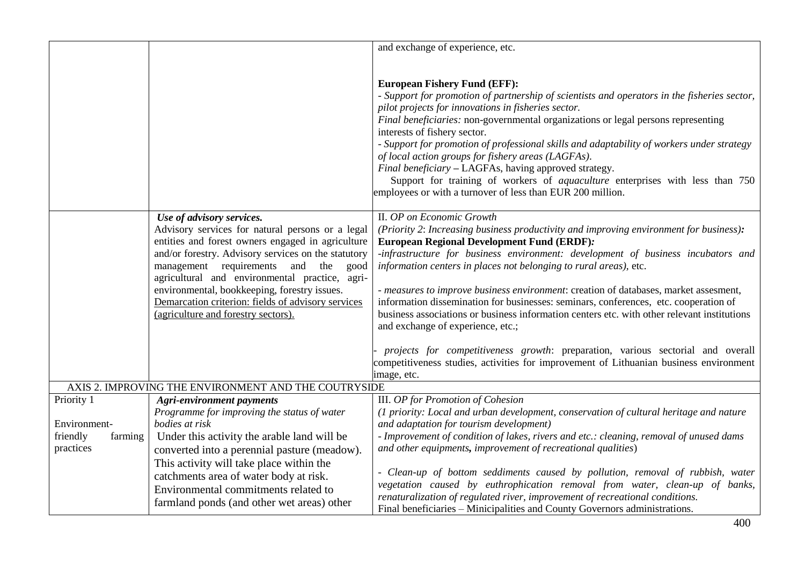|                     |                                                                                                       | and exchange of experience, etc.                                                                                                            |
|---------------------|-------------------------------------------------------------------------------------------------------|---------------------------------------------------------------------------------------------------------------------------------------------|
|                     |                                                                                                       |                                                                                                                                             |
|                     |                                                                                                       |                                                                                                                                             |
|                     |                                                                                                       | <b>European Fishery Fund (EFF):</b>                                                                                                         |
|                     |                                                                                                       | - Support for promotion of partnership of scientists and operators in the fisheries sector,                                                 |
|                     |                                                                                                       | pilot projects for innovations in fisheries sector.                                                                                         |
|                     |                                                                                                       | Final beneficiaries: non-governmental organizations or legal persons representing<br>interests of fishery sector.                           |
|                     |                                                                                                       | - Support for promotion of professional skills and adaptability of workers under strategy                                                   |
|                     |                                                                                                       | of local action groups for fishery areas (LAGFAs).                                                                                          |
|                     |                                                                                                       | Final beneficiary - LAGFAs, having approved strategy.                                                                                       |
|                     |                                                                                                       | Support for training of workers of <i>aquaculture</i> enterprises with less than 750                                                        |
|                     |                                                                                                       | employees or with a turnover of less than EUR 200 million.                                                                                  |
|                     |                                                                                                       |                                                                                                                                             |
|                     | Use of advisory services.                                                                             | II. OP on Economic Growth                                                                                                                   |
|                     | Advisory services for natural persons or a legal<br>entities and forest owners engaged in agriculture | (Priority 2: Increasing business productivity and improving environment for business):<br><b>European Regional Development Fund (ERDF):</b> |
|                     | and/or forestry. Advisory services on the statutory                                                   | -infrastructure for business environment: development of business incubators and                                                            |
|                     | management requirements and the<br>good                                                               | information centers in places not belonging to rural areas), etc.                                                                           |
|                     | agricultural and environmental practice, agri-                                                        |                                                                                                                                             |
|                     | environmental, bookkeeping, forestry issues.                                                          | - measures to improve business environment: creation of databases, market assesment,                                                        |
|                     | Demarcation criterion: fields of advisory services                                                    | information dissemination for businesses: seminars, conferences, etc. cooperation of                                                        |
|                     | (agriculture and forestry sectors).                                                                   | business associations or business information centers etc. with other relevant institutions                                                 |
|                     |                                                                                                       | and exchange of experience, etc.;                                                                                                           |
|                     |                                                                                                       | projects for competitiveness growth: preparation, various sectorial and overall                                                             |
|                     |                                                                                                       | competitiveness studies, activities for improvement of Lithuanian business environment                                                      |
|                     |                                                                                                       | image, etc.                                                                                                                                 |
|                     | AXIS 2. IMPROVING THE ENVIRONMENT AND THE COUTRYSIDE                                                  |                                                                                                                                             |
| Priority 1          | <b>Agri-environment payments</b>                                                                      | III. OP for Promotion of Cohesion                                                                                                           |
|                     | Programme for improving the status of water                                                           | (1 priority: Local and urban development, conservation of cultural heritage and nature                                                      |
| Environment-        | bodies at risk                                                                                        | and adaptation for tourism development)                                                                                                     |
| friendly<br>farming | Under this activity the arable land will be                                                           | - Improvement of condition of lakes, rivers and etc.: cleaning, removal of unused dams                                                      |
| practices           | converted into a perennial pasture (meadow).                                                          | and other equipments, improvement of recreational qualities)                                                                                |
|                     | This activity will take place within the                                                              | - Clean-up of bottom seddiments caused by pollution, removal of rubbish, water                                                              |
|                     | catchments area of water body at risk.                                                                | vegetation caused by euthrophication removal from water, clean-up of banks,                                                                 |
|                     | Environmental commitments related to                                                                  | renaturalization of regulated river, improvement of recreational conditions.                                                                |
|                     | farmland ponds (and other wet areas) other                                                            | Final beneficiaries - Minicipalities and County Governors administrations.                                                                  |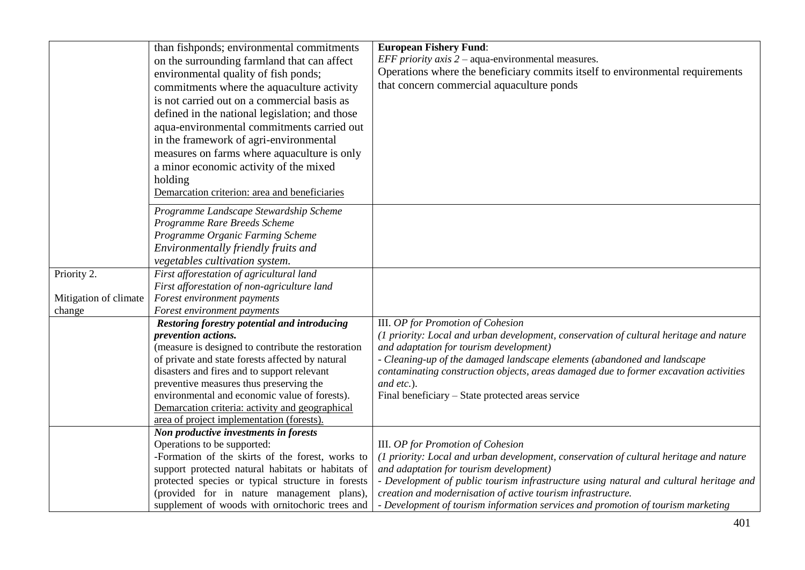|                                 | than fishponds; environmental commitments<br>on the surrounding farmland that can affect<br>environmental quality of fish ponds;<br>commitments where the aquaculture activity<br>is not carried out on a commercial basis as<br>defined in the national legislation; and those<br>aqua-environmental commitments carried out<br>in the framework of agri-environmental<br>measures on farms where aquaculture is only<br>a minor economic activity of the mixed | <b>European Fishery Fund:</b><br><i>EFF priority axis</i> $2$ – aqua-environmental measures.<br>Operations where the beneficiary commits itself to environmental requirements<br>that concern commercial aquaculture ponds                                                                                                                                                                                           |
|---------------------------------|------------------------------------------------------------------------------------------------------------------------------------------------------------------------------------------------------------------------------------------------------------------------------------------------------------------------------------------------------------------------------------------------------------------------------------------------------------------|----------------------------------------------------------------------------------------------------------------------------------------------------------------------------------------------------------------------------------------------------------------------------------------------------------------------------------------------------------------------------------------------------------------------|
|                                 | holding<br>Demarcation criterion: area and beneficiaries                                                                                                                                                                                                                                                                                                                                                                                                         |                                                                                                                                                                                                                                                                                                                                                                                                                      |
|                                 | Programme Landscape Stewardship Scheme<br>Programme Rare Breeds Scheme<br>Programme Organic Farming Scheme<br>Environmentally friendly fruits and<br>vegetables cultivation system.                                                                                                                                                                                                                                                                              |                                                                                                                                                                                                                                                                                                                                                                                                                      |
| Priority 2.                     | First afforestation of agricultural land<br>First afforestation of non-agriculture land                                                                                                                                                                                                                                                                                                                                                                          |                                                                                                                                                                                                                                                                                                                                                                                                                      |
| Mitigation of climate<br>change | Forest environment payments<br>Forest environment payments                                                                                                                                                                                                                                                                                                                                                                                                       |                                                                                                                                                                                                                                                                                                                                                                                                                      |
|                                 | Restoring forestry potential and introducing<br>prevention actions.<br>(measure is designed to contribute the restoration<br>of private and state forests affected by natural<br>disasters and fires and to support relevant<br>preventive measures thus preserving the<br>environmental and economic value of forests).<br>Demarcation criteria: activity and geographical<br>area of project implementation (forests).                                         | III. OP for Promotion of Cohesion<br>(1 priority: Local and urban development, conservation of cultural heritage and nature<br>and adaptation for tourism development)<br>- Cleaning-up of the damaged landscape elements (abandoned and landscape<br>contaminating construction objects, areas damaged due to former excavation activities<br>and etc.).<br>Final beneficiary - State protected areas service       |
|                                 | Non productive investments in forests<br>Operations to be supported:<br>-Formation of the skirts of the forest, works to<br>support protected natural habitats or habitats of<br>protected species or typical structure in forests<br>(provided for in nature management plans),<br>supplement of woods with ornitochoric trees and                                                                                                                              | III. OP for Promotion of Cohesion<br>(1 priority: Local and urban development, conservation of cultural heritage and nature<br>and adaptation for tourism development)<br>- Development of public tourism infrastructure using natural and cultural heritage and<br>creation and modernisation of active tourism infrastructure.<br>- Development of tourism information services and promotion of tourism marketing |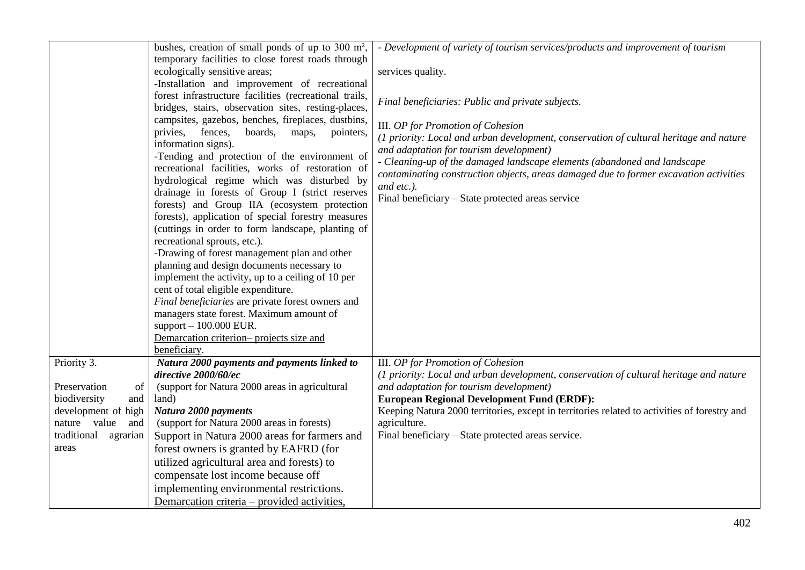|                         | bushes, creation of small ponds of up to 300 $m^2$ ,   | - Development of variety of tourism services/products and improvement of tourism             |
|-------------------------|--------------------------------------------------------|----------------------------------------------------------------------------------------------|
|                         | temporary facilities to close forest roads through     |                                                                                              |
|                         | ecologically sensitive areas;                          | services quality.                                                                            |
|                         | -Installation and improvement of recreational          |                                                                                              |
|                         | forest infrastructure facilities (recreational trails, |                                                                                              |
|                         |                                                        | Final beneficiaries: Public and private subjects.                                            |
|                         | bridges, stairs, observation sites, resting-places,    |                                                                                              |
|                         | campsites, gazebos, benches, fireplaces, dustbins,     | III. OP for Promotion of Cohesion                                                            |
|                         | privies, fences,<br>boards,<br>maps,<br>pointers,      | (1 priority: Local and urban development, conservation of cultural heritage and nature       |
|                         | information signs).                                    | and adaptation for tourism development)                                                      |
|                         | -Tending and protection of the environment of          | - Cleaning-up of the damaged landscape elements (abandoned and landscape                     |
|                         | recreational facilities, works of restoration of       | contaminating construction objects, areas damaged due to former excavation activities        |
|                         | hydrological regime which was disturbed by             | and etc.).                                                                                   |
|                         | drainage in forests of Group I (strict reserves        | Final beneficiary – State protected areas service                                            |
|                         | forests) and Group IIA (ecosystem protection           |                                                                                              |
|                         | forests), application of special forestry measures     |                                                                                              |
|                         | (cuttings in order to form landscape, planting of      |                                                                                              |
|                         | recreational sprouts, etc.).                           |                                                                                              |
|                         | -Drawing of forest management plan and other           |                                                                                              |
|                         | planning and design documents necessary to             |                                                                                              |
|                         | implement the activity, up to a ceiling of 10 per      |                                                                                              |
|                         | cent of total eligible expenditure.                    |                                                                                              |
|                         | Final beneficiaries are private forest owners and      |                                                                                              |
|                         | managers state forest. Maximum amount of               |                                                                                              |
|                         | support $-100.000$ EUR.                                |                                                                                              |
|                         | Demarcation criterion- projects size and               |                                                                                              |
|                         | beneficiary.                                           |                                                                                              |
| Priority 3.             | Natura 2000 payments and payments linked to            | III. OP for Promotion of Cohesion                                                            |
|                         | directive 2000/60/ec                                   | (1 priority: Local and urban development, conservation of cultural heritage and nature       |
| Preservation<br>of      | (support for Natura 2000 areas in agricultural         | and adaptation for tourism development)                                                      |
| biodiversity<br>and     | land)                                                  | <b>European Regional Development Fund (ERDF):</b>                                            |
| development of high     | Natura 2000 payments                                   | Keeping Natura 2000 territories, except in territories related to activities of forestry and |
| nature value<br>and     | (support for Natura 2000 areas in forests)             | agriculture.                                                                                 |
| traditional<br>agrarian | Support in Natura 2000 areas for farmers and           | Final beneficiary – State protected areas service.                                           |
| areas                   | forest owners is granted by EAFRD (for                 |                                                                                              |
|                         | utilized agricultural area and forests) to             |                                                                                              |
|                         | compensate lost income because off                     |                                                                                              |
|                         |                                                        |                                                                                              |
|                         | implementing environmental restrictions.               |                                                                                              |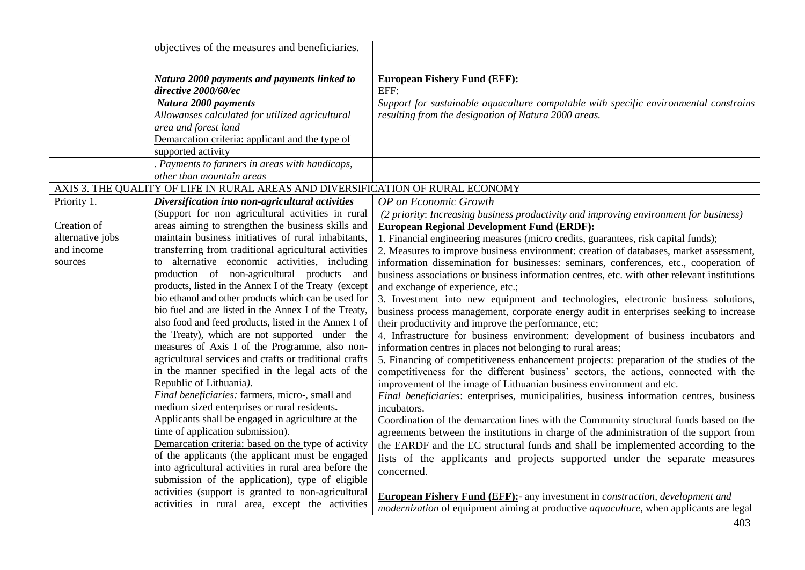|                  | objectives of the measures and beneficiaries.                                                           |                                                                                                     |
|------------------|---------------------------------------------------------------------------------------------------------|-----------------------------------------------------------------------------------------------------|
|                  |                                                                                                         |                                                                                                     |
|                  | Natura 2000 payments and payments linked to                                                             | <b>European Fishery Fund (EFF):</b>                                                                 |
|                  | directive 2000/60/ec                                                                                    | EFF:                                                                                                |
|                  | Natura 2000 payments                                                                                    | Support for sustainable aquaculture compatable with specific environmental constrains               |
|                  | Allowanses calculated for utilized agricultural                                                         | resulting from the designation of Natura 2000 areas.                                                |
|                  | area and forest land                                                                                    |                                                                                                     |
|                  | Demarcation criteria: applicant and the type of                                                         |                                                                                                     |
|                  | supported activity                                                                                      |                                                                                                     |
|                  | . Payments to farmers in areas with handicaps,                                                          |                                                                                                     |
|                  | other than mountain areas                                                                               |                                                                                                     |
|                  | AXIS 3. THE QUALITY OF LIFE IN RURAL AREAS AND DIVERSIFICATION OF RURAL ECONOMY                         |                                                                                                     |
| Priority 1.      | Diversification into non-agricultural activities                                                        | OP on Economic Growth                                                                               |
|                  | (Support for non agricultural activities in rural                                                       | (2 priority: Increasing business productivity and improving environment for business)               |
| Creation of      | areas aiming to strengthen the business skills and                                                      | <b>European Regional Development Fund (ERDF):</b>                                                   |
| alternative jobs | maintain business initiatives of rural inhabitants,                                                     | 1. Financial engineering measures (micro credits, guarantees, risk capital funds);                  |
| and income       | transferring from traditional agricultural activities                                                   | 2. Measures to improve business environment: creation of databases, market assessment,              |
| sources          | to alternative economic activities, including                                                           | information dissemination for businesses: seminars, conferences, etc., cooperation of               |
|                  | production of non-agricultural products and                                                             | business associations or business information centres, etc. with other relevant institutions        |
|                  | products, listed in the Annex I of the Treaty (except                                                   | and exchange of experience, etc.;                                                                   |
|                  | bio ethanol and other products which can be used for                                                    | 3. Investment into new equipment and technologies, electronic business solutions,                   |
|                  | bio fuel and are listed in the Annex I of the Treaty,                                                   | business process management, corporate energy audit in enterprises seeking to increase              |
|                  | also food and feed products, listed in the Annex I of                                                   | their productivity and improve the performance, etc;                                                |
|                  | the Treaty), which are not supported under the                                                          | 4. Infrastructure for business environment: development of business incubators and                  |
|                  | measures of Axis I of the Programme, also non-                                                          | information centres in places not belonging to rural areas;                                         |
|                  | agricultural services and crafts or traditional crafts                                                  | 5. Financing of competitiveness enhancement projects: preparation of the studies of the             |
|                  | in the manner specified in the legal acts of the                                                        | competitiveness for the different business' sectors, the actions, connected with the                |
|                  | Republic of Lithuania).                                                                                 | improvement of the image of Lithuanian business environment and etc.                                |
|                  | Final beneficiaries: farmers, micro-, small and                                                         | Final beneficiaries: enterprises, municipalities, business information centres, business            |
|                  | medium sized enterprises or rural residents.                                                            | incubators.                                                                                         |
|                  | Applicants shall be engaged in agriculture at the                                                       | Coordination of the demarcation lines with the Community structural funds based on the              |
|                  | time of application submission).                                                                        | agreements between the institutions in charge of the administration of the support from             |
|                  | Demarcation criteria: based on the type of activity<br>of the applicants (the applicant must be engaged | the EARDF and the EC structural funds and shall be implemented according to the                     |
|                  |                                                                                                         | lists of the applicants and projects supported under the separate measures                          |
|                  | into agricultural activities in rural area before the                                                   | concerned.                                                                                          |
|                  | submission of the application), type of eligible                                                        |                                                                                                     |
|                  | activities (support is granted to non-agricultural                                                      | <b>European Fishery Fund (EFF):-</b> any investment in <i>construction</i> , <i>development and</i> |
|                  | activities in rural area, except the activities                                                         | modernization of equipment aiming at productive aquaculture, when applicants are legal              |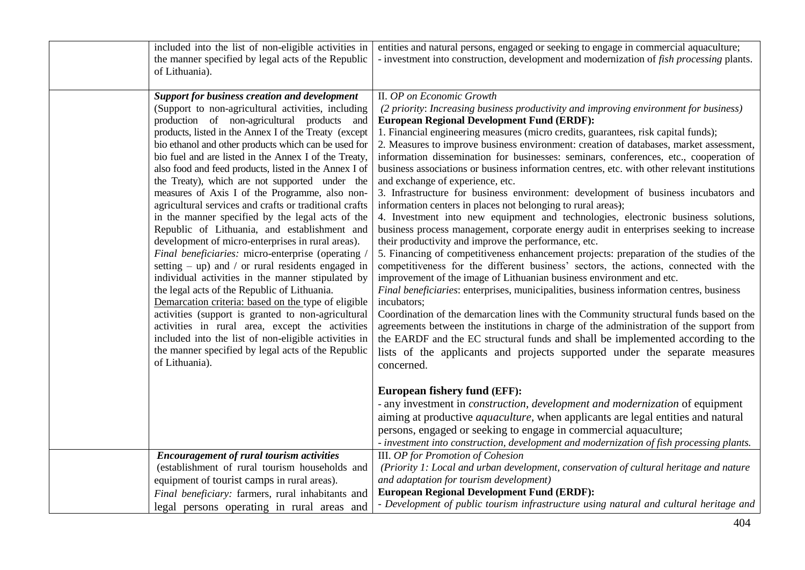| included into the list of non-eligible activities in<br>the manner specified by legal acts of the Republic<br>of Lithuania).                                                                                                                                                                                                                                                                                                                                                                                                                                                                                                                                                                                                                                                                                                                                                                                                                                                                                                                                                                                                                                                                                                            | entities and natural persons, engaged or seeking to engage in commercial aquaculture;<br>- investment into construction, development and modernization of <i>fish processing</i> plants.                                                                                                                                                                                                                                                                                                                                                                                                                                                                                                                                                                                                                                                                                                                                                                                                                                                                                                                                                                                                                                                                                                                                                                                                                                                                                                                                                                                                                                                                                                                                    |
|-----------------------------------------------------------------------------------------------------------------------------------------------------------------------------------------------------------------------------------------------------------------------------------------------------------------------------------------------------------------------------------------------------------------------------------------------------------------------------------------------------------------------------------------------------------------------------------------------------------------------------------------------------------------------------------------------------------------------------------------------------------------------------------------------------------------------------------------------------------------------------------------------------------------------------------------------------------------------------------------------------------------------------------------------------------------------------------------------------------------------------------------------------------------------------------------------------------------------------------------|-----------------------------------------------------------------------------------------------------------------------------------------------------------------------------------------------------------------------------------------------------------------------------------------------------------------------------------------------------------------------------------------------------------------------------------------------------------------------------------------------------------------------------------------------------------------------------------------------------------------------------------------------------------------------------------------------------------------------------------------------------------------------------------------------------------------------------------------------------------------------------------------------------------------------------------------------------------------------------------------------------------------------------------------------------------------------------------------------------------------------------------------------------------------------------------------------------------------------------------------------------------------------------------------------------------------------------------------------------------------------------------------------------------------------------------------------------------------------------------------------------------------------------------------------------------------------------------------------------------------------------------------------------------------------------------------------------------------------------|
| <b>Support for business creation and development</b><br>(Support to non-agricultural activities, including<br>production of non-agricultural products and<br>products, listed in the Annex I of the Treaty (except<br>bio ethanol and other products which can be used for<br>bio fuel and are listed in the Annex I of the Treaty,<br>also food and feed products, listed in the Annex I of<br>the Treaty), which are not supported under the<br>measures of Axis I of the Programme, also non-<br>agricultural services and crafts or traditional crafts<br>in the manner specified by the legal acts of the<br>Republic of Lithuania, and establishment and<br>development of micro-enterprises in rural areas).<br>Final beneficiaries: micro-enterprise (operating /<br>setting $-$ up) and $/$ or rural residents engaged in<br>individual activities in the manner stipulated by<br>the legal acts of the Republic of Lithuania.<br>Demarcation criteria: based on the type of eligible<br>activities (support is granted to non-agricultural<br>activities in rural area, except the activities<br>included into the list of non-eligible activities in<br>the manner specified by legal acts of the Republic<br>of Lithuania). | II. OP on Economic Growth<br>(2 priority: Increasing business productivity and improving environment for business)<br><b>European Regional Development Fund (ERDF):</b><br>1. Financial engineering measures (micro credits, guarantees, risk capital funds);<br>2. Measures to improve business environment: creation of databases, market assessment,<br>information dissemination for businesses: seminars, conferences, etc., cooperation of<br>business associations or business information centres, etc. with other relevant institutions<br>and exchange of experience, etc.<br>3. Infrastructure for business environment: development of business incubators and<br>information centers in places not belonging to rural areas);<br>4. Investment into new equipment and technologies, electronic business solutions,<br>business process management, corporate energy audit in enterprises seeking to increase<br>their productivity and improve the performance, etc.<br>5. Financing of competitiveness enhancement projects: preparation of the studies of the<br>competitiveness for the different business' sectors, the actions, connected with the<br>improvement of the image of Lithuanian business environment and etc.<br>Final beneficiaries: enterprises, municipalities, business information centres, business<br>incubators;<br>Coordination of the demarcation lines with the Community structural funds based on the<br>agreements between the institutions in charge of the administration of the support from<br>the EARDF and the EC structural funds and shall be implemented according to the<br>lists of the applicants and projects supported under the separate measures<br>concerned. |
|                                                                                                                                                                                                                                                                                                                                                                                                                                                                                                                                                                                                                                                                                                                                                                                                                                                                                                                                                                                                                                                                                                                                                                                                                                         | <b>European fishery fund (EFF):</b><br>- any investment in <i>construction</i> , <i>development and modernization</i> of equipment<br>aiming at productive <i>aquaculture</i> , when applicants are legal entities and natural<br>persons, engaged or seeking to engage in commercial aquaculture;<br>- investment into construction, development and modernization of fish processing plants.                                                                                                                                                                                                                                                                                                                                                                                                                                                                                                                                                                                                                                                                                                                                                                                                                                                                                                                                                                                                                                                                                                                                                                                                                                                                                                                              |
| <b>Encouragement of rural tourism activities</b><br>(establishment of rural tourism households and<br>equipment of tourist camps in rural areas).<br>Final beneficiary: farmers, rural inhabitants and<br>legal persons operating in rural areas and                                                                                                                                                                                                                                                                                                                                                                                                                                                                                                                                                                                                                                                                                                                                                                                                                                                                                                                                                                                    | III. OP for Promotion of Cohesion<br>(Priority 1: Local and urban development, conservation of cultural heritage and nature<br>and adaptation for tourism development)<br><b>European Regional Development Fund (ERDF):</b><br>- Development of public tourism infrastructure using natural and cultural heritage and                                                                                                                                                                                                                                                                                                                                                                                                                                                                                                                                                                                                                                                                                                                                                                                                                                                                                                                                                                                                                                                                                                                                                                                                                                                                                                                                                                                                       |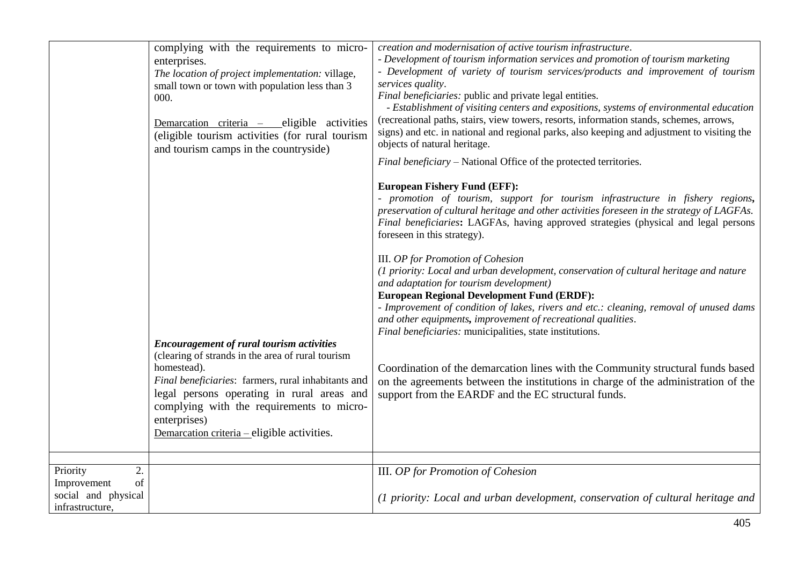|                                                            | complying with the requirements to micro-<br>enterprises.<br>The location of project implementation: village,<br>small town or town with population less than 3<br>000.<br>Demarcation criteria -<br>_eligible activities<br>(eligible tourism activities (for rural tourism<br>and tourism camps in the countryside) | creation and modernisation of active tourism infrastructure.<br>- Development of tourism information services and promotion of tourism marketing<br>- Development of variety of tourism services/products and improvement of tourism<br>services quality.<br>Final beneficiaries: public and private legal entities.<br>- Establishment of visiting centers and expositions, systems of environmental education<br>(recreational paths, stairs, view towers, resorts, information stands, schemes, arrows,<br>signs) and etc. in national and regional parks, also keeping and adjustment to visiting the<br>objects of natural heritage.<br>Final beneficiary - National Office of the protected territories.<br><b>European Fishery Fund (EFF):</b><br>- promotion of tourism, support for tourism infrastructure in fishery regions, |
|------------------------------------------------------------|-----------------------------------------------------------------------------------------------------------------------------------------------------------------------------------------------------------------------------------------------------------------------------------------------------------------------|-----------------------------------------------------------------------------------------------------------------------------------------------------------------------------------------------------------------------------------------------------------------------------------------------------------------------------------------------------------------------------------------------------------------------------------------------------------------------------------------------------------------------------------------------------------------------------------------------------------------------------------------------------------------------------------------------------------------------------------------------------------------------------------------------------------------------------------------|
|                                                            | <b>Encouragement of rural tourism activities</b><br>(clearing of strands in the area of rural tourism                                                                                                                                                                                                                 | preservation of cultural heritage and other activities foreseen in the strategy of LAGFAs.<br>Final beneficiaries: LAGFAs, having approved strategies (physical and legal persons<br>foreseen in this strategy).<br>III. OP for Promotion of Cohesion<br>(1 priority: Local and urban development, conservation of cultural heritage and nature<br>and adaptation for tourism development)<br><b>European Regional Development Fund (ERDF):</b><br>- Improvement of condition of lakes, rivers and etc.: cleaning, removal of unused dams<br>and other equipments, improvement of recreational qualities.<br>Final beneficiaries: municipalities, state institutions.                                                                                                                                                                   |
|                                                            | homestead).<br>Final beneficiaries: farmers, rural inhabitants and<br>legal persons operating in rural areas and<br>complying with the requirements to micro-<br>enterprises)<br>Demarcation criteria – eligible activities.                                                                                          | Coordination of the demarcation lines with the Community structural funds based<br>on the agreements between the institutions in charge of the administration of the<br>support from the EARDF and the EC structural funds.                                                                                                                                                                                                                                                                                                                                                                                                                                                                                                                                                                                                             |
| 2.<br>Priority<br>of<br>Improvement<br>social and physical |                                                                                                                                                                                                                                                                                                                       | <b>III.</b> OP for Promotion of Cohesion                                                                                                                                                                                                                                                                                                                                                                                                                                                                                                                                                                                                                                                                                                                                                                                                |
| infrastructure,                                            |                                                                                                                                                                                                                                                                                                                       | (1 priority: Local and urban development, conservation of cultural heritage and                                                                                                                                                                                                                                                                                                                                                                                                                                                                                                                                                                                                                                                                                                                                                         |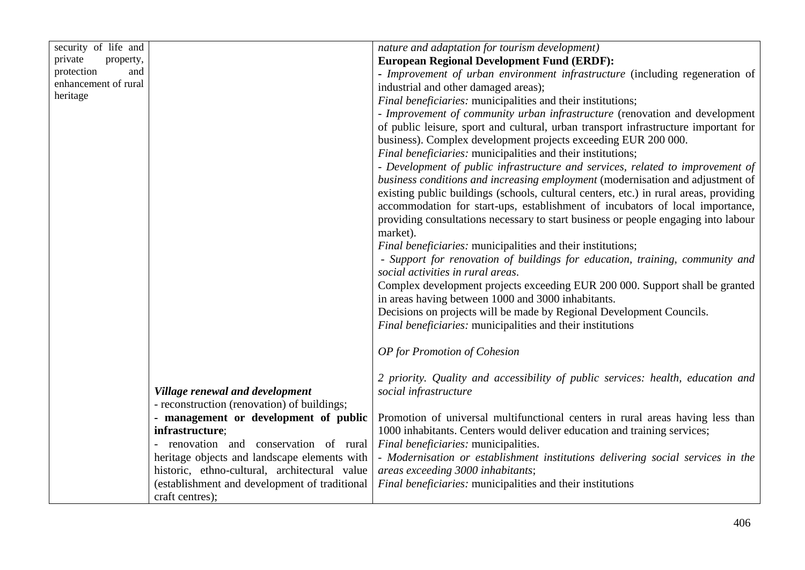| security of life and |                                               | nature and adaptation for tourism development)                                        |
|----------------------|-----------------------------------------------|---------------------------------------------------------------------------------------|
| private<br>property, |                                               | <b>European Regional Development Fund (ERDF):</b>                                     |
| protection<br>and    |                                               | - Improvement of urban environment infrastructure (including regeneration of          |
| enhancement of rural |                                               | industrial and other damaged areas);                                                  |
| heritage             |                                               | Final beneficiaries: municipalities and their institutions;                           |
|                      |                                               | - Improvement of community urban infrastructure (renovation and development           |
|                      |                                               | of public leisure, sport and cultural, urban transport infrastructure important for   |
|                      |                                               | business). Complex development projects exceeding EUR 200 000.                        |
|                      |                                               | Final beneficiaries: municipalities and their institutions;                           |
|                      |                                               | - Development of public infrastructure and services, related to improvement of        |
|                      |                                               | business conditions and increasing employment (modernisation and adjustment of        |
|                      |                                               | existing public buildings (schools, cultural centers, etc.) in rural areas, providing |
|                      |                                               | accommodation for start-ups, establishment of incubators of local importance,         |
|                      |                                               | providing consultations necessary to start business or people engaging into labour    |
|                      |                                               | market).                                                                              |
|                      |                                               | <i>Final beneficiaries:</i> municipalities and their institutions;                    |
|                      |                                               | - Support for renovation of buildings for education, training, community and          |
|                      |                                               | social activities in rural areas.                                                     |
|                      |                                               | Complex development projects exceeding EUR 200 000. Support shall be granted          |
|                      |                                               | in areas having between 1000 and 3000 inhabitants.                                    |
|                      |                                               | Decisions on projects will be made by Regional Development Councils.                  |
|                      |                                               | Final beneficiaries: municipalities and their institutions                            |
|                      |                                               |                                                                                       |
|                      |                                               | OP for Promotion of Cohesion                                                          |
|                      |                                               |                                                                                       |
|                      |                                               | 2 priority. Quality and accessibility of public services: health, education and       |
|                      | Village renewal and development               | social infrastructure                                                                 |
|                      | - reconstruction (renovation) of buildings;   |                                                                                       |
|                      | - management or development of public         | Promotion of universal multifunctional centers in rural areas having less than        |
|                      | infrastructure;                               | 1000 inhabitants. Centers would deliver education and training services;              |
|                      | renovation and conservation of rural          | Final beneficiaries: municipalities.                                                  |
|                      | heritage objects and landscape elements with  | - Modernisation or establishment institutions delivering social services in the       |
|                      | historic, ethno-cultural, architectural value | areas exceeding 3000 inhabitants;                                                     |
|                      | (establishment and development of traditional | Final beneficiaries: municipalities and their institutions                            |
|                      | craft centres);                               |                                                                                       |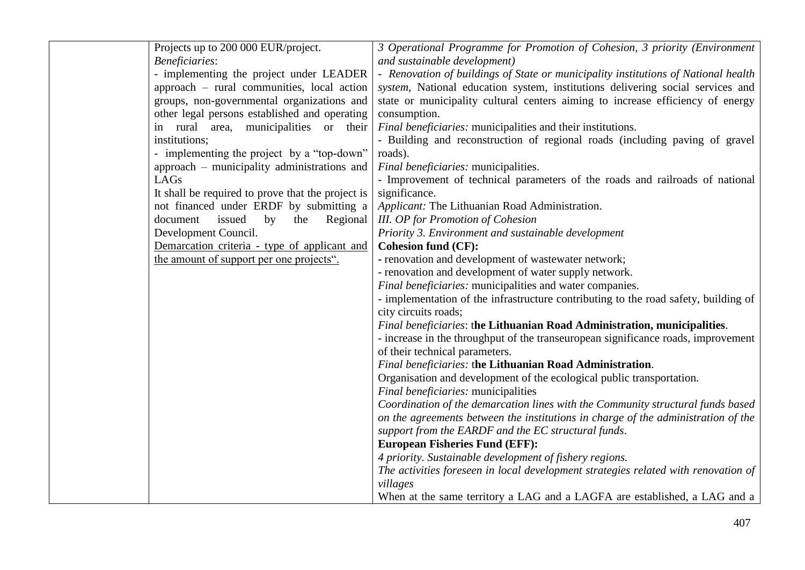| Projects up to 200 000 EUR/project.               | 3 Operational Programme for Promotion of Cohesion, 3 priority (Environment          |
|---------------------------------------------------|-------------------------------------------------------------------------------------|
| <b>Beneficiaries:</b>                             | and sustainable development)                                                        |
| - implementing the project under LEADER           | - Renovation of buildings of State or municipality institutions of National health  |
| approach - rural communities, local action        | system, National education system, institutions delivering social services and      |
| groups, non-governmental organizations and        | state or municipality cultural centers aiming to increase efficiency of energy      |
| other legal persons established and operating     | consumption.                                                                        |
| in rural area, municipalities or their            | Final beneficiaries: municipalities and their institutions.                         |
| institutions;                                     | - Building and reconstruction of regional roads (including paving of gravel         |
| - implementing the project by a "top-down"        | roads).                                                                             |
| approach – municipality administrations and       | Final beneficiaries: municipalities.                                                |
| LAGs                                              | - Improvement of technical parameters of the roads and railroads of national        |
| It shall be required to prove that the project is | significance.                                                                       |
| not financed under ERDF by submitting a           | Applicant: The Lithuanian Road Administration.                                      |
| document<br>issued<br>by<br>the<br>Regional       | <b>III.</b> OP for Promotion of Cohesion                                            |
| Development Council.                              | Priority 3. Environment and sustainable development                                 |
| Demarcation criteria - type of applicant and      | <b>Cohesion fund (CF):</b>                                                          |
| the amount of support per one projects".          | - renovation and development of wastewater network;                                 |
|                                                   | - renovation and development of water supply network.                               |
|                                                   | Final beneficiaries: municipalities and water companies.                            |
|                                                   | - implementation of the infrastructure contributing to the road safety, building of |
|                                                   | city circuits roads;                                                                |
|                                                   | Final beneficiaries: the Lithuanian Road Administration, municipalities.            |
|                                                   | - increase in the throughput of the transeuropean significance roads, improvement   |
|                                                   | of their technical parameters.                                                      |
|                                                   | Final beneficiaries: the Lithuanian Road Administration.                            |
|                                                   | Organisation and development of the ecological public transportation.               |
|                                                   | Final beneficiaries: municipalities                                                 |
|                                                   | Coordination of the demarcation lines with the Community structural funds based     |
|                                                   | on the agreements between the institutions in charge of the administration of the   |
|                                                   | support from the EARDF and the EC structural funds.                                 |
|                                                   | <b>European Fisheries Fund (EFF):</b>                                               |
|                                                   | 4 priority. Sustainable development of fishery regions.                             |
|                                                   | The activities foreseen in local development strategies related with renovation of  |
|                                                   | villages                                                                            |
|                                                   | When at the same territory a LAG and a LAGFA are established, a LAG and a           |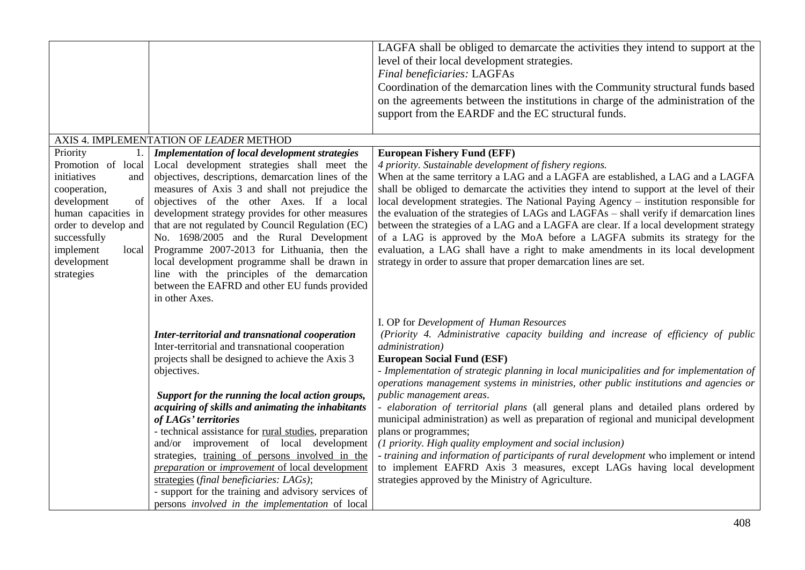|                                                                                                                                                                                                                   |                                                                                                                                                                                                                                                                                                                                                                                                                                                                                                                                                                                                                                                                       | LAGFA shall be obliged to demarcate the activities they intend to support at the<br>level of their local development strategies.<br><b>Final beneficiaries: LAGFAs</b><br>Coordination of the demarcation lines with the Community structural funds based<br>on the agreements between the institutions in charge of the administration of the<br>support from the EARDF and the EC structural funds.                                                                                                                                                                                                                                                                                                                                                                                                                                                                                                         |
|-------------------------------------------------------------------------------------------------------------------------------------------------------------------------------------------------------------------|-----------------------------------------------------------------------------------------------------------------------------------------------------------------------------------------------------------------------------------------------------------------------------------------------------------------------------------------------------------------------------------------------------------------------------------------------------------------------------------------------------------------------------------------------------------------------------------------------------------------------------------------------------------------------|---------------------------------------------------------------------------------------------------------------------------------------------------------------------------------------------------------------------------------------------------------------------------------------------------------------------------------------------------------------------------------------------------------------------------------------------------------------------------------------------------------------------------------------------------------------------------------------------------------------------------------------------------------------------------------------------------------------------------------------------------------------------------------------------------------------------------------------------------------------------------------------------------------------|
|                                                                                                                                                                                                                   | AXIS 4. IMPLEMENTATION OF LEADER METHOD                                                                                                                                                                                                                                                                                                                                                                                                                                                                                                                                                                                                                               |                                                                                                                                                                                                                                                                                                                                                                                                                                                                                                                                                                                                                                                                                                                                                                                                                                                                                                               |
| Priority<br>1.<br>Promotion of local<br>initiatives<br>and<br>cooperation,<br>development<br>of<br>human capacities in<br>order to develop and<br>successfully<br>implement<br>local<br>development<br>strategies | <b>Implementation of local development strategies</b><br>Local development strategies shall meet the<br>objectives, descriptions, demarcation lines of the<br>measures of Axis 3 and shall not prejudice the<br>objectives of the other Axes. If a local<br>development strategy provides for other measures<br>that are not regulated by Council Regulation (EC)<br>No. 1698/2005 and the Rural Development<br>Programme 2007-2013 for Lithuania, then the<br>local development programme shall be drawn in<br>line with the principles of the demarcation<br>between the EAFRD and other EU funds provided<br>in other Axes.                                        | <b>European Fishery Fund (EFF)</b><br>4 priority. Sustainable development of fishery regions.<br>When at the same territory a LAG and a LAGFA are established, a LAG and a LAGFA<br>shall be obliged to demarcate the activities they intend to support at the level of their<br>local development strategies. The National Paying Agency – institution responsible for<br>the evaluation of the strategies of LAGs and LAGFAs - shall verify if demarcation lines<br>between the strategies of a LAG and a LAGFA are clear. If a local development strategy<br>of a LAG is approved by the MoA before a LAGFA submits its strategy for the<br>evaluation, a LAG shall have a right to make amendments in its local development<br>strategy in order to assure that proper demarcation lines are set.                                                                                                         |
|                                                                                                                                                                                                                   | Inter-territorial and transnational cooperation<br>Inter-territorial and transnational cooperation<br>projects shall be designed to achieve the Axis 3<br>objectives.<br>Support for the running the local action groups,<br>acquiring of skills and animating the inhabitants<br>of LAGs' territories<br>- technical assistance for rural studies, preparation<br>and/or improvement of local development<br>strategies, training of persons involved in the<br>preparation or improvement of local development<br>strategies (final beneficiaries: LAGs);<br>- support for the training and advisory services of<br>persons involved in the implementation of local | I. OP for Development of Human Resources<br>(Priority 4. Administrative capacity building and increase of efficiency of public<br>administration)<br><b>European Social Fund (ESF)</b><br>- Implementation of strategic planning in local municipalities and for implementation of<br>operations management systems in ministries, other public institutions and agencies or<br>public management areas.<br>- elaboration of territorial plans (all general plans and detailed plans ordered by<br>municipal administration) as well as preparation of regional and municipal development<br>plans or programmes;<br>(1 priority. High quality employment and social inclusion)<br>- training and information of participants of rural development who implement or intend<br>to implement EAFRD Axis 3 measures, except LAGs having local development<br>strategies approved by the Ministry of Agriculture. |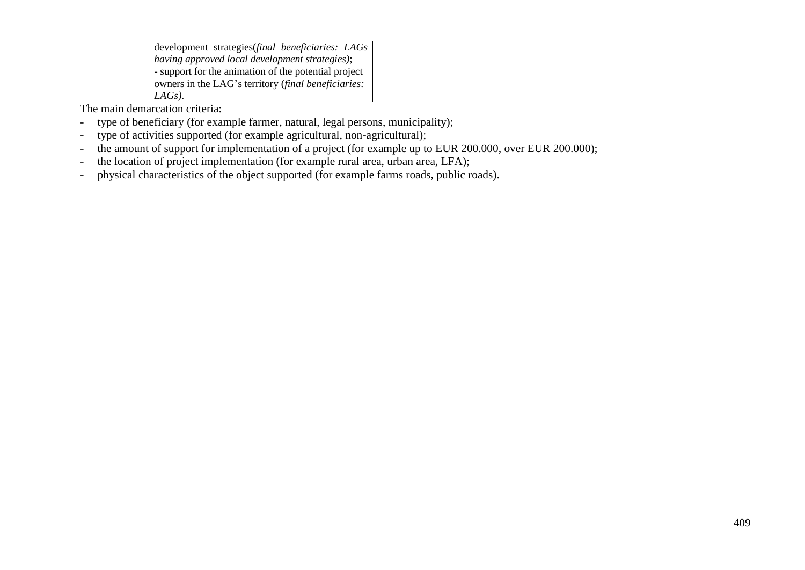| development strategies(final beneficiaries: LAGs     |  |
|------------------------------------------------------|--|
| having approved local development strategies);       |  |
| - support for the animation of the potential project |  |
| owners in the LAG's territory (final beneficiaries:  |  |
| LAGs).                                               |  |

The main demarcation criteria:

- type of beneficiary (for example farmer, natural, legal persons, municipality);
- type of activities supported (for example agricultural, non-agricultural);
- the amount of support for implementation of a project (for example up to EUR 200.000, over EUR 200.000);
- the location of project implementation (for example rural area, urban area, LFA);
- physical characteristics of the object supported (for example farms roads, public roads).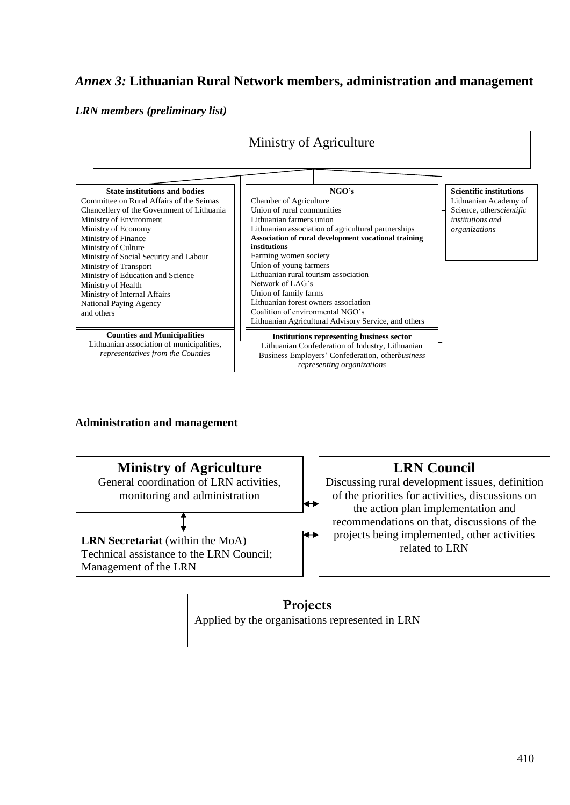# *Annex 3:* **Lithuanian Rural Network members, administration and management**

#### *LRN members (preliminary list)*



# **Administration and management**



# **LRN Council**

Discussing rural development issues, definition of the priorities for activities, discussions on the action plan implementation and recommendations on that, discussions of the projects being implemented, other activities related to LRN

# **Projects** Applied by the organisations represented in LRN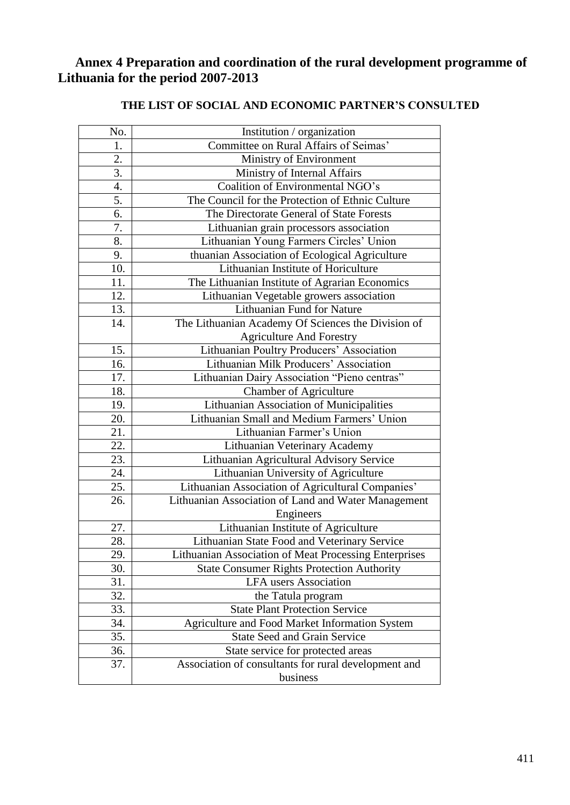# **Annex 4 Preparation and coordination of the rural development programme of Lithuania for the period 2007-2013**

| No. | Institution / organization                            |  |
|-----|-------------------------------------------------------|--|
| 1.  | Committee on Rural Affairs of Seimas'                 |  |
| 2.  | Ministry of Environment                               |  |
| 3.  | Ministry of Internal Affairs                          |  |
| 4.  | Coalition of Environmental NGO's                      |  |
| 5.  | The Council for the Protection of Ethnic Culture      |  |
| 6.  | The Directorate General of State Forests              |  |
| 7.  | Lithuanian grain processors association               |  |
| 8.  | Lithuanian Young Farmers Circles' Union               |  |
| 9.  | thuanian Association of Ecological Agriculture        |  |
| 10. | Lithuanian Institute of Horiculture                   |  |
| 11. | The Lithuanian Institute of Agrarian Economics        |  |
| 12. | Lithuanian Vegetable growers association              |  |
| 13. | Lithuanian Fund for Nature                            |  |
| 14. | The Lithuanian Academy Of Sciences the Division of    |  |
|     | <b>Agriculture And Forestry</b>                       |  |
| 15. | Lithuanian Poultry Producers' Association             |  |
| 16. | Lithuanian Milk Producers' Association                |  |
| 17. | Lithuanian Dairy Association "Pieno centras"          |  |
| 18. | <b>Chamber of Agriculture</b>                         |  |
| 19. | Lithuanian Association of Municipalities              |  |
| 20. | Lithuanian Small and Medium Farmers' Union            |  |
| 21. | Lithuanian Farmer's Union                             |  |
| 22. | Lithuanian Veterinary Academy                         |  |
| 23. | Lithuanian Agricultural Advisory Service              |  |
| 24. | Lithuanian University of Agriculture                  |  |
| 25. | Lithuanian Association of Agricultural Companies'     |  |
| 26. | Lithuanian Association of Land and Water Management   |  |
|     | Engineers                                             |  |
| 27. | Lithuanian Institute of Agriculture                   |  |
| 28. | Lithuanian State Food and Veterinary Service          |  |
| 29. | Lithuanian Association of Meat Processing Enterprises |  |
| 30. | <b>State Consumer Rights Protection Authority</b>     |  |
| 31. | <b>LFA</b> users Association                          |  |
| 32. | the Tatula program                                    |  |
| 33. | <b>State Plant Protection Service</b>                 |  |
| 34. | Agriculture and Food Market Information System        |  |
| 35. | <b>State Seed and Grain Service</b>                   |  |
| 36. | State service for protected areas                     |  |
| 37. | Association of consultants for rural development and  |  |
|     | business                                              |  |

# **THE LIST OF SOCIAL AND ECONOMIC PARTNER'S CONSULTED**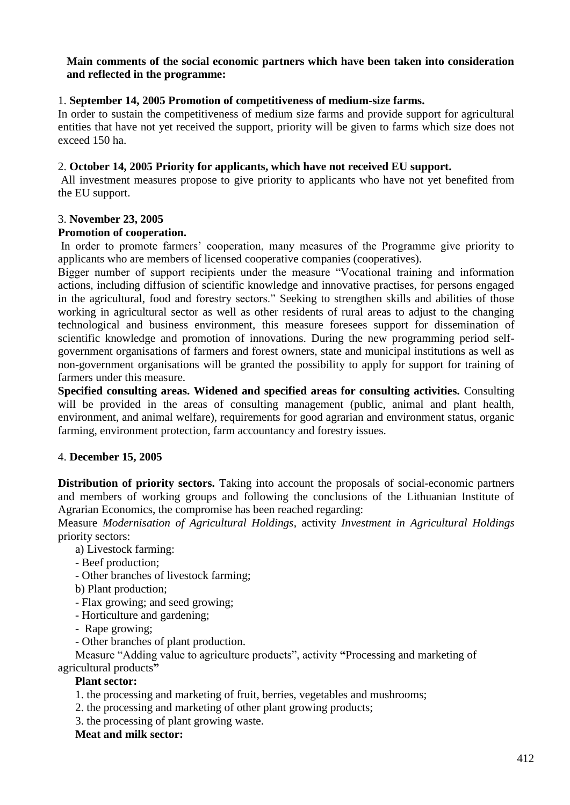#### **Main comments of the social economic partners which have been taken into consideration and reflected in the programme:**

### 1. **September 14, 2005 Promotion of competitiveness of medium-size farms.**

In order to sustain the competitiveness of medium size farms and provide support for agricultural entities that have not yet received the support, priority will be given to farms which size does not exceed 150 ha.

#### 2. **October 14, 2005 Priority for applicants, which have not received EU support.**

All investment measures propose to give priority to applicants who have not yet benefited from the EU support.

#### 3. **November 23, 2005**

#### **Promotion of cooperation.**

In order to promote farmers' cooperation, many measures of the Programme give priority to applicants who are members of licensed cooperative companies (cooperatives).

Bigger number of support recipients under the measure "Vocational training and information actions, including diffusion of scientific knowledge and innovative practises, for persons engaged in the agricultural, food and forestry sectors." Seeking to strengthen skills and abilities of those working in agricultural sector as well as other residents of rural areas to adjust to the changing technological and business environment, this measure foresees support for dissemination of scientific knowledge and promotion of innovations. During the new programming period selfgovernment organisations of farmers and forest owners, state and municipal institutions as well as non-government organisations will be granted the possibility to apply for support for training of farmers under this measure.

**Specified consulting areas. Widened and specified areas for consulting activities.** Consulting will be provided in the areas of consulting management (public, animal and plant health, environment, and animal welfare), requirements for good agrarian and environment status, organic farming, environment protection, farm accountancy and forestry issues.

#### 4. **December 15, 2005**

**Distribution of priority sectors.** Taking into account the proposals of social-economic partners and members of working groups and following the conclusions of the Lithuanian Institute of Agrarian Economics, the compromise has been reached regarding:

Measure *Modernisation of Agricultural Holdings*, activity *Investment in Agricultural Holdings* priority sectors:

a) Livestock farming:

- Beef production;
- Other branches of livestock farming;
- b) Plant production;
- Flax growing; and seed growing;
- Horticulture and gardening;
- Rape growing;
- Other branches of plant production.

Measure "Adding value to agriculture products", activity **"**Processing and marketing of agricultural products**"**

#### **Plant sector:**

- 1. the processing and marketing of fruit, berries, vegetables and mushrooms;
- 2. the processing and marketing of other plant growing products;
- 3. the processing of plant growing waste.

#### **Meat and milk sector:**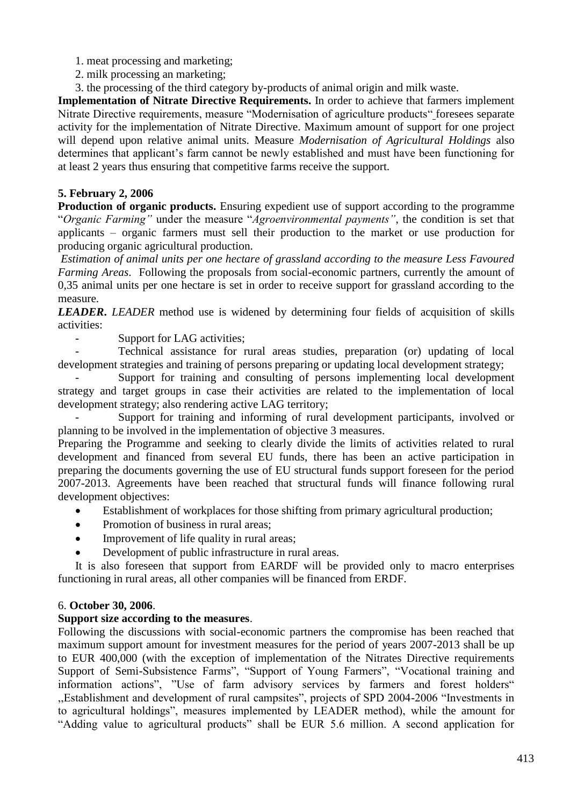- 1. meat processing and marketing;
- 2. milk processing an marketing;
- 3. the processing of the third category by-products of animal origin and milk waste.

**Implementation of Nitrate Directive Requirements.** In order to achieve that farmers implement Nitrate Directive requirements, measure "Modernisation of agriculture products" foresees separate activity for the implementation of Nitrate Directive. Maximum amount of support for one project will depend upon relative animal units. Measure *Modernisation of Agricultural Holdings* also determines that applicant's farm cannot be newly established and must have been functioning for at least 2 years thus ensuring that competitive farms receive the support.

# **5. February 2, 2006**

**Production of organic products.** Ensuring expedient use of support according to the programme "*Organic Farming"* under the measure "*Agroenvironmental payments"*, the condition is set that applicants – organic farmers must sell their production to the market or use production for producing organic agricultural production.

*Estimation of animal units per one hectare of grassland according to the measure Less Favoured Farming Areas*. Following the proposals from social-economic partners, currently the amount of 0,35 animal units per one hectare is set in order to receive support for grassland according to the measure.

*LEADER***.** *LEADER* method use is widened by determining four fields of acquisition of skills activities:

Support for LAG activities;

- Technical assistance for rural areas studies, preparation (or) updating of local development strategies and training of persons preparing or updating local development strategy;

Support for training and consulting of persons implementing local development strategy and target groups in case their activities are related to the implementation of local development strategy; also rendering active LAG territory;

Support for training and informing of rural development participants, involved or planning to be involved in the implementation of objective 3 measures.

Preparing the Programme and seeking to clearly divide the limits of activities related to rural development and financed from several EU funds, there has been an active participation in preparing the documents governing the use of EU structural funds support foreseen for the period 2007-2013. Agreements have been reached that structural funds will finance following rural development objectives:

- Establishment of workplaces for those shifting from primary agricultural production;
- Promotion of business in rural areas;
- Improvement of life quality in rural areas;
- Development of public infrastructure in rural areas.

It is also foreseen that support from EARDF will be provided only to macro enterprises functioning in rural areas, all other companies will be financed from ERDF.

# 6. **October 30, 2006**.

# **Support size according to the measures**.

Following the discussions with social-economic partners the compromise has been reached that maximum support amount for investment measures for the period of years 2007-2013 shall be up to EUR 400,000 (with the exception of implementation of the Nitrates Directive requirements Support of Semi-Subsistence Farms", "Support of Young Farmers", "Vocational training and information actions", "Use of farm advisory services by farmers and forest holders" ,,Establishment and development of rural campsites", projects of SPD 2004-2006 "Investments in to agricultural holdings", measures implemented by LEADER method), while the amount for "Adding value to agricultural products" shall be EUR 5.6 million. A second application for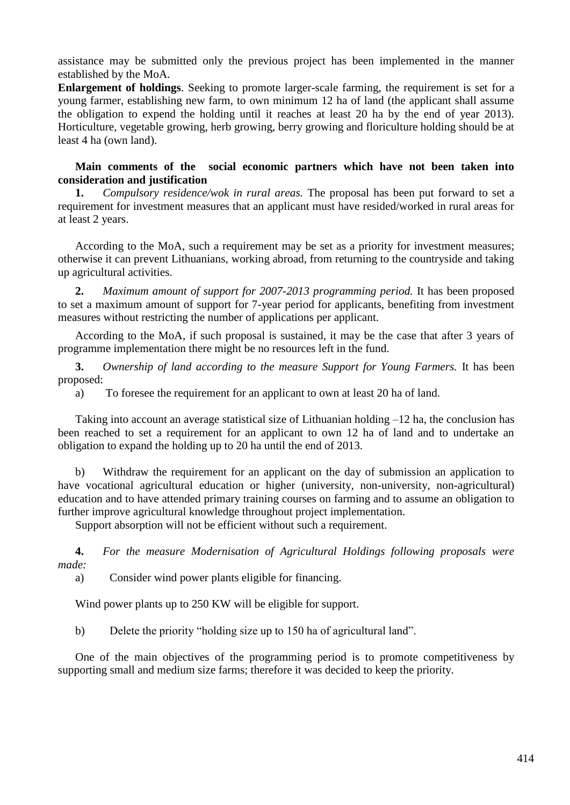assistance may be submitted only the previous project has been implemented in the manner established by the MoA.

**Enlargement of holdings**. Seeking to promote larger-scale farming, the requirement is set for a young farmer, establishing new farm, to own minimum 12 ha of land (the applicant shall assume the obligation to expend the holding until it reaches at least 20 ha by the end of year 2013). Horticulture, vegetable growing, herb growing, berry growing and floriculture holding should be at least 4 ha (own land).

#### **Main comments of the social economic partners which have not been taken into consideration and justification**

**1.** *Compulsory residence/wok in rural areas.* The proposal has been put forward to set a requirement for investment measures that an applicant must have resided/worked in rural areas for at least 2 years.

According to the MoA, such a requirement may be set as a priority for investment measures; otherwise it can prevent Lithuanians, working abroad, from returning to the countryside and taking up agricultural activities.

**2.** *Maximum amount of support for 2007-2013 programming period.* It has been proposed to set a maximum amount of support for 7-year period for applicants, benefiting from investment measures without restricting the number of applications per applicant.

According to the MoA, if such proposal is sustained, it may be the case that after 3 years of programme implementation there might be no resources left in the fund.

**3.** *Ownership of land according to the measure Support for Young Farmers.* It has been proposed:

a) To foresee the requirement for an applicant to own at least 20 ha of land.

Taking into account an average statistical size of Lithuanian holding –12 ha, the conclusion has been reached to set a requirement for an applicant to own 12 ha of land and to undertake an obligation to expand the holding up to 20 ha until the end of 2013.

b) Withdraw the requirement for an applicant on the day of submission an application to have vocational agricultural education or higher (university, non-university, non-agricultural) education and to have attended primary training courses on farming and to assume an obligation to further improve agricultural knowledge throughout project implementation.

Support absorption will not be efficient without such a requirement.

**4.** *For the measure Modernisation of Agricultural Holdings following proposals were made:*

a) Consider wind power plants eligible for financing.

Wind power plants up to 250 KW will be eligible for support.

b) Delete the priority "holding size up to 150 ha of agricultural land".

One of the main objectives of the programming period is to promote competitiveness by supporting small and medium size farms; therefore it was decided to keep the priority.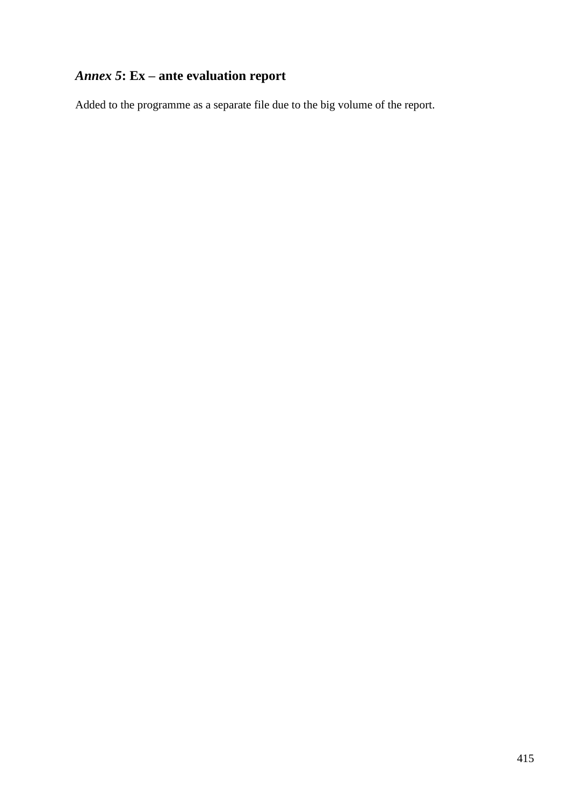# *Annex 5***: Ex – ante evaluation report**

Added to the programme as a separate file due to the big volume of the report.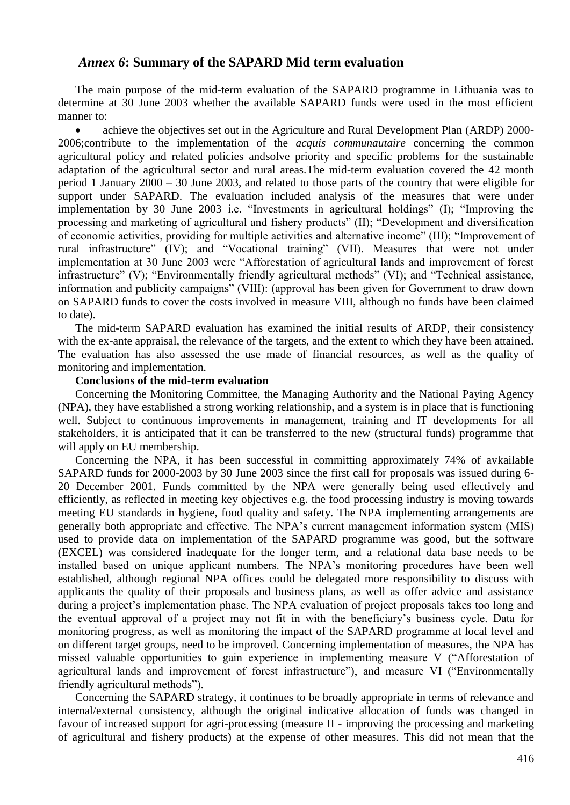### *Annex 6***: Summary of the SAPARD Mid term evaluation**

The main purpose of the mid-term evaluation of the SAPARD programme in Lithuania was to determine at 30 June 2003 whether the available SAPARD funds were used in the most efficient manner to:

 achieve the objectives set out in the Agriculture and Rural Development Plan (ARDP) 2000- 2006;contribute to the implementation of the *acquis communautaire* concerning the common agricultural policy and related policies andsolve priority and specific problems for the sustainable adaptation of the agricultural sector and rural areas.The mid-term evaluation covered the 42 month period 1 January 2000 – 30 June 2003, and related to those parts of the country that were eligible for support under SAPARD. The evaluation included analysis of the measures that were under implementation by 30 June 2003 i.e. "Investments in agricultural holdings" (I); "Improving the processing and marketing of agricultural and fishery products" (II); "Development and diversification of economic activities, providing for multiple activities and alternative income" (III); "Improvement of rural infrastructure" (IV); and "Vocational training" (VII). Measures that were not under implementation at 30 June 2003 were "Afforestation of agricultural lands and improvement of forest infrastructure" (V); "Environmentally friendly agricultural methods" (VI); and "Technical assistance, information and publicity campaigns" (VIII): (approval has been given for Government to draw down on SAPARD funds to cover the costs involved in measure VIII, although no funds have been claimed to date).

The mid-term SAPARD evaluation has examined the initial results of ARDP, their consistency with the ex-ante appraisal, the relevance of the targets, and the extent to which they have been attained. The evaluation has also assessed the use made of financial resources, as well as the quality of monitoring and implementation.

#### **Conclusions of the mid-term evaluation**

Concerning the Monitoring Committee, the Managing Authority and the National Paying Agency (NPA), they have established a strong working relationship, and a system is in place that is functioning well. Subject to continuous improvements in management, training and IT developments for all stakeholders, it is anticipated that it can be transferred to the new (structural funds) programme that will apply on EU membership.

Concerning the NPA, it has been successful in committing approximately 74% of avkailable SAPARD funds for 2000-2003 by 30 June 2003 since the first call for proposals was issued during 6- 20 December 2001. Funds committed by the NPA were generally being used effectively and efficiently, as reflected in meeting key objectives e.g. the food processing industry is moving towards meeting EU standards in hygiene, food quality and safety. The NPA implementing arrangements are generally both appropriate and effective. The NPA's current management information system (MIS) used to provide data on implementation of the SAPARD programme was good, but the software (EXCEL) was considered inadequate for the longer term, and a relational data base needs to be installed based on unique applicant numbers. The NPA's monitoring procedures have been well established, although regional NPA offices could be delegated more responsibility to discuss with applicants the quality of their proposals and business plans, as well as offer advice and assistance during a project's implementation phase. The NPA evaluation of project proposals takes too long and the eventual approval of a project may not fit in with the beneficiary's business cycle. Data for monitoring progress, as well as monitoring the impact of the SAPARD programme at local level and on different target groups, need to be improved. Concerning implementation of measures, the NPA has missed valuable opportunities to gain experience in implementing measure V ("Afforestation of agricultural lands and improvement of forest infrastructure"), and measure VI ("Environmentally friendly agricultural methods").

Concerning the SAPARD strategy, it continues to be broadly appropriate in terms of relevance and internal/external consistency, although the original indicative allocation of funds was changed in favour of increased support for agri-processing (measure II - improving the processing and marketing of agricultural and fishery products) at the expense of other measures. This did not mean that the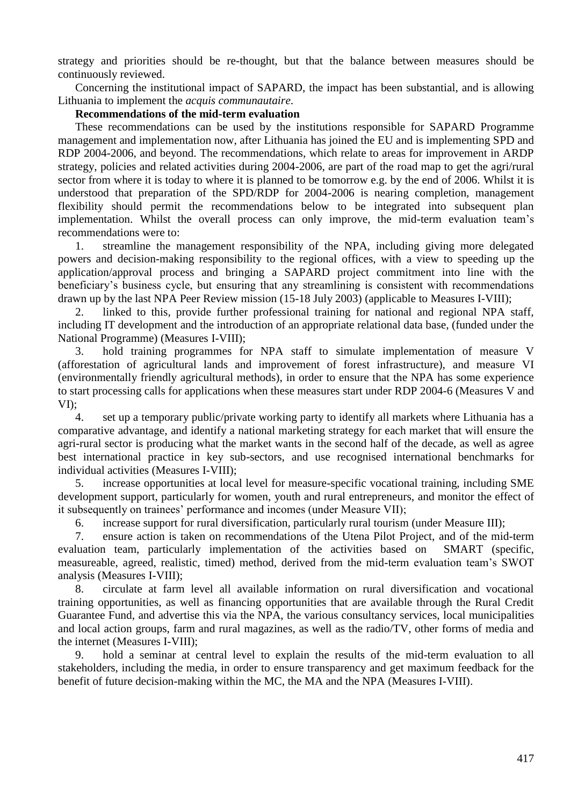strategy and priorities should be re-thought, but that the balance between measures should be continuously reviewed.

Concerning the institutional impact of SAPARD, the impact has been substantial, and is allowing Lithuania to implement the *acquis communautaire*.

#### **Recommendations of the mid-term evaluation**

These recommendations can be used by the institutions responsible for SAPARD Programme management and implementation now, after Lithuania has joined the EU and is implementing SPD and RDP 2004-2006, and beyond. The recommendations, which relate to areas for improvement in ARDP strategy, policies and related activities during 2004-2006, are part of the road map to get the agri/rural sector from where it is today to where it is planned to be tomorrow e.g. by the end of 2006. Whilst it is understood that preparation of the SPD/RDP for 2004-2006 is nearing completion, management flexibility should permit the recommendations below to be integrated into subsequent plan implementation. Whilst the overall process can only improve, the mid-term evaluation team's recommendations were to:

1. streamline the management responsibility of the NPA, including giving more delegated powers and decision-making responsibility to the regional offices, with a view to speeding up the application/approval process and bringing a SAPARD project commitment into line with the beneficiary's business cycle, but ensuring that any streamlining is consistent with recommendations drawn up by the last NPA Peer Review mission (15-18 July 2003) (applicable to Measures I-VIII);

2. linked to this, provide further professional training for national and regional NPA staff, including IT development and the introduction of an appropriate relational data base, (funded under the National Programme) (Measures I-VIII);

3. hold training programmes for NPA staff to simulate implementation of measure V (afforestation of agricultural lands and improvement of forest infrastructure), and measure VI (environmentally friendly agricultural methods), in order to ensure that the NPA has some experience to start processing calls for applications when these measures start under RDP 2004-6 (Measures V and VI);

4. set up a temporary public/private working party to identify all markets where Lithuania has a comparative advantage, and identify a national marketing strategy for each market that will ensure the agri-rural sector is producing what the market wants in the second half of the decade, as well as agree best international practice in key sub-sectors, and use recognised international benchmarks for individual activities (Measures I-VIII);

5. increase opportunities at local level for measure-specific vocational training, including SME development support, particularly for women, youth and rural entrepreneurs, and monitor the effect of it subsequently on trainees' performance and incomes (under Measure VII);

6. increase support for rural diversification, particularly rural tourism (under Measure III);

7. ensure action is taken on recommendations of the Utena Pilot Project, and of the mid-term evaluation team, particularly implementation of the activities based on SMART (specific, measureable, agreed, realistic, timed) method, derived from the mid-term evaluation team's SWOT analysis (Measures I-VIII);

8. circulate at farm level all available information on rural diversification and vocational training opportunities, as well as financing opportunities that are available through the Rural Credit Guarantee Fund, and advertise this via the NPA, the various consultancy services, local municipalities and local action groups, farm and rural magazines, as well as the radio/TV, other forms of media and the internet (Measures I-VIII);

9. hold a seminar at central level to explain the results of the mid-term evaluation to all stakeholders, including the media, in order to ensure transparency and get maximum feedback for the benefit of future decision-making within the MC, the MA and the NPA (Measures I-VIII).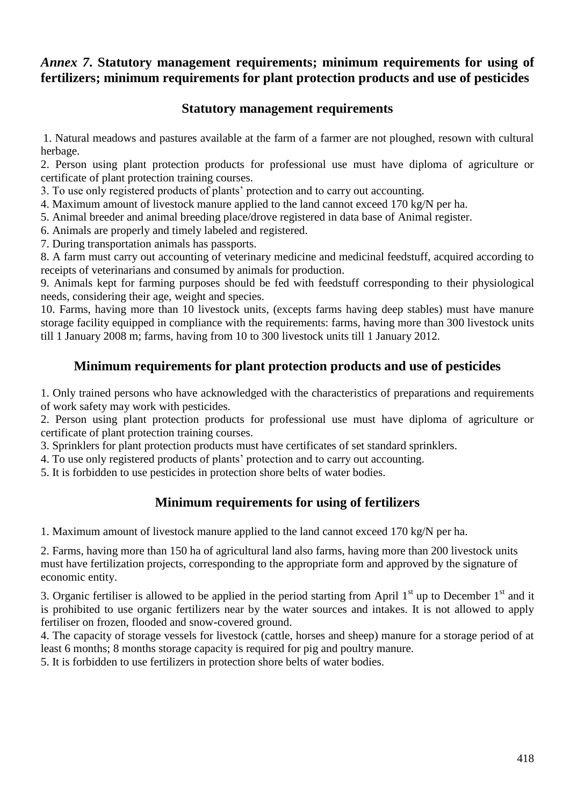# *Annex 7***. Statutory management requirements; minimum requirements for using of fertilizers; minimum requirements for plant protection products and use of pesticides**

# **Statutory management requirements**

1. Natural meadows and pastures available at the farm of a farmer are not ploughed, resown with cultural herbage.

2. Person using plant protection products for professional use must have diploma of agriculture or certificate of plant protection training courses.

3. To use only registered products of plants' protection and to carry out accounting.

4. Maximum amount of livestock manure applied to the land cannot exceed 170 kg/N per ha.

5. Animal breeder and animal breeding place/drove registered in data base of Animal register.

6. Animals are properly and timely labeled and registered.

7. During transportation animals has passports.

8. A farm must carry out accounting of veterinary medicine and medicinal feedstuff, acquired according to receipts of veterinarians and consumed by animals for production.

9. Animals kept for farming purposes should be fed with feedstuff corresponding to their physiological needs, considering their age, weight and species.

10. Farms, having more than 10 livestock units, (excepts farms having deep stables) must have manure storage facility equipped in compliance with the requirements: farms, having more than 300 livestock units till 1 January 2008 m; farms, having from 10 to 300 livestock units till 1 January 2012.

# **Minimum requirements for plant protection products and use of pesticides**

1. Only trained persons who have acknowledged with the characteristics of preparations and requirements of work safety may work with pesticides.

2. Person using plant protection products for professional use must have diploma of agriculture or certificate of plant protection training courses.

3. Sprinklers for plant protection products must have certificates of set standard sprinklers.

4. To use only registered products of plants' protection and to carry out accounting.

5. It is forbidden to use pesticides in protection shore belts of water bodies.

# **Minimum requirements for using of fertilizers**

1. Maximum amount of livestock manure applied to the land cannot exceed 170 kg/N per ha.

2. Farms, having more than 150 ha of agricultural land also farms, having more than 200 livestock units must have fertilization projects, corresponding to the appropriate form and approved by the signature of economic entity.

3. Organic fertiliser is allowed to be applied in the period starting from April  $1<sup>st</sup>$  up to December  $1<sup>st</sup>$  and it is prohibited to use organic fertilizers near by the water sources and intakes. It is not allowed to apply fertiliser on frozen, flooded and snow-covered ground.

4. The capacity of storage vessels for livestock (cattle, horses and sheep) manure for a storage period of at least 6 months; 8 months storage capacity is required for pig and poultry manure.

5. It is forbidden to use fertilizers in protection shore belts of water bodies.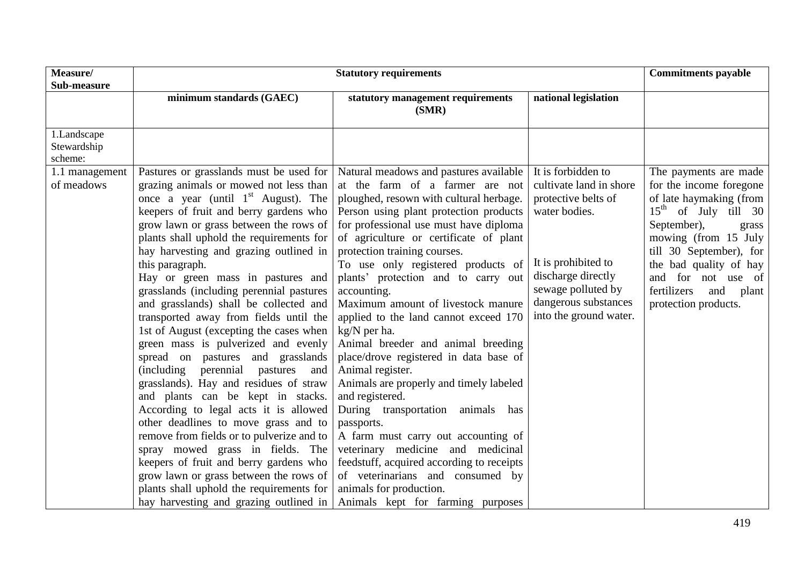| Measure/<br>Sub-measure               | <b>Statutory requirements</b>                                                                                                                                                                                                                                                                                                                                                                                                                                                                                                                                                                                                                                                                                                                                                                                                                                                                                                                                                                                                                                                                     |                                                                                                                                                                                                                                                                                                                                                                                                                                                                                                                                                                                                                                                                                                                                                                                                                                                                                                                                      |                                                                                                                                                                                                            | <b>Commitments payable</b>                                                                                                                                                                                                                                                              |
|---------------------------------------|---------------------------------------------------------------------------------------------------------------------------------------------------------------------------------------------------------------------------------------------------------------------------------------------------------------------------------------------------------------------------------------------------------------------------------------------------------------------------------------------------------------------------------------------------------------------------------------------------------------------------------------------------------------------------------------------------------------------------------------------------------------------------------------------------------------------------------------------------------------------------------------------------------------------------------------------------------------------------------------------------------------------------------------------------------------------------------------------------|--------------------------------------------------------------------------------------------------------------------------------------------------------------------------------------------------------------------------------------------------------------------------------------------------------------------------------------------------------------------------------------------------------------------------------------------------------------------------------------------------------------------------------------------------------------------------------------------------------------------------------------------------------------------------------------------------------------------------------------------------------------------------------------------------------------------------------------------------------------------------------------------------------------------------------------|------------------------------------------------------------------------------------------------------------------------------------------------------------------------------------------------------------|-----------------------------------------------------------------------------------------------------------------------------------------------------------------------------------------------------------------------------------------------------------------------------------------|
|                                       | minimum standards (GAEC)                                                                                                                                                                                                                                                                                                                                                                                                                                                                                                                                                                                                                                                                                                                                                                                                                                                                                                                                                                                                                                                                          | statutory management requirements<br>(SMR)                                                                                                                                                                                                                                                                                                                                                                                                                                                                                                                                                                                                                                                                                                                                                                                                                                                                                           | national legislation                                                                                                                                                                                       |                                                                                                                                                                                                                                                                                         |
| 1.Landscape<br>Stewardship<br>scheme: |                                                                                                                                                                                                                                                                                                                                                                                                                                                                                                                                                                                                                                                                                                                                                                                                                                                                                                                                                                                                                                                                                                   |                                                                                                                                                                                                                                                                                                                                                                                                                                                                                                                                                                                                                                                                                                                                                                                                                                                                                                                                      |                                                                                                                                                                                                            |                                                                                                                                                                                                                                                                                         |
| 1.1 management<br>of meadows          | Pastures or grasslands must be used for<br>grazing animals or mowed not less than<br>once a year (until $1st$ August). The<br>keepers of fruit and berry gardens who<br>grow lawn or grass between the rows of<br>plants shall uphold the requirements for<br>hay harvesting and grazing outlined in<br>this paragraph.<br>Hay or green mass in pastures and<br>grasslands (including perennial pastures<br>and grasslands) shall be collected and<br>transported away from fields until the<br>1st of August (excepting the cases when<br>green mass is pulverized and evenly<br>spread on pastures and grasslands<br><i>(including)</i><br>perennial pastures<br>and<br>grasslands). Hay and residues of straw<br>and plants can be kept in stacks.<br>According to legal acts it is allowed<br>other deadlines to move grass and to<br>remove from fields or to pulverize and to<br>spray mowed grass in fields. The<br>keepers of fruit and berry gardens who<br>grow lawn or grass between the rows of<br>plants shall uphold the requirements for<br>hay harvesting and grazing outlined in | Natural meadows and pastures available<br>at the farm of a farmer are not<br>ploughed, resown with cultural herbage.<br>Person using plant protection products<br>for professional use must have diploma<br>of agriculture or certificate of plant<br>protection training courses.<br>To use only registered products of<br>plants' protection and to carry out<br>accounting.<br>Maximum amount of livestock manure<br>applied to the land cannot exceed 170<br>$kg/N$ per ha.<br>Animal breeder and animal breeding<br>place/drove registered in data base of<br>Animal register.<br>Animals are properly and timely labeled<br>and registered.<br>During transportation animals<br>has<br>passports.<br>A farm must carry out accounting of<br>veterinary medicine and medicinal<br>feedstuff, acquired according to receipts<br>of veterinarians and consumed by<br>animals for production.<br>Animals kept for farming purposes | It is forbidden to<br>cultivate land in shore<br>protective belts of<br>water bodies.<br>It is prohibited to<br>discharge directly<br>sewage polluted by<br>dangerous substances<br>into the ground water. | The payments are made<br>for the income foregone<br>of late haymaking (from<br>$15th$ of July till 30<br>September),<br>grass<br>mowing (from 15 July<br>till 30 September), for<br>the bad quality of hay<br>and for not use of<br>fertilizers<br>and<br>plant<br>protection products. |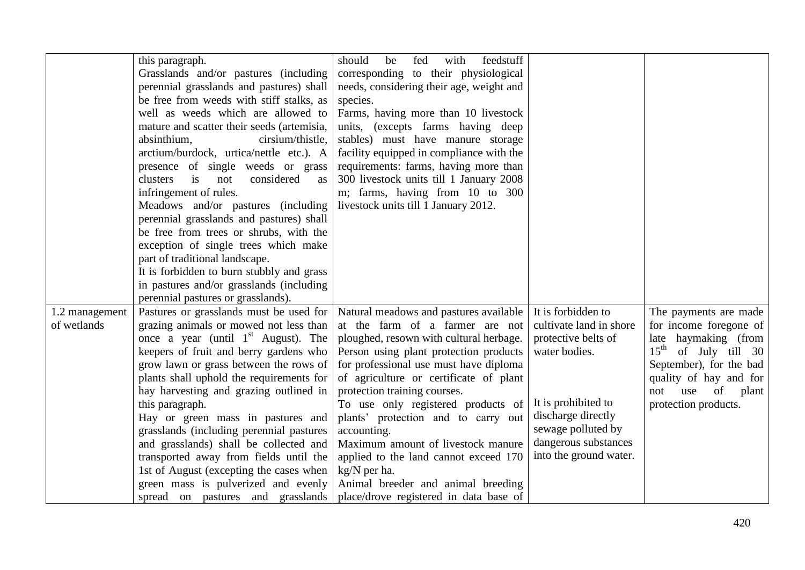|                | this paragraph.                            | should<br>fed<br>with<br>feedstuff<br>be |                         |                           |
|----------------|--------------------------------------------|------------------------------------------|-------------------------|---------------------------|
|                | Grasslands and/or pastures (including      | corresponding to their physiological     |                         |                           |
|                | perennial grasslands and pastures) shall   | needs, considering their age, weight and |                         |                           |
|                | be free from weeds with stiff stalks, as   | species.                                 |                         |                           |
|                | well as weeds which are allowed to         | Farms, having more than 10 livestock     |                         |                           |
|                | mature and scatter their seeds (artemisia, | units, (excepts farms having deep        |                         |                           |
|                | absinthium,<br>cirsium/thistle,            | stables) must have manure storage        |                         |                           |
|                | arctium/burdock, urtica/nettle etc.). A    | facility equipped in compliance with the |                         |                           |
|                | presence of single weeds or grass          | requirements: farms, having more than    |                         |                           |
|                | clusters<br>is<br>considered<br>not<br>as  | 300 livestock units till 1 January 2008  |                         |                           |
|                | infringement of rules.                     | m; farms, having from 10 to 300          |                         |                           |
|                | Meadows and/or pastures (including         | livestock units till 1 January 2012.     |                         |                           |
|                | perennial grasslands and pastures) shall   |                                          |                         |                           |
|                | be free from trees or shrubs, with the     |                                          |                         |                           |
|                | exception of single trees which make       |                                          |                         |                           |
|                | part of traditional landscape.             |                                          |                         |                           |
|                | It is forbidden to burn stubbly and grass  |                                          |                         |                           |
|                | in pastures and/or grasslands (including   |                                          |                         |                           |
|                | perennial pastures or grasslands).         |                                          |                         |                           |
| 1.2 management | Pastures or grasslands must be used for    | Natural meadows and pastures available   | It is forbidden to      | The payments are made     |
| of wetlands    | grazing animals or mowed not less than     | at the farm of a farmer are not          | cultivate land in shore | for income foregone of    |
|                | once a year (until $1st$ August). The      | ploughed, resown with cultural herbage.  | protective belts of     | late haymaking (from      |
|                | keepers of fruit and berry gardens who     | Person using plant protection products   | water bodies.           | $15th$ of July till 30    |
|                | grow lawn or grass between the rows of     | for professional use must have diploma   |                         | September), for the bad   |
|                | plants shall uphold the requirements for   | of agriculture or certificate of plant   |                         | quality of hay and for    |
|                | hay harvesting and grazing outlined in     | protection training courses.             |                         | of<br>use<br>not<br>plant |
|                | this paragraph.                            | To use only registered products of       | It is prohibited to     | protection products.      |
|                | Hay or green mass in pastures and          | plants' protection and to carry out      | discharge directly      |                           |
|                | grasslands (including perennial pastures   | accounting.                              | sewage polluted by      |                           |
|                | and grasslands) shall be collected and     | Maximum amount of livestock manure       | dangerous substances    |                           |
|                | transported away from fields until the     | applied to the land cannot exceed 170    | into the ground water.  |                           |
|                | 1st of August (excepting the cases when    | kg/N per ha.                             |                         |                           |
|                | green mass is pulverized and evenly        | Animal breeder and animal breeding       |                         |                           |
|                | spread on pastures and grasslands          | place/drove registered in data base of   |                         |                           |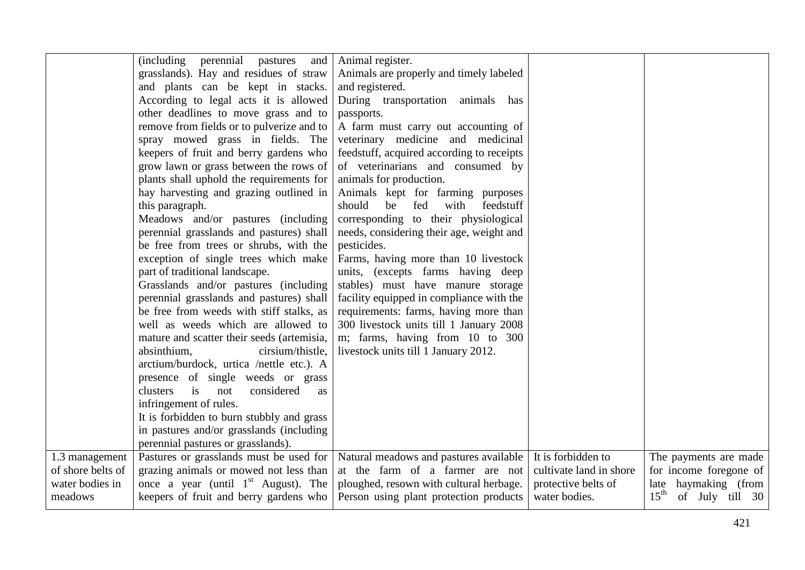|                                     | (including perennial pastures and                                                | Animal register.                          |                                               |                                                             |
|-------------------------------------|----------------------------------------------------------------------------------|-------------------------------------------|-----------------------------------------------|-------------------------------------------------------------|
|                                     | grasslands). Hay and residues of straw                                           | Animals are properly and timely labeled   |                                               |                                                             |
|                                     | and plants can be kept in stacks.                                                | and registered.                           |                                               |                                                             |
|                                     | According to legal acts it is allowed                                            | During transportation animals has         |                                               |                                                             |
|                                     | other deadlines to move grass and to                                             | passports.                                |                                               |                                                             |
|                                     | remove from fields or to pulverize and to                                        | A farm must carry out accounting of       |                                               |                                                             |
|                                     | spray mowed grass in fields. The                                                 | veterinary medicine and medicinal         |                                               |                                                             |
|                                     | keepers of fruit and berry gardens who                                           | feedstuff, acquired according to receipts |                                               |                                                             |
|                                     | grow lawn or grass between the rows of                                           | of veterinarians and consumed by          |                                               |                                                             |
|                                     | plants shall uphold the requirements for                                         | animals for production.                   |                                               |                                                             |
|                                     | hay harvesting and grazing outlined in                                           | Animals kept for farming purposes         |                                               |                                                             |
|                                     | this paragraph.                                                                  | should<br>fed<br>with<br>be<br>feedstuff  |                                               |                                                             |
|                                     | Meadows and/or pastures (including                                               | corresponding to their physiological      |                                               |                                                             |
|                                     | perennial grasslands and pastures) shall                                         | needs, considering their age, weight and  |                                               |                                                             |
|                                     | be free from trees or shrubs, with the                                           | pesticides.                               |                                               |                                                             |
|                                     | exception of single trees which make                                             | Farms, having more than 10 livestock      |                                               |                                                             |
|                                     | part of traditional landscape.                                                   | units, (excepts farms having deep         |                                               |                                                             |
|                                     | Grasslands and/or pastures (including                                            | stables) must have manure storage         |                                               |                                                             |
|                                     | perennial grasslands and pastures) shall                                         | facility equipped in compliance with the  |                                               |                                                             |
|                                     | be free from weeds with stiff stalks, as                                         | requirements: farms, having more than     |                                               |                                                             |
|                                     | well as weeds which are allowed to                                               | 300 livestock units till 1 January 2008   |                                               |                                                             |
|                                     | mature and scatter their seeds (artemisia,                                       | m; farms, having from 10 to 300           |                                               |                                                             |
|                                     | absinthium,<br>cirsium/thistle,                                                  | livestock units till 1 January 2012.      |                                               |                                                             |
|                                     | arctium/burdock, urtica /nettle etc.). A                                         |                                           |                                               |                                                             |
|                                     | presence of single weeds or grass                                                |                                           |                                               |                                                             |
|                                     | is<br>considered<br>clusters<br>not<br>as                                        |                                           |                                               |                                                             |
|                                     | infringement of rules.                                                           |                                           |                                               |                                                             |
|                                     | It is forbidden to burn stubbly and grass                                        |                                           |                                               |                                                             |
|                                     | in pastures and/or grasslands (including                                         |                                           |                                               |                                                             |
|                                     | perennial pastures or grasslands).                                               |                                           |                                               |                                                             |
| 1.3 management<br>of shore belts of | Pastures or grasslands must be used for   Natural meadows and pastures available | at the farm of a farmer are not           | It is forbidden to<br>cultivate land in shore | The payments are made                                       |
| water bodies in                     | grazing animals or mowed not less than<br>once a year (until $1st$ August). The  | ploughed, resown with cultural herbage.   | protective belts of                           | for income foregone of                                      |
| meadows                             | keepers of fruit and berry gardens who                                           | Person using plant protection products    | water bodies.                                 | late haymaking (from<br>$15^{\text{th}}$<br>of July till 30 |
|                                     |                                                                                  |                                           |                                               |                                                             |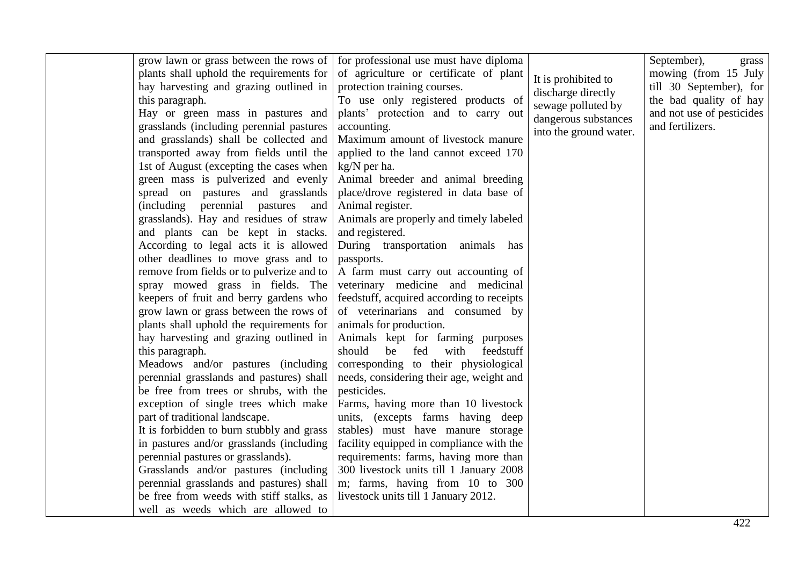| grow lawn or grass between the rows of<br>plants shall uphold the requirements for<br>hay harvesting and grazing outlined in<br>this paragraph.<br>Hay or green mass in pastures and<br>grasslands (including perennial pastures<br>and grasslands) shall be collected and<br>transported away from fields until the<br>1st of August (excepting the cases when<br>green mass is pulverized and evenly<br>spread on pastures and grasslands<br>perennial<br><i>(including)</i><br>pastures<br>and<br>grasslands). Hay and residues of straw<br>and plants can be kept in stacks.<br>According to legal acts it is allowed<br>other deadlines to move grass and to<br>remove from fields or to pulverize and to<br>spray mowed grass in fields. The<br>keepers of fruit and berry gardens who<br>grow lawn or grass between the rows of<br>plants shall uphold the requirements for<br>hay harvesting and grazing outlined in<br>this paragraph.<br>Meadows and/or pastures (including<br>perennial grasslands and pastures) shall<br>be free from trees or shrubs, with the<br>exception of single trees which make<br>part of traditional landscape.<br>It is forbidden to burn stubbly and grass<br>in pastures and/or grasslands (including<br>facility equipped in compliance with the<br>perennial pastures or grasslands).<br>requirements: farms, having more than<br>Grasslands and/or pastures (including<br>300 livestock units till 1 January 2008 | for professional use must have diploma<br>of agriculture or certificate of plant<br>protection training courses.<br>To use only registered products of<br>plants' protection and to carry out<br>accounting.<br>Maximum amount of livestock manure<br>applied to the land cannot exceed 170<br>kg/N per ha.<br>Animal breeder and animal breeding<br>place/drove registered in data base of<br>Animal register.<br>Animals are properly and timely labeled<br>and registered.<br>During transportation animals has<br>passports.<br>A farm must carry out accounting of<br>veterinary medicine and medicinal<br>feedstuff, acquired according to receipts<br>of veterinarians and consumed by<br>animals for production.<br>Animals kept for farming purposes<br>should<br>be<br>fed<br>with<br>feedstuff<br>corresponding to their physiological<br>needs, considering their age, weight and<br>pesticides.<br>Farms, having more than 10 livestock<br>units, (excepts farms having deep<br>stables) must have manure storage | It is prohibited to<br>discharge directly<br>sewage polluted by<br>dangerous substances<br>into the ground water. | September),<br>grass<br>mowing (from 15 July<br>till 30 September), for<br>the bad quality of hay<br>and not use of pesticides<br>and fertilizers. |
|---------------------------------------------------------------------------------------------------------------------------------------------------------------------------------------------------------------------------------------------------------------------------------------------------------------------------------------------------------------------------------------------------------------------------------------------------------------------------------------------------------------------------------------------------------------------------------------------------------------------------------------------------------------------------------------------------------------------------------------------------------------------------------------------------------------------------------------------------------------------------------------------------------------------------------------------------------------------------------------------------------------------------------------------------------------------------------------------------------------------------------------------------------------------------------------------------------------------------------------------------------------------------------------------------------------------------------------------------------------------------------------------------------------------------------------------------------------|--------------------------------------------------------------------------------------------------------------------------------------------------------------------------------------------------------------------------------------------------------------------------------------------------------------------------------------------------------------------------------------------------------------------------------------------------------------------------------------------------------------------------------------------------------------------------------------------------------------------------------------------------------------------------------------------------------------------------------------------------------------------------------------------------------------------------------------------------------------------------------------------------------------------------------------------------------------------------------------------------------------------------------|-------------------------------------------------------------------------------------------------------------------|----------------------------------------------------------------------------------------------------------------------------------------------------|
|---------------------------------------------------------------------------------------------------------------------------------------------------------------------------------------------------------------------------------------------------------------------------------------------------------------------------------------------------------------------------------------------------------------------------------------------------------------------------------------------------------------------------------------------------------------------------------------------------------------------------------------------------------------------------------------------------------------------------------------------------------------------------------------------------------------------------------------------------------------------------------------------------------------------------------------------------------------------------------------------------------------------------------------------------------------------------------------------------------------------------------------------------------------------------------------------------------------------------------------------------------------------------------------------------------------------------------------------------------------------------------------------------------------------------------------------------------------|--------------------------------------------------------------------------------------------------------------------------------------------------------------------------------------------------------------------------------------------------------------------------------------------------------------------------------------------------------------------------------------------------------------------------------------------------------------------------------------------------------------------------------------------------------------------------------------------------------------------------------------------------------------------------------------------------------------------------------------------------------------------------------------------------------------------------------------------------------------------------------------------------------------------------------------------------------------------------------------------------------------------------------|-------------------------------------------------------------------------------------------------------------------|----------------------------------------------------------------------------------------------------------------------------------------------------|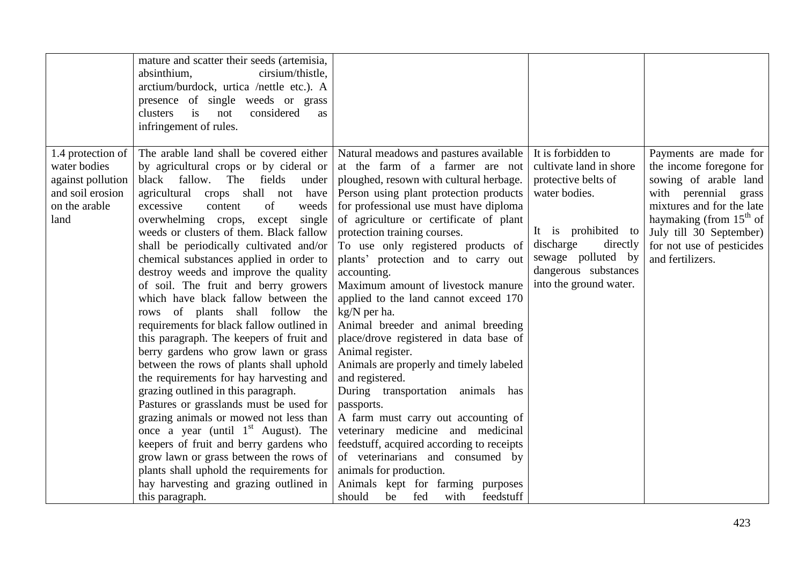|                                                                                                     | mature and scatter their seeds (artemisia,<br>absinthium,<br>cirsium/thistle,<br>arctium/burdock, urtica /nettle etc.). A<br>presence of single weeds or grass<br>clusters<br>considered<br>is<br>not<br>as<br>infringement of rules.                                                                                                                                                                                                                                                                                                                                                                                                                                                                                                                                                                                                                                                                                                                                                                                                                                                                                                                                                |                                                                                                                                                                                                                                                                                                                                                                                                                                                                                                                                                                                                                                                                                                                                                                                                                                                                                                                                   |                                                                                                                                                                                                               |                                                                                                                                                                                                                                         |
|-----------------------------------------------------------------------------------------------------|--------------------------------------------------------------------------------------------------------------------------------------------------------------------------------------------------------------------------------------------------------------------------------------------------------------------------------------------------------------------------------------------------------------------------------------------------------------------------------------------------------------------------------------------------------------------------------------------------------------------------------------------------------------------------------------------------------------------------------------------------------------------------------------------------------------------------------------------------------------------------------------------------------------------------------------------------------------------------------------------------------------------------------------------------------------------------------------------------------------------------------------------------------------------------------------|-----------------------------------------------------------------------------------------------------------------------------------------------------------------------------------------------------------------------------------------------------------------------------------------------------------------------------------------------------------------------------------------------------------------------------------------------------------------------------------------------------------------------------------------------------------------------------------------------------------------------------------------------------------------------------------------------------------------------------------------------------------------------------------------------------------------------------------------------------------------------------------------------------------------------------------|---------------------------------------------------------------------------------------------------------------------------------------------------------------------------------------------------------------|-----------------------------------------------------------------------------------------------------------------------------------------------------------------------------------------------------------------------------------------|
| 1.4 protection of<br>water bodies<br>against pollution<br>and soil erosion<br>on the arable<br>land | The arable land shall be covered either   Natural meadows and pastures available<br>by agricultural crops or by cideral or<br>black fallow.<br>The fields<br>under<br>crops shall not<br>agricultural<br>have<br>excessive<br>of<br>content<br>weeds<br>overwhelming crops,<br>except<br>single<br>weeds or clusters of them. Black fallow<br>shall be periodically cultivated and/or<br>chemical substances applied in order to<br>destroy weeds and improve the quality<br>of soil. The fruit and berry growers<br>which have black fallow between the<br>rows of plants shall follow the<br>requirements for black fallow outlined in<br>this paragraph. The keepers of fruit and<br>berry gardens who grow lawn or grass<br>between the rows of plants shall uphold<br>the requirements for hay harvesting and<br>grazing outlined in this paragraph.<br>Pastures or grasslands must be used for<br>grazing animals or mowed not less than<br>once a year (until $1st$ August). The<br>keepers of fruit and berry gardens who<br>grow lawn or grass between the rows of<br>plants shall uphold the requirements for<br>hay harvesting and grazing outlined in<br>this paragraph. | at the farm of a farmer are not<br>ploughed, resown with cultural herbage.<br>Person using plant protection products<br>for professional use must have diploma<br>of agriculture or certificate of plant<br>protection training courses.<br>To use only registered products of<br>plants' protection and to carry out<br>accounting.<br>Maximum amount of livestock manure<br>applied to the land cannot exceed 170<br>kg/N per ha.<br>Animal breeder and animal breeding<br>place/drove registered in data base of<br>Animal register.<br>Animals are properly and timely labeled<br>and registered.<br>During transportation animals has<br>passports.<br>A farm must carry out accounting of<br>veterinary medicine and medicinal<br>feedstuff, acquired according to receipts<br>of veterinarians and consumed by<br>animals for production.<br>Animals kept for farming purposes<br>should<br>be<br>fed<br>with<br>feedstuff | It is forbidden to<br>cultivate land in shore<br>protective belts of<br>water bodies.<br>It is prohibited to<br>discharge<br>directly<br>sewage polluted by<br>dangerous substances<br>into the ground water. | Payments are made for<br>the income foregone for<br>sowing of arable land<br>with perennial grass<br>mixtures and for the late<br>haymaking (from $15th$ of<br>July till 30 September)<br>for not use of pesticides<br>and fertilizers. |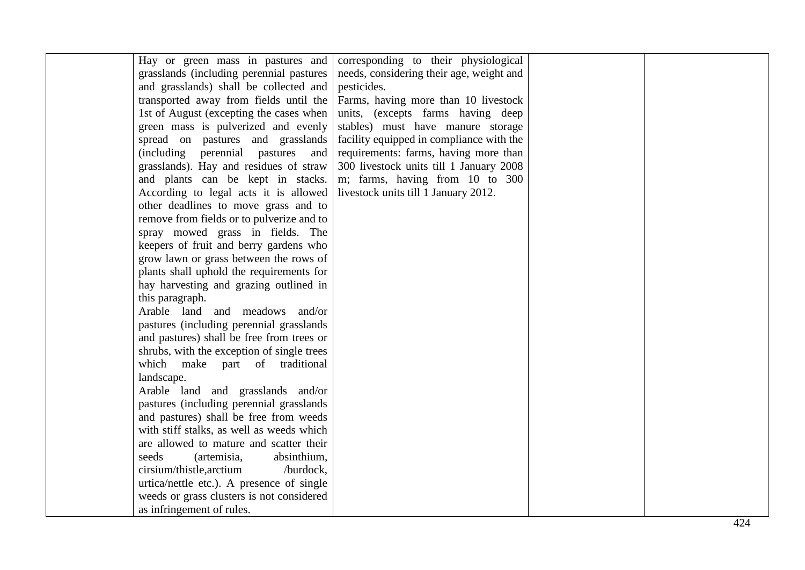| Hay or green mass in pastures and<br>grasslands (including perennial pastures)<br>and grasslands) shall be collected and<br>transported away from fields until the<br>1st of August (excepting the cases when<br>green mass is pulverized and evenly<br>spread on pastures and grasslands<br>(including perennial pastures<br>and<br>grasslands). Hay and residues of straw<br>and plants can be kept in stacks.<br>According to legal acts it is allowed<br>other deadlines to move grass and to<br>remove from fields or to pulverize and to<br>spray mowed grass in fields. The<br>keepers of fruit and berry gardens who<br>grow lawn or grass between the rows of<br>plants shall uphold the requirements for<br>hay harvesting and grazing outlined in<br>this paragraph.<br>Arable land and meadows and/or<br>pastures (including perennial grasslands)<br>and pastures) shall be free from trees or<br>shrubs, with the exception of single trees<br>which make part of traditional<br>landscape.<br>Arable land and grasslands and/or<br>pastures (including perennial grasslands<br>and pastures) shall be free from weeds<br>with stiff stalks, as well as weeds which<br>are allowed to mature and scatter their<br>seeds<br>absinthium,<br>(artemisia, | corresponding to their physiological<br>needs, considering their age, weight and<br>pesticides.<br>Farms, having more than 10 livestock<br>units, (excepts farms having deep<br>stables) must have manure storage<br>facility equipped in compliance with the<br>requirements: farms, having more than<br>300 livestock units till 1 January 2008<br>m; farms, having from 10 to 300<br>livestock units till 1 January 2012. |                    |
|---------------------------------------------------------------------------------------------------------------------------------------------------------------------------------------------------------------------------------------------------------------------------------------------------------------------------------------------------------------------------------------------------------------------------------------------------------------------------------------------------------------------------------------------------------------------------------------------------------------------------------------------------------------------------------------------------------------------------------------------------------------------------------------------------------------------------------------------------------------------------------------------------------------------------------------------------------------------------------------------------------------------------------------------------------------------------------------------------------------------------------------------------------------------------------------------------------------------------------------------------------------------|------------------------------------------------------------------------------------------------------------------------------------------------------------------------------------------------------------------------------------------------------------------------------------------------------------------------------------------------------------------------------------------------------------------------------|--------------------|
| cirsium/thistle, arctium<br>/burdock,<br>urtica/nettle etc.). A presence of single<br>weeds or grass clusters is not considered<br>as infringement of rules.                                                                                                                                                                                                                                                                                                                                                                                                                                                                                                                                                                                                                                                                                                                                                                                                                                                                                                                                                                                                                                                                                                        |                                                                                                                                                                                                                                                                                                                                                                                                                              |                    |
|                                                                                                                                                                                                                                                                                                                                                                                                                                                                                                                                                                                                                                                                                                                                                                                                                                                                                                                                                                                                                                                                                                                                                                                                                                                                     |                                                                                                                                                                                                                                                                                                                                                                                                                              | $\Lambda$ $\Omega$ |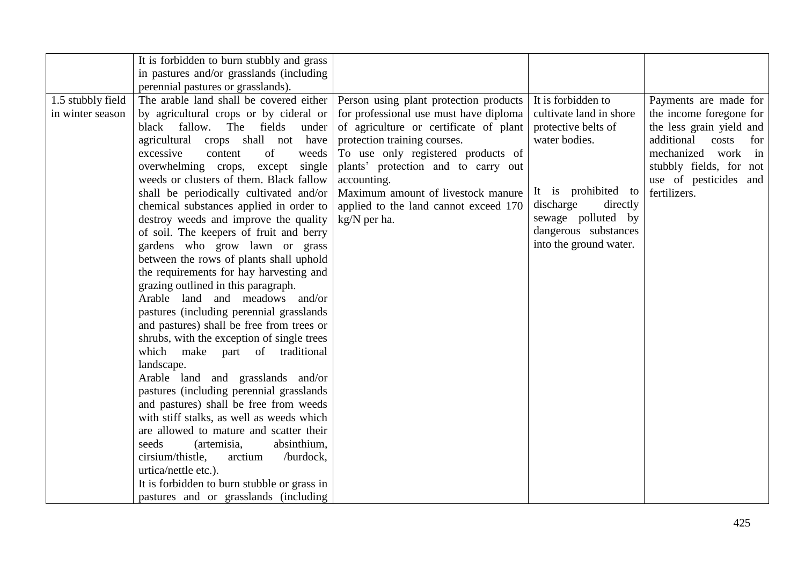|                                       | It is forbidden to burn stubbly and grass<br>in pastures and/or grasslands (including<br>perennial pastures or grasslands).                                                                                                                                                                                                                                                                                                                                                                                                                                                                                                                                                                                                                                                                                                                                                                                                                                                                                                                                                                                                                                                                                                                                                                                                         |                                                                                                                                                                                                                                                                                                             |                                                                                                                                                                                                               |                                                                                                                                                                                                         |
|---------------------------------------|-------------------------------------------------------------------------------------------------------------------------------------------------------------------------------------------------------------------------------------------------------------------------------------------------------------------------------------------------------------------------------------------------------------------------------------------------------------------------------------------------------------------------------------------------------------------------------------------------------------------------------------------------------------------------------------------------------------------------------------------------------------------------------------------------------------------------------------------------------------------------------------------------------------------------------------------------------------------------------------------------------------------------------------------------------------------------------------------------------------------------------------------------------------------------------------------------------------------------------------------------------------------------------------------------------------------------------------|-------------------------------------------------------------------------------------------------------------------------------------------------------------------------------------------------------------------------------------------------------------------------------------------------------------|---------------------------------------------------------------------------------------------------------------------------------------------------------------------------------------------------------------|---------------------------------------------------------------------------------------------------------------------------------------------------------------------------------------------------------|
| 1.5 stubbly field<br>in winter season | The arable land shall be covered either   Person using plant protection products  <br>by agricultural crops or by cideral or<br>black fallow.<br>fields<br>The<br>under<br>agricultural crops shall not have<br>excessive<br>of<br>content<br>weeds<br>overwhelming crops,<br>except<br>single<br>weeds or clusters of them. Black fallow<br>shall be periodically cultivated and/or<br>chemical substances applied in order to<br>destroy weeds and improve the quality<br>of soil. The keepers of fruit and berry<br>gardens who grow lawn or grass<br>between the rows of plants shall uphold<br>the requirements for hay harvesting and<br>grazing outlined in this paragraph.<br>Arable land and meadows and/or<br>pastures (including perennial grasslands)<br>and pastures) shall be free from trees or<br>shrubs, with the exception of single trees<br>which make part of traditional<br>landscape.<br>Arable land and grasslands and/or<br>pastures (including perennial grasslands)<br>and pastures) shall be free from weeds<br>with stiff stalks, as well as weeds which<br>are allowed to mature and scatter their<br>seeds<br>absinthium,<br>(artemisia,<br>cirsium/thistle,<br>/burdock,<br>arctium<br>urtica/nettle etc.).<br>It is forbidden to burn stubble or grass in<br>pastures and or grasslands (including | for professional use must have diploma<br>of agriculture or certificate of plant<br>protection training courses.<br>To use only registered products of<br>plants' protection and to carry out<br>accounting.<br>Maximum amount of livestock manure<br>applied to the land cannot exceed 170<br>kg/N per ha. | It is forbidden to<br>cultivate land in shore<br>protective belts of<br>water bodies.<br>It is prohibited to<br>discharge<br>directly<br>sewage polluted by<br>dangerous substances<br>into the ground water. | Payments are made for<br>the income foregone for<br>the less grain yield and<br>additional<br>costs<br>for<br>mechanized work<br>in<br>stubbly fields, for not<br>use of pesticides and<br>fertilizers. |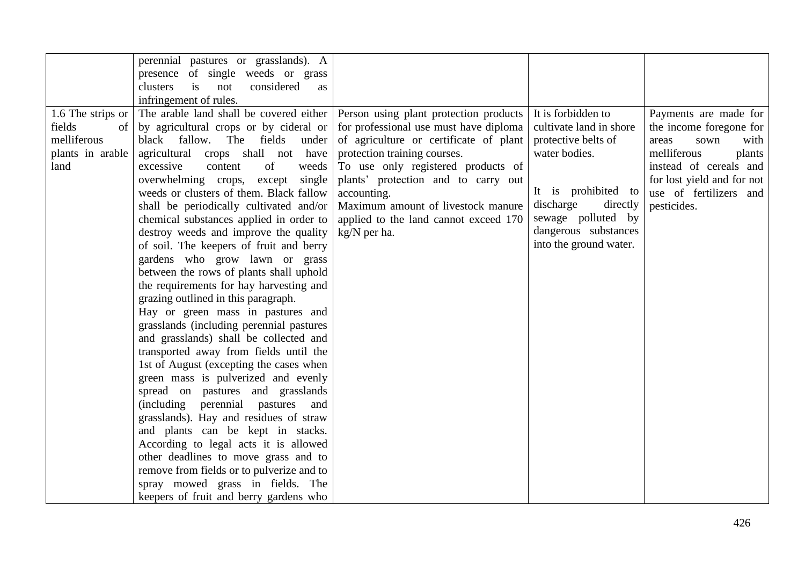|                   | perennial pastures or grasslands). A      |                                                                                |                         |                            |
|-------------------|-------------------------------------------|--------------------------------------------------------------------------------|-------------------------|----------------------------|
|                   | presence of single weeds or grass         |                                                                                |                         |                            |
|                   | clusters<br>considered<br>is<br>not<br>as |                                                                                |                         |                            |
|                   | infringement of rules.                    |                                                                                |                         |                            |
| 1.6 The strips or |                                           | The arable land shall be covered either Person using plant protection products | It is forbidden to      | Payments are made for      |
| fields<br>of      | by agricultural crops or by cideral or    | for professional use must have diploma                                         | cultivate land in shore | the income foregone for    |
| melliferous       | black fallow. The fields<br>under         | of agriculture or certificate of plant                                         | protective belts of     | areas<br>sown<br>with      |
| plants in arable  | agricultural crops shall not have         | protection training courses.                                                   | water bodies.           | melliferous<br>plants      |
| land              | of<br>excessive<br>content<br>weeds       | To use only registered products of                                             |                         | instead of cereals and     |
|                   | overwhelming crops,<br>single<br>except   | plants' protection and to carry out                                            |                         | for lost yield and for not |
|                   | weeds or clusters of them. Black fallow   | accounting.                                                                    | It is prohibited to     | use of fertilizers and     |
|                   | shall be periodically cultivated and/or   | Maximum amount of livestock manure                                             | discharge<br>directly   | pesticides.                |
|                   | chemical substances applied in order to   | applied to the land cannot exceed 170                                          | sewage polluted by      |                            |
|                   | destroy weeds and improve the quality     | kg/N per ha.                                                                   | dangerous substances    |                            |
|                   | of soil. The keepers of fruit and berry   |                                                                                | into the ground water.  |                            |
|                   | gardens who grow lawn or grass            |                                                                                |                         |                            |
|                   | between the rows of plants shall uphold   |                                                                                |                         |                            |
|                   | the requirements for hay harvesting and   |                                                                                |                         |                            |
|                   | grazing outlined in this paragraph.       |                                                                                |                         |                            |
|                   | Hay or green mass in pastures and         |                                                                                |                         |                            |
|                   | grasslands (including perennial pastures  |                                                                                |                         |                            |
|                   | and grasslands) shall be collected and    |                                                                                |                         |                            |
|                   | transported away from fields until the    |                                                                                |                         |                            |
|                   | 1st of August (excepting the cases when   |                                                                                |                         |                            |
|                   | green mass is pulverized and evenly       |                                                                                |                         |                            |
|                   | spread on pastures and grasslands         |                                                                                |                         |                            |
|                   | (including perennial pastures<br>and      |                                                                                |                         |                            |
|                   | grasslands). Hay and residues of straw    |                                                                                |                         |                            |
|                   | and plants can be kept in stacks.         |                                                                                |                         |                            |
|                   | According to legal acts it is allowed     |                                                                                |                         |                            |
|                   | other deadlines to move grass and to      |                                                                                |                         |                            |
|                   | remove from fields or to pulverize and to |                                                                                |                         |                            |
|                   | spray mowed grass in fields. The          |                                                                                |                         |                            |
|                   | keepers of fruit and berry gardens who    |                                                                                |                         |                            |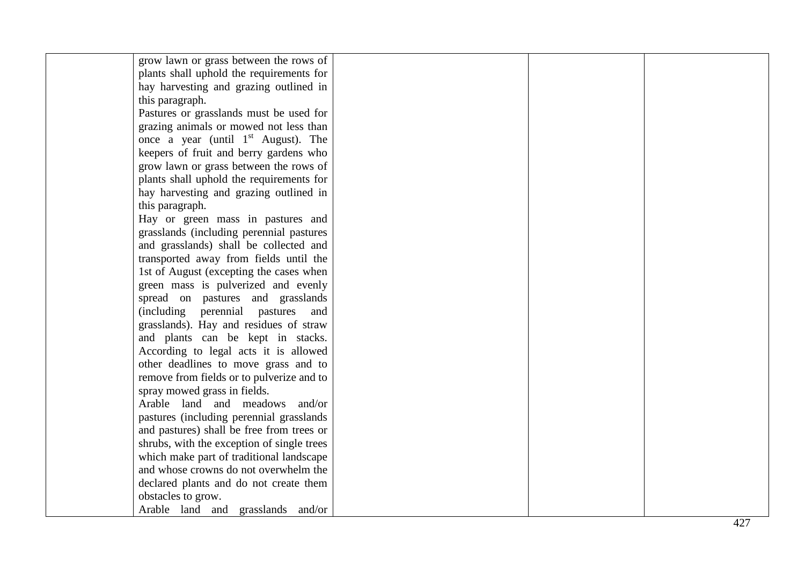| plants shall uphold the requirements for<br>hay harvesting and grazing outlined in<br>this paragraph.<br>Pastures or grasslands must be used for<br>grazing animals or mowed not less than<br>once a year (until $1st$ August). The<br>keepers of fruit and berry gardens who<br>grow lawn or grass between the rows of<br>plants shall uphold the requirements for<br>hay harvesting and grazing outlined in<br>this paragraph.<br>Hay or green mass in pastures and<br>grasslands (including perennial pastures<br>and grasslands) shall be collected and<br>transported away from fields until the<br>1st of August (excepting the cases when<br>green mass is pulverized and evenly<br>spread on pastures and grasslands<br>(including perennial pastures and<br>grasslands). Hay and residues of straw<br>and plants can be kept in stacks.<br>According to legal acts it is allowed<br>other deadlines to move grass and to<br>remove from fields or to pulverize and to<br>spray mowed grass in fields.<br>Arable land and meadows and/or<br>pastures (including perennial grasslands)<br>and pastures) shall be free from trees or<br>shrubs, with the exception of single trees<br>which make part of traditional landscape<br>and whose crowns do not overwhelm the | grow lawn or grass between the rows of |  |  |
|-------------------------------------------------------------------------------------------------------------------------------------------------------------------------------------------------------------------------------------------------------------------------------------------------------------------------------------------------------------------------------------------------------------------------------------------------------------------------------------------------------------------------------------------------------------------------------------------------------------------------------------------------------------------------------------------------------------------------------------------------------------------------------------------------------------------------------------------------------------------------------------------------------------------------------------------------------------------------------------------------------------------------------------------------------------------------------------------------------------------------------------------------------------------------------------------------------------------------------------------------------------------------------|----------------------------------------|--|--|
|                                                                                                                                                                                                                                                                                                                                                                                                                                                                                                                                                                                                                                                                                                                                                                                                                                                                                                                                                                                                                                                                                                                                                                                                                                                                               |                                        |  |  |
|                                                                                                                                                                                                                                                                                                                                                                                                                                                                                                                                                                                                                                                                                                                                                                                                                                                                                                                                                                                                                                                                                                                                                                                                                                                                               |                                        |  |  |
|                                                                                                                                                                                                                                                                                                                                                                                                                                                                                                                                                                                                                                                                                                                                                                                                                                                                                                                                                                                                                                                                                                                                                                                                                                                                               |                                        |  |  |
|                                                                                                                                                                                                                                                                                                                                                                                                                                                                                                                                                                                                                                                                                                                                                                                                                                                                                                                                                                                                                                                                                                                                                                                                                                                                               |                                        |  |  |
|                                                                                                                                                                                                                                                                                                                                                                                                                                                                                                                                                                                                                                                                                                                                                                                                                                                                                                                                                                                                                                                                                                                                                                                                                                                                               |                                        |  |  |
|                                                                                                                                                                                                                                                                                                                                                                                                                                                                                                                                                                                                                                                                                                                                                                                                                                                                                                                                                                                                                                                                                                                                                                                                                                                                               |                                        |  |  |
|                                                                                                                                                                                                                                                                                                                                                                                                                                                                                                                                                                                                                                                                                                                                                                                                                                                                                                                                                                                                                                                                                                                                                                                                                                                                               |                                        |  |  |
|                                                                                                                                                                                                                                                                                                                                                                                                                                                                                                                                                                                                                                                                                                                                                                                                                                                                                                                                                                                                                                                                                                                                                                                                                                                                               |                                        |  |  |
|                                                                                                                                                                                                                                                                                                                                                                                                                                                                                                                                                                                                                                                                                                                                                                                                                                                                                                                                                                                                                                                                                                                                                                                                                                                                               |                                        |  |  |
|                                                                                                                                                                                                                                                                                                                                                                                                                                                                                                                                                                                                                                                                                                                                                                                                                                                                                                                                                                                                                                                                                                                                                                                                                                                                               |                                        |  |  |
|                                                                                                                                                                                                                                                                                                                                                                                                                                                                                                                                                                                                                                                                                                                                                                                                                                                                                                                                                                                                                                                                                                                                                                                                                                                                               |                                        |  |  |
|                                                                                                                                                                                                                                                                                                                                                                                                                                                                                                                                                                                                                                                                                                                                                                                                                                                                                                                                                                                                                                                                                                                                                                                                                                                                               |                                        |  |  |
|                                                                                                                                                                                                                                                                                                                                                                                                                                                                                                                                                                                                                                                                                                                                                                                                                                                                                                                                                                                                                                                                                                                                                                                                                                                                               |                                        |  |  |
|                                                                                                                                                                                                                                                                                                                                                                                                                                                                                                                                                                                                                                                                                                                                                                                                                                                                                                                                                                                                                                                                                                                                                                                                                                                                               |                                        |  |  |
|                                                                                                                                                                                                                                                                                                                                                                                                                                                                                                                                                                                                                                                                                                                                                                                                                                                                                                                                                                                                                                                                                                                                                                                                                                                                               |                                        |  |  |
|                                                                                                                                                                                                                                                                                                                                                                                                                                                                                                                                                                                                                                                                                                                                                                                                                                                                                                                                                                                                                                                                                                                                                                                                                                                                               |                                        |  |  |
|                                                                                                                                                                                                                                                                                                                                                                                                                                                                                                                                                                                                                                                                                                                                                                                                                                                                                                                                                                                                                                                                                                                                                                                                                                                                               |                                        |  |  |
|                                                                                                                                                                                                                                                                                                                                                                                                                                                                                                                                                                                                                                                                                                                                                                                                                                                                                                                                                                                                                                                                                                                                                                                                                                                                               |                                        |  |  |
|                                                                                                                                                                                                                                                                                                                                                                                                                                                                                                                                                                                                                                                                                                                                                                                                                                                                                                                                                                                                                                                                                                                                                                                                                                                                               |                                        |  |  |
|                                                                                                                                                                                                                                                                                                                                                                                                                                                                                                                                                                                                                                                                                                                                                                                                                                                                                                                                                                                                                                                                                                                                                                                                                                                                               |                                        |  |  |
|                                                                                                                                                                                                                                                                                                                                                                                                                                                                                                                                                                                                                                                                                                                                                                                                                                                                                                                                                                                                                                                                                                                                                                                                                                                                               |                                        |  |  |
|                                                                                                                                                                                                                                                                                                                                                                                                                                                                                                                                                                                                                                                                                                                                                                                                                                                                                                                                                                                                                                                                                                                                                                                                                                                                               |                                        |  |  |
|                                                                                                                                                                                                                                                                                                                                                                                                                                                                                                                                                                                                                                                                                                                                                                                                                                                                                                                                                                                                                                                                                                                                                                                                                                                                               |                                        |  |  |
|                                                                                                                                                                                                                                                                                                                                                                                                                                                                                                                                                                                                                                                                                                                                                                                                                                                                                                                                                                                                                                                                                                                                                                                                                                                                               |                                        |  |  |
|                                                                                                                                                                                                                                                                                                                                                                                                                                                                                                                                                                                                                                                                                                                                                                                                                                                                                                                                                                                                                                                                                                                                                                                                                                                                               |                                        |  |  |
|                                                                                                                                                                                                                                                                                                                                                                                                                                                                                                                                                                                                                                                                                                                                                                                                                                                                                                                                                                                                                                                                                                                                                                                                                                                                               |                                        |  |  |
|                                                                                                                                                                                                                                                                                                                                                                                                                                                                                                                                                                                                                                                                                                                                                                                                                                                                                                                                                                                                                                                                                                                                                                                                                                                                               |                                        |  |  |
|                                                                                                                                                                                                                                                                                                                                                                                                                                                                                                                                                                                                                                                                                                                                                                                                                                                                                                                                                                                                                                                                                                                                                                                                                                                                               |                                        |  |  |
|                                                                                                                                                                                                                                                                                                                                                                                                                                                                                                                                                                                                                                                                                                                                                                                                                                                                                                                                                                                                                                                                                                                                                                                                                                                                               |                                        |  |  |
|                                                                                                                                                                                                                                                                                                                                                                                                                                                                                                                                                                                                                                                                                                                                                                                                                                                                                                                                                                                                                                                                                                                                                                                                                                                                               |                                        |  |  |
|                                                                                                                                                                                                                                                                                                                                                                                                                                                                                                                                                                                                                                                                                                                                                                                                                                                                                                                                                                                                                                                                                                                                                                                                                                                                               |                                        |  |  |
|                                                                                                                                                                                                                                                                                                                                                                                                                                                                                                                                                                                                                                                                                                                                                                                                                                                                                                                                                                                                                                                                                                                                                                                                                                                                               |                                        |  |  |
| declared plants and do not create them                                                                                                                                                                                                                                                                                                                                                                                                                                                                                                                                                                                                                                                                                                                                                                                                                                                                                                                                                                                                                                                                                                                                                                                                                                        |                                        |  |  |
| obstacles to grow.                                                                                                                                                                                                                                                                                                                                                                                                                                                                                                                                                                                                                                                                                                                                                                                                                                                                                                                                                                                                                                                                                                                                                                                                                                                            |                                        |  |  |
| Arable land and grasslands and/or                                                                                                                                                                                                                                                                                                                                                                                                                                                                                                                                                                                                                                                                                                                                                                                                                                                                                                                                                                                                                                                                                                                                                                                                                                             |                                        |  |  |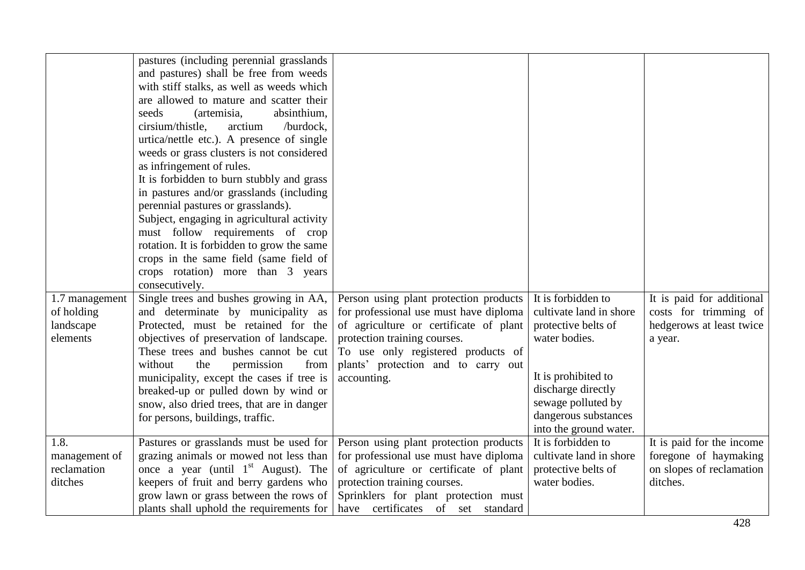|                | pastures (including perennial grasslands)  |                                        |                         |                           |
|----------------|--------------------------------------------|----------------------------------------|-------------------------|---------------------------|
|                | and pastures) shall be free from weeds     |                                        |                         |                           |
|                | with stiff stalks, as well as weeds which  |                                        |                         |                           |
|                | are allowed to mature and scatter their    |                                        |                         |                           |
|                | seeds<br>(artemisia,<br>absinthium,        |                                        |                         |                           |
|                | cirsium/thistle,<br>arctium<br>/burdock,   |                                        |                         |                           |
|                | urtica/nettle etc.). A presence of single  |                                        |                         |                           |
|                | weeds or grass clusters is not considered  |                                        |                         |                           |
|                | as infringement of rules.                  |                                        |                         |                           |
|                | It is forbidden to burn stubbly and grass  |                                        |                         |                           |
|                | in pastures and/or grasslands (including   |                                        |                         |                           |
|                | perennial pastures or grasslands).         |                                        |                         |                           |
|                | Subject, engaging in agricultural activity |                                        |                         |                           |
|                | must follow requirements of crop           |                                        |                         |                           |
|                | rotation. It is forbidden to grow the same |                                        |                         |                           |
|                | crops in the same field (same field of     |                                        |                         |                           |
|                | crops rotation) more than 3 years          |                                        |                         |                           |
|                | consecutively.                             |                                        |                         |                           |
| 1.7 management | Single trees and bushes growing in AA,     | Person using plant protection products | It is forbidden to      | It is paid for additional |
| of holding     | and determinate by municipality as         | for professional use must have diploma | cultivate land in shore | costs for trimming of     |
| landscape      | Protected, must be retained for the        | of agriculture or certificate of plant | protective belts of     | hedgerows at least twice  |
| elements       | objectives of preservation of landscape.   | protection training courses.           | water bodies.           | a year.                   |
|                | These trees and bushes cannot be cut       | To use only registered products of     |                         |                           |
|                | without<br>the<br>permission<br>from       | plants' protection and to carry out    |                         |                           |
|                | municipality, except the cases if tree is  | accounting.                            | It is prohibited to     |                           |
|                | breaked-up or pulled down by wind or       |                                        | discharge directly      |                           |
|                | snow, also dried trees, that are in danger |                                        | sewage polluted by      |                           |
|                | for persons, buildings, traffic.           |                                        | dangerous substances    |                           |
|                |                                            |                                        | into the ground water.  |                           |
| 1.8.           | Pastures or grasslands must be used for    | Person using plant protection products | It is forbidden to      | It is paid for the income |
| management of  | grazing animals or mowed not less than     | for professional use must have diploma | cultivate land in shore | foregone of haymaking     |
| reclamation    | once a year (until $1st$ August). The      | of agriculture or certificate of plant | protective belts of     | on slopes of reclamation  |
| ditches        | keepers of fruit and berry gardens who     | protection training courses.           | water bodies.           | ditches.                  |
|                | grow lawn or grass between the rows of     | Sprinklers for plant protection must   |                         |                           |
|                | plants shall uphold the requirements for   | have certificates of set standard      |                         |                           |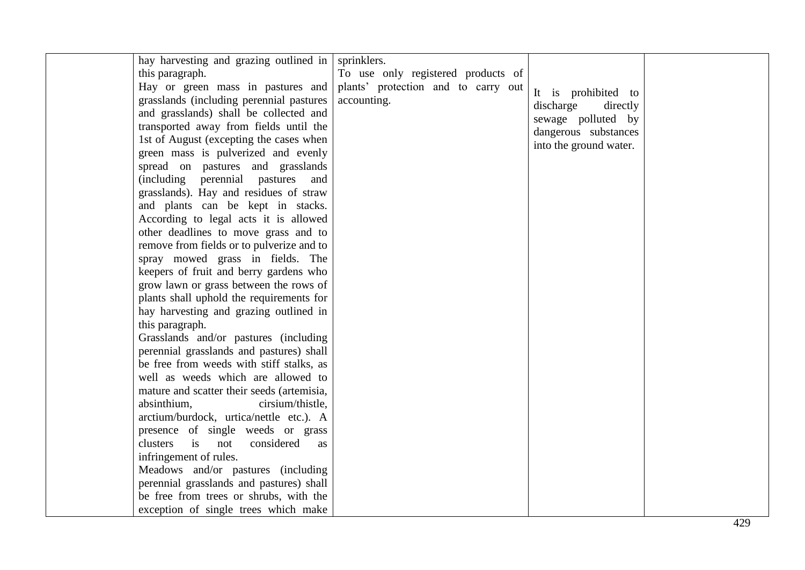| this paragraph.<br>To use only registered products of<br>Hay or green mass in pastures and<br>plants' protection and to carry out<br>It is prohibited to<br>grasslands (including perennial pastures<br>accounting.<br>discharge<br>directly<br>and grasslands) shall be collected and<br>sewage polluted by<br>transported away from fields until the<br>dangerous substances<br>1st of August (excepting the cases when<br>into the ground water.<br>green mass is pulverized and evenly<br>spread on pastures and grasslands<br>(including perennial pastures<br>and<br>grasslands). Hay and residues of straw<br>and plants can be kept in stacks.<br>According to legal acts it is allowed<br>other deadlines to move grass and to<br>remove from fields or to pulverize and to<br>spray mowed grass in fields. The<br>keepers of fruit and berry gardens who<br>grow lawn or grass between the rows of<br>plants shall uphold the requirements for<br>hay harvesting and grazing outlined in<br>this paragraph.<br>Grasslands and/or pastures (including<br>perennial grasslands and pastures) shall<br>be free from weeds with stiff stalks, as<br>well as weeds which are allowed to<br>mature and scatter their seeds (artemisia,<br>absinthium,<br>cirsium/thistle,<br>arctium/burdock, urtica/nettle etc.). A<br>presence of single weeds or grass<br>clusters is not<br>considered<br><b>as</b><br>infringement of rules.<br>Meadows and/or pastures (including<br>perennial grasslands and pastures) shall<br>be free from trees or shrubs, with the<br>exception of single trees which make<br>420 | hay harvesting and grazing outlined in | sprinklers. |  |
|------------------------------------------------------------------------------------------------------------------------------------------------------------------------------------------------------------------------------------------------------------------------------------------------------------------------------------------------------------------------------------------------------------------------------------------------------------------------------------------------------------------------------------------------------------------------------------------------------------------------------------------------------------------------------------------------------------------------------------------------------------------------------------------------------------------------------------------------------------------------------------------------------------------------------------------------------------------------------------------------------------------------------------------------------------------------------------------------------------------------------------------------------------------------------------------------------------------------------------------------------------------------------------------------------------------------------------------------------------------------------------------------------------------------------------------------------------------------------------------------------------------------------------------------------------------------------------------------------------------|----------------------------------------|-------------|--|
|                                                                                                                                                                                                                                                                                                                                                                                                                                                                                                                                                                                                                                                                                                                                                                                                                                                                                                                                                                                                                                                                                                                                                                                                                                                                                                                                                                                                                                                                                                                                                                                                                  |                                        |             |  |
|                                                                                                                                                                                                                                                                                                                                                                                                                                                                                                                                                                                                                                                                                                                                                                                                                                                                                                                                                                                                                                                                                                                                                                                                                                                                                                                                                                                                                                                                                                                                                                                                                  |                                        |             |  |
|                                                                                                                                                                                                                                                                                                                                                                                                                                                                                                                                                                                                                                                                                                                                                                                                                                                                                                                                                                                                                                                                                                                                                                                                                                                                                                                                                                                                                                                                                                                                                                                                                  |                                        |             |  |
|                                                                                                                                                                                                                                                                                                                                                                                                                                                                                                                                                                                                                                                                                                                                                                                                                                                                                                                                                                                                                                                                                                                                                                                                                                                                                                                                                                                                                                                                                                                                                                                                                  |                                        |             |  |
|                                                                                                                                                                                                                                                                                                                                                                                                                                                                                                                                                                                                                                                                                                                                                                                                                                                                                                                                                                                                                                                                                                                                                                                                                                                                                                                                                                                                                                                                                                                                                                                                                  |                                        |             |  |
|                                                                                                                                                                                                                                                                                                                                                                                                                                                                                                                                                                                                                                                                                                                                                                                                                                                                                                                                                                                                                                                                                                                                                                                                                                                                                                                                                                                                                                                                                                                                                                                                                  |                                        |             |  |
|                                                                                                                                                                                                                                                                                                                                                                                                                                                                                                                                                                                                                                                                                                                                                                                                                                                                                                                                                                                                                                                                                                                                                                                                                                                                                                                                                                                                                                                                                                                                                                                                                  |                                        |             |  |
|                                                                                                                                                                                                                                                                                                                                                                                                                                                                                                                                                                                                                                                                                                                                                                                                                                                                                                                                                                                                                                                                                                                                                                                                                                                                                                                                                                                                                                                                                                                                                                                                                  |                                        |             |  |
|                                                                                                                                                                                                                                                                                                                                                                                                                                                                                                                                                                                                                                                                                                                                                                                                                                                                                                                                                                                                                                                                                                                                                                                                                                                                                                                                                                                                                                                                                                                                                                                                                  |                                        |             |  |
|                                                                                                                                                                                                                                                                                                                                                                                                                                                                                                                                                                                                                                                                                                                                                                                                                                                                                                                                                                                                                                                                                                                                                                                                                                                                                                                                                                                                                                                                                                                                                                                                                  |                                        |             |  |
|                                                                                                                                                                                                                                                                                                                                                                                                                                                                                                                                                                                                                                                                                                                                                                                                                                                                                                                                                                                                                                                                                                                                                                                                                                                                                                                                                                                                                                                                                                                                                                                                                  |                                        |             |  |
|                                                                                                                                                                                                                                                                                                                                                                                                                                                                                                                                                                                                                                                                                                                                                                                                                                                                                                                                                                                                                                                                                                                                                                                                                                                                                                                                                                                                                                                                                                                                                                                                                  |                                        |             |  |
|                                                                                                                                                                                                                                                                                                                                                                                                                                                                                                                                                                                                                                                                                                                                                                                                                                                                                                                                                                                                                                                                                                                                                                                                                                                                                                                                                                                                                                                                                                                                                                                                                  |                                        |             |  |
|                                                                                                                                                                                                                                                                                                                                                                                                                                                                                                                                                                                                                                                                                                                                                                                                                                                                                                                                                                                                                                                                                                                                                                                                                                                                                                                                                                                                                                                                                                                                                                                                                  |                                        |             |  |
|                                                                                                                                                                                                                                                                                                                                                                                                                                                                                                                                                                                                                                                                                                                                                                                                                                                                                                                                                                                                                                                                                                                                                                                                                                                                                                                                                                                                                                                                                                                                                                                                                  |                                        |             |  |
|                                                                                                                                                                                                                                                                                                                                                                                                                                                                                                                                                                                                                                                                                                                                                                                                                                                                                                                                                                                                                                                                                                                                                                                                                                                                                                                                                                                                                                                                                                                                                                                                                  |                                        |             |  |
|                                                                                                                                                                                                                                                                                                                                                                                                                                                                                                                                                                                                                                                                                                                                                                                                                                                                                                                                                                                                                                                                                                                                                                                                                                                                                                                                                                                                                                                                                                                                                                                                                  |                                        |             |  |
|                                                                                                                                                                                                                                                                                                                                                                                                                                                                                                                                                                                                                                                                                                                                                                                                                                                                                                                                                                                                                                                                                                                                                                                                                                                                                                                                                                                                                                                                                                                                                                                                                  |                                        |             |  |
|                                                                                                                                                                                                                                                                                                                                                                                                                                                                                                                                                                                                                                                                                                                                                                                                                                                                                                                                                                                                                                                                                                                                                                                                                                                                                                                                                                                                                                                                                                                                                                                                                  |                                        |             |  |
|                                                                                                                                                                                                                                                                                                                                                                                                                                                                                                                                                                                                                                                                                                                                                                                                                                                                                                                                                                                                                                                                                                                                                                                                                                                                                                                                                                                                                                                                                                                                                                                                                  |                                        |             |  |
|                                                                                                                                                                                                                                                                                                                                                                                                                                                                                                                                                                                                                                                                                                                                                                                                                                                                                                                                                                                                                                                                                                                                                                                                                                                                                                                                                                                                                                                                                                                                                                                                                  |                                        |             |  |
|                                                                                                                                                                                                                                                                                                                                                                                                                                                                                                                                                                                                                                                                                                                                                                                                                                                                                                                                                                                                                                                                                                                                                                                                                                                                                                                                                                                                                                                                                                                                                                                                                  |                                        |             |  |
|                                                                                                                                                                                                                                                                                                                                                                                                                                                                                                                                                                                                                                                                                                                                                                                                                                                                                                                                                                                                                                                                                                                                                                                                                                                                                                                                                                                                                                                                                                                                                                                                                  |                                        |             |  |
|                                                                                                                                                                                                                                                                                                                                                                                                                                                                                                                                                                                                                                                                                                                                                                                                                                                                                                                                                                                                                                                                                                                                                                                                                                                                                                                                                                                                                                                                                                                                                                                                                  |                                        |             |  |
|                                                                                                                                                                                                                                                                                                                                                                                                                                                                                                                                                                                                                                                                                                                                                                                                                                                                                                                                                                                                                                                                                                                                                                                                                                                                                                                                                                                                                                                                                                                                                                                                                  |                                        |             |  |
|                                                                                                                                                                                                                                                                                                                                                                                                                                                                                                                                                                                                                                                                                                                                                                                                                                                                                                                                                                                                                                                                                                                                                                                                                                                                                                                                                                                                                                                                                                                                                                                                                  |                                        |             |  |
|                                                                                                                                                                                                                                                                                                                                                                                                                                                                                                                                                                                                                                                                                                                                                                                                                                                                                                                                                                                                                                                                                                                                                                                                                                                                                                                                                                                                                                                                                                                                                                                                                  |                                        |             |  |
|                                                                                                                                                                                                                                                                                                                                                                                                                                                                                                                                                                                                                                                                                                                                                                                                                                                                                                                                                                                                                                                                                                                                                                                                                                                                                                                                                                                                                                                                                                                                                                                                                  |                                        |             |  |
|                                                                                                                                                                                                                                                                                                                                                                                                                                                                                                                                                                                                                                                                                                                                                                                                                                                                                                                                                                                                                                                                                                                                                                                                                                                                                                                                                                                                                                                                                                                                                                                                                  |                                        |             |  |
|                                                                                                                                                                                                                                                                                                                                                                                                                                                                                                                                                                                                                                                                                                                                                                                                                                                                                                                                                                                                                                                                                                                                                                                                                                                                                                                                                                                                                                                                                                                                                                                                                  |                                        |             |  |
|                                                                                                                                                                                                                                                                                                                                                                                                                                                                                                                                                                                                                                                                                                                                                                                                                                                                                                                                                                                                                                                                                                                                                                                                                                                                                                                                                                                                                                                                                                                                                                                                                  |                                        |             |  |
|                                                                                                                                                                                                                                                                                                                                                                                                                                                                                                                                                                                                                                                                                                                                                                                                                                                                                                                                                                                                                                                                                                                                                                                                                                                                                                                                                                                                                                                                                                                                                                                                                  |                                        |             |  |
|                                                                                                                                                                                                                                                                                                                                                                                                                                                                                                                                                                                                                                                                                                                                                                                                                                                                                                                                                                                                                                                                                                                                                                                                                                                                                                                                                                                                                                                                                                                                                                                                                  |                                        |             |  |
|                                                                                                                                                                                                                                                                                                                                                                                                                                                                                                                                                                                                                                                                                                                                                                                                                                                                                                                                                                                                                                                                                                                                                                                                                                                                                                                                                                                                                                                                                                                                                                                                                  |                                        |             |  |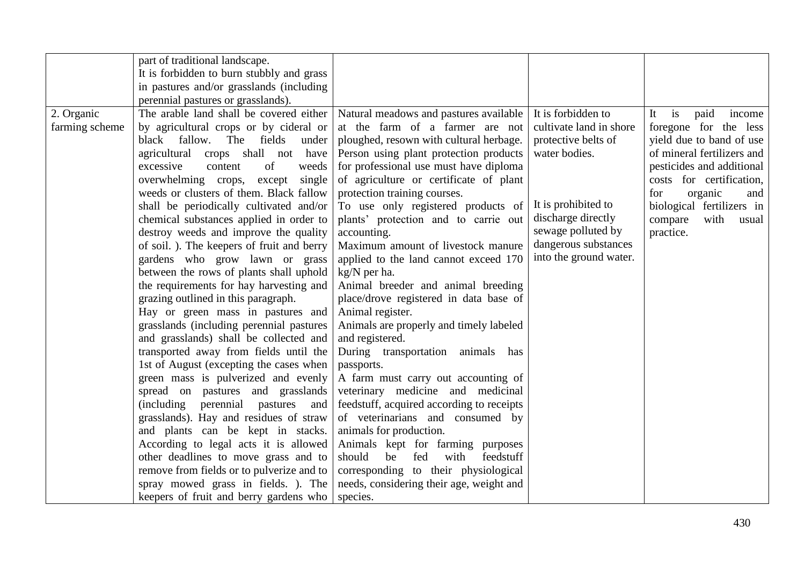|                | part of traditional landscape.                                           |                                                                    |                         |                                             |
|----------------|--------------------------------------------------------------------------|--------------------------------------------------------------------|-------------------------|---------------------------------------------|
|                | It is forbidden to burn stubbly and grass                                |                                                                    |                         |                                             |
|                | in pastures and/or grasslands (including                                 |                                                                    |                         |                                             |
|                | perennial pastures or grasslands).                                       |                                                                    |                         |                                             |
| 2. Organic     | The arable land shall be covered either                                  | Natural meadows and pastures available                             | It is forbidden to      | $\mathbf{i}$ s<br>paid<br>It<br>income      |
| farming scheme | by agricultural crops or by cideral or                                   | at the farm of a farmer are not                                    | cultivate land in shore | foregone for the less                       |
|                | black fallow. The fields<br>under                                        | ploughed, resown with cultural herbage.                            | protective belts of     | yield due to band of use                    |
|                | agricultural crops shall not<br>have                                     | Person using plant protection products                             | water bodies.           | of mineral fertilizers and                  |
|                | excessive<br>content<br>of<br>weeds                                      | for professional use must have diploma                             |                         | pesticides and additional                   |
|                | overwhelming crops,<br>single                                            | of agriculture or certificate of plant                             |                         | costs for certification,                    |
|                | except<br>weeds or clusters of them. Black fallow                        |                                                                    |                         | for                                         |
|                | shall be periodically cultivated and/or                                  | protection training courses.<br>To use only registered products of | It is prohibited to     | organic<br>and<br>biological fertilizers in |
|                | chemical substances applied in order to                                  | plants' protection and to carrie out                               | discharge directly      | compare<br>with<br>usual                    |
|                | destroy weeds and improve the quality                                    | accounting.                                                        | sewage polluted by      | practice.                                   |
|                | of soil. ). The keepers of fruit and berry                               | Maximum amount of livestock manure                                 | dangerous substances    |                                             |
|                | gardens who grow lawn or grass                                           | applied to the land cannot exceed 170                              | into the ground water.  |                                             |
|                | between the rows of plants shall uphold                                  | kg/N per ha.                                                       |                         |                                             |
|                | the requirements for hay harvesting and                                  | Animal breeder and animal breeding                                 |                         |                                             |
|                |                                                                          |                                                                    |                         |                                             |
|                | grazing outlined in this paragraph.<br>Hay or green mass in pastures and | place/drove registered in data base of<br>Animal register.         |                         |                                             |
|                | grasslands (including perennial pastures                                 | Animals are properly and timely labeled                            |                         |                                             |
|                | and grasslands) shall be collected and                                   | and registered.                                                    |                         |                                             |
|                | transported away from fields until the                                   | During transportation animals has                                  |                         |                                             |
|                | 1st of August (excepting the cases when                                  |                                                                    |                         |                                             |
|                | green mass is pulverized and evenly                                      | passports.<br>A farm must carry out accounting of                  |                         |                                             |
|                | spread on pastures and grasslands                                        | veterinary medicine and medicinal                                  |                         |                                             |
|                | perennial<br><i>(including)</i><br>pastures<br>and                       | feedstuff, acquired according to receipts                          |                         |                                             |
|                | grasslands). Hay and residues of straw                                   | of veterinarians and consumed by                                   |                         |                                             |
|                | and plants can be kept in stacks.                                        | animals for production.                                            |                         |                                             |
|                | According to legal acts it is allowed                                    | Animals kept for farming purposes                                  |                         |                                             |
|                | other deadlines to move grass and to                                     | should<br>fed<br>be<br>with<br>feedstuff                           |                         |                                             |
|                | remove from fields or to pulverize and to                                | corresponding to their physiological                               |                         |                                             |
|                | spray mowed grass in fields. ). The                                      | needs, considering their age, weight and                           |                         |                                             |
|                | keepers of fruit and berry gardens who                                   | species.                                                           |                         |                                             |
|                |                                                                          |                                                                    |                         |                                             |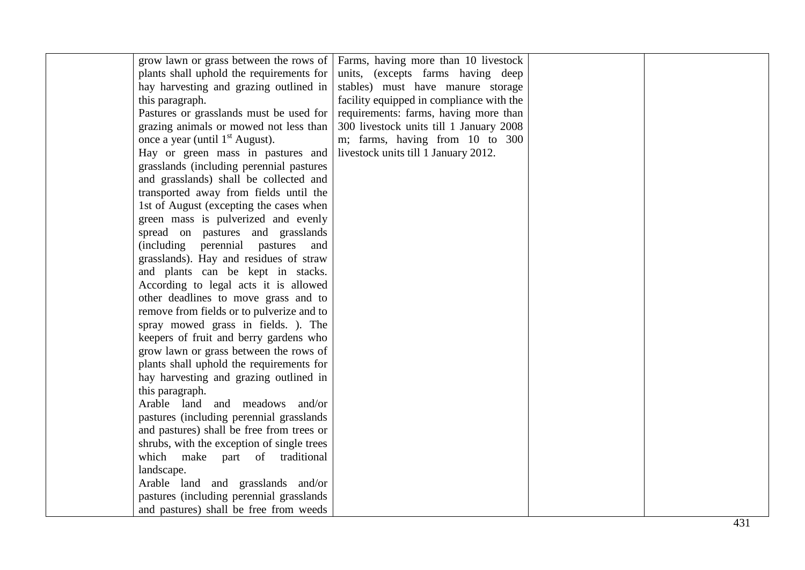| grow lawn or grass between the rows of      | Farms, having more than 10 livestock     |  |
|---------------------------------------------|------------------------------------------|--|
| plants shall uphold the requirements for    | units, (excepts farms having deep        |  |
| hay harvesting and grazing outlined in      | stables) must have manure storage        |  |
| this paragraph.                             | facility equipped in compliance with the |  |
| Pastures or grasslands must be used for     | requirements: farms, having more than    |  |
| grazing animals or mowed not less than      | 300 livestock units till 1 January 2008  |  |
| once a year (until 1 <sup>st</sup> August). | m; farms, having from 10 to 300          |  |
| Hay or green mass in pastures and           | livestock units till 1 January 2012.     |  |
| grasslands (including perennial pastures    |                                          |  |
| and grasslands) shall be collected and      |                                          |  |
| transported away from fields until the      |                                          |  |
| 1st of August (excepting the cases when     |                                          |  |
| green mass is pulverized and evenly         |                                          |  |
| spread on pastures and grasslands           |                                          |  |
| (including perennial pastures<br>and        |                                          |  |
| grasslands). Hay and residues of straw      |                                          |  |
| and plants can be kept in stacks.           |                                          |  |
| According to legal acts it is allowed       |                                          |  |
| other deadlines to move grass and to        |                                          |  |
| remove from fields or to pulverize and to   |                                          |  |
| spray mowed grass in fields. ). The         |                                          |  |
| keepers of fruit and berry gardens who      |                                          |  |
| grow lawn or grass between the rows of      |                                          |  |
| plants shall uphold the requirements for    |                                          |  |
| hay harvesting and grazing outlined in      |                                          |  |
| this paragraph.                             |                                          |  |
| Arable land and meadows and/or              |                                          |  |
| pastures (including perennial grasslands)   |                                          |  |
| and pastures) shall be free from trees or   |                                          |  |
| shrubs, with the exception of single trees  |                                          |  |
| which make part of traditional              |                                          |  |
| landscape.                                  |                                          |  |
| Arable land and grasslands and/or           |                                          |  |
| pastures (including perennial grasslands)   |                                          |  |
| and pastures) shall be free from weeds      |                                          |  |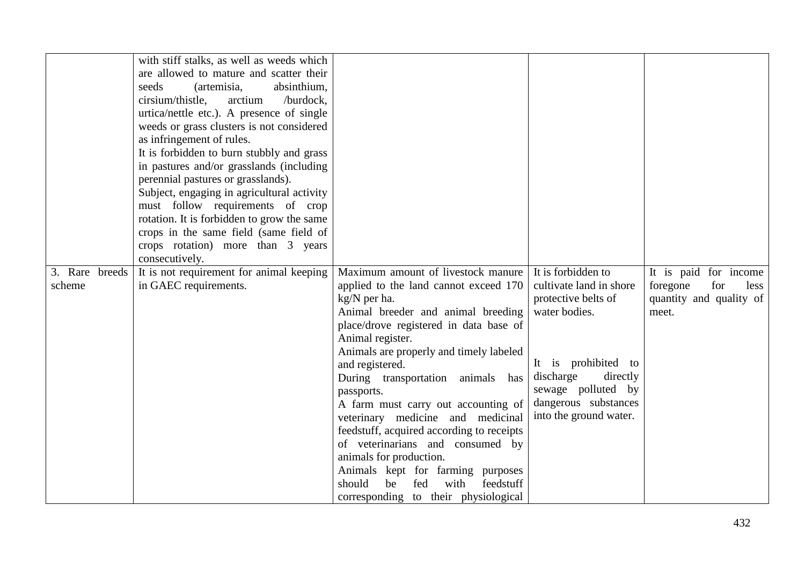|                | with stiff stalks, as well as weeds which<br>are allowed to mature and scatter their<br>seeds<br>(artemisia,<br>absinthium,<br>cirsium/thistle,<br>arctium<br>/burdock,<br>urtica/nettle etc.). A presence of single<br>weeds or grass clusters is not considered<br>as infringement of rules.<br>It is forbidden to burn stubbly and grass |                                                                               |                                                |                                                    |
|----------------|---------------------------------------------------------------------------------------------------------------------------------------------------------------------------------------------------------------------------------------------------------------------------------------------------------------------------------------------|-------------------------------------------------------------------------------|------------------------------------------------|----------------------------------------------------|
|                | in pastures and/or grasslands (including                                                                                                                                                                                                                                                                                                    |                                                                               |                                                |                                                    |
|                | perennial pastures or grasslands).                                                                                                                                                                                                                                                                                                          |                                                                               |                                                |                                                    |
|                | Subject, engaging in agricultural activity                                                                                                                                                                                                                                                                                                  |                                                                               |                                                |                                                    |
|                | must follow requirements of crop<br>rotation. It is forbidden to grow the same                                                                                                                                                                                                                                                              |                                                                               |                                                |                                                    |
|                | crops in the same field (same field of                                                                                                                                                                                                                                                                                                      |                                                                               |                                                |                                                    |
|                | crops rotation) more than 3 years                                                                                                                                                                                                                                                                                                           |                                                                               |                                                |                                                    |
|                | consecutively.                                                                                                                                                                                                                                                                                                                              |                                                                               |                                                |                                                    |
| 3. Rare breeds | It is not requirement for animal keeping                                                                                                                                                                                                                                                                                                    | Maximum amount of livestock manure                                            | It is forbidden to                             | It is paid for income                              |
| scheme         | in GAEC requirements.                                                                                                                                                                                                                                                                                                                       | applied to the land cannot exceed 170                                         | cultivate land in shore<br>protective belts of | for<br>foregone<br>less<br>quantity and quality of |
|                |                                                                                                                                                                                                                                                                                                                                             | kg/N per ha.<br>Animal breeder and animal breeding                            | water bodies.                                  | meet.                                              |
|                |                                                                                                                                                                                                                                                                                                                                             | place/drove registered in data base of                                        |                                                |                                                    |
|                |                                                                                                                                                                                                                                                                                                                                             | Animal register.                                                              |                                                |                                                    |
|                |                                                                                                                                                                                                                                                                                                                                             | Animals are properly and timely labeled                                       |                                                |                                                    |
|                |                                                                                                                                                                                                                                                                                                                                             | and registered.                                                               | It is prohibited to<br>discharge<br>directly   |                                                    |
|                |                                                                                                                                                                                                                                                                                                                                             | During transportation animals has<br>passports.                               | sewage polluted by                             |                                                    |
|                |                                                                                                                                                                                                                                                                                                                                             | A farm must carry out accounting of                                           | dangerous substances                           |                                                    |
|                |                                                                                                                                                                                                                                                                                                                                             | veterinary medicine and medicinal                                             | into the ground water.                         |                                                    |
|                |                                                                                                                                                                                                                                                                                                                                             | feedstuff, acquired according to receipts                                     |                                                |                                                    |
|                |                                                                                                                                                                                                                                                                                                                                             | of veterinarians and consumed by                                              |                                                |                                                    |
|                |                                                                                                                                                                                                                                                                                                                                             | animals for production.                                                       |                                                |                                                    |
|                |                                                                                                                                                                                                                                                                                                                                             | Animals kept for farming purposes<br>should<br>with<br>feedstuff<br>be<br>fed |                                                |                                                    |
|                |                                                                                                                                                                                                                                                                                                                                             | corresponding to their physiological                                          |                                                |                                                    |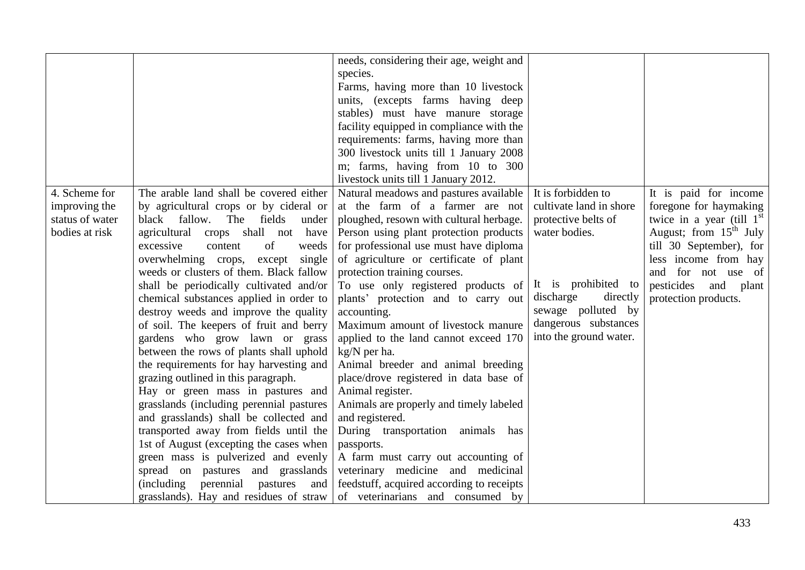|                 |                                             | needs, considering their age, weight and  |                         |                             |
|-----------------|---------------------------------------------|-------------------------------------------|-------------------------|-----------------------------|
|                 |                                             | species.                                  |                         |                             |
|                 |                                             | Farms, having more than 10 livestock      |                         |                             |
|                 |                                             | units, (excepts farms having deep         |                         |                             |
|                 |                                             | stables) must have manure storage         |                         |                             |
|                 |                                             |                                           |                         |                             |
|                 |                                             | facility equipped in compliance with the  |                         |                             |
|                 |                                             | requirements: farms, having more than     |                         |                             |
|                 |                                             | 300 livestock units till 1 January 2008   |                         |                             |
|                 |                                             | m; farms, having from 10 to 300           |                         |                             |
|                 |                                             | livestock units till 1 January 2012.      |                         |                             |
| 4. Scheme for   | The arable land shall be covered either     | Natural meadows and pastures available    | It is forbidden to      | It is paid for income       |
| improving the   | by agricultural crops or by cideral or      | at the farm of a farmer are not           | cultivate land in shore | foregone for haymaking      |
| status of water | black fallow. The fields<br>under           | ploughed, resown with cultural herbage.   | protective belts of     | twice in a year (till $1st$ |
| bodies at risk  | agricultural crops shall not have           | Person using plant protection products    | water bodies.           | August; from $15th$ July    |
|                 | of<br>excessive<br>content<br>weeds         | for professional use must have diploma    |                         | till 30 September), for     |
|                 | overwhelming crops, except single           | of agriculture or certificate of plant    |                         | less income from hay        |
|                 | weeds or clusters of them. Black fallow     | protection training courses.              |                         | and for not use of          |
|                 | shall be periodically cultivated and/or     | To use only registered products of        | It is prohibited to     | pesticides<br>and plant     |
|                 | chemical substances applied in order to     | plants' protection and to carry out       | discharge<br>directly   | protection products.        |
|                 | destroy weeds and improve the quality       | accounting.                               | sewage polluted by      |                             |
|                 | of soil. The keepers of fruit and berry     | Maximum amount of livestock manure        | dangerous substances    |                             |
|                 | gardens who grow lawn or grass              | applied to the land cannot exceed 170     | into the ground water.  |                             |
|                 | between the rows of plants shall uphold     | kg/N per ha.                              |                         |                             |
|                 | the requirements for hay harvesting and     | Animal breeder and animal breeding        |                         |                             |
|                 | grazing outlined in this paragraph.         | place/drove registered in data base of    |                         |                             |
|                 | Hay or green mass in pastures and           | Animal register.                          |                         |                             |
|                 | grasslands (including perennial pastures    | Animals are properly and timely labeled   |                         |                             |
|                 | and grasslands) shall be collected and      | and registered.                           |                         |                             |
|                 | transported away from fields until the      | During transportation animals has         |                         |                             |
|                 | 1st of August (excepting the cases when     | passports.                                |                         |                             |
|                 | green mass is pulverized and evenly         | A farm must carry out accounting of       |                         |                             |
|                 | spread on pastures and grasslands           | veterinary medicine and medicinal         |                         |                             |
|                 | perennial<br>(including)<br>pastures<br>and | feedstuff, acquired according to receipts |                         |                             |
|                 | grasslands). Hay and residues of straw      | of veterinarians and consumed by          |                         |                             |
|                 |                                             |                                           |                         |                             |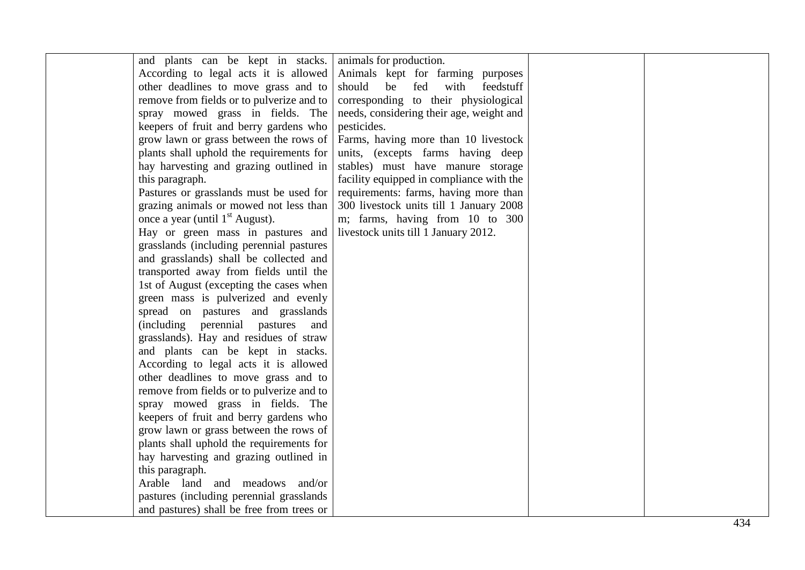| and plants can be kept in stacks.           | animals for production.                  |  |
|---------------------------------------------|------------------------------------------|--|
| According to legal acts it is allowed       | Animals kept for farming purposes        |  |
| other deadlines to move grass and to        | should<br>with<br>be fed<br>feedstuff    |  |
| remove from fields or to pulverize and to   | corresponding to their physiological     |  |
| spray mowed grass in fields. The            | needs, considering their age, weight and |  |
| keepers of fruit and berry gardens who      | pesticides.                              |  |
| grow lawn or grass between the rows of      | Farms, having more than 10 livestock     |  |
| plants shall uphold the requirements for    | units, (excepts farms having deep        |  |
| hay harvesting and grazing outlined in      | stables) must have manure storage        |  |
| this paragraph.                             | facility equipped in compliance with the |  |
| Pastures or grasslands must be used for     | requirements: farms, having more than    |  |
| grazing animals or mowed not less than      | 300 livestock units till 1 January 2008  |  |
| once a year (until 1 <sup>st</sup> August). | m; farms, having from 10 to 300          |  |
| Hay or green mass in pastures and           | livestock units till 1 January 2012.     |  |
| grasslands (including perennial pastures    |                                          |  |
| and grasslands) shall be collected and      |                                          |  |
| transported away from fields until the      |                                          |  |
| 1st of August (excepting the cases when     |                                          |  |
| green mass is pulverized and evenly         |                                          |  |
| spread on pastures and grasslands           |                                          |  |
| (including perennial pastures and           |                                          |  |
| grasslands). Hay and residues of straw      |                                          |  |
| and plants can be kept in stacks.           |                                          |  |
| According to legal acts it is allowed       |                                          |  |
| other deadlines to move grass and to        |                                          |  |
| remove from fields or to pulverize and to   |                                          |  |
| spray mowed grass in fields. The            |                                          |  |
| keepers of fruit and berry gardens who      |                                          |  |
| grow lawn or grass between the rows of      |                                          |  |
| plants shall uphold the requirements for    |                                          |  |
| hay harvesting and grazing outlined in      |                                          |  |
| this paragraph.                             |                                          |  |
| Arable land and meadows and/or              |                                          |  |
| pastures (including perennial grasslands)   |                                          |  |
| and pastures) shall be free from trees or   |                                          |  |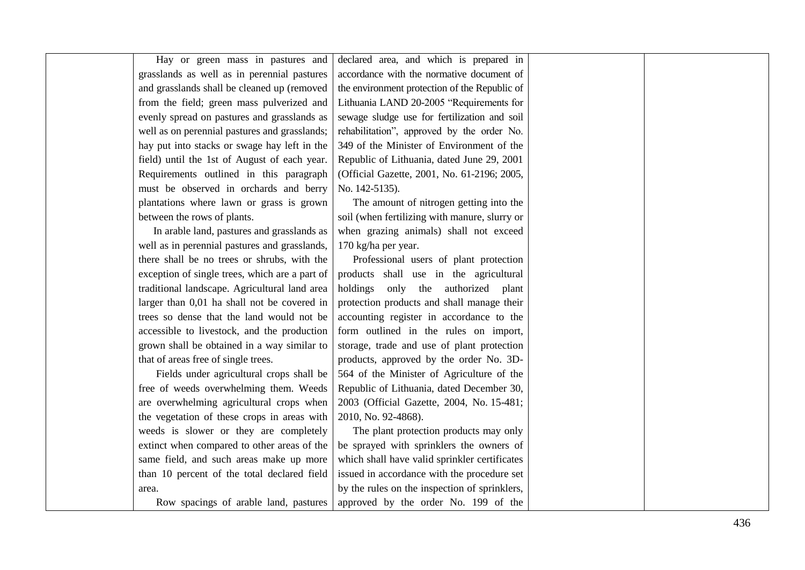| Hay or green mass in pastures and              | declared area, and which is prepared in       |  |
|------------------------------------------------|-----------------------------------------------|--|
| grasslands as well as in perennial pastures    | accordance with the normative document of     |  |
| and grasslands shall be cleaned up (removed    | the environment protection of the Republic of |  |
| from the field; green mass pulverized and      | Lithuania LAND 20-2005 "Requirements for      |  |
| evenly spread on pastures and grasslands as    | sewage sludge use for fertilization and soil  |  |
| well as on perennial pastures and grasslands;  | rehabilitation", approved by the order No.    |  |
| hay put into stacks or swage hay left in the   | 349 of the Minister of Environment of the     |  |
| field) until the 1st of August of each year.   | Republic of Lithuania, dated June 29, 2001    |  |
| Requirements outlined in this paragraph        | (Official Gazette, 2001, No. 61-2196; 2005,   |  |
| must be observed in orchards and berry         | No. 142-5135).                                |  |
| plantations where lawn or grass is grown       | The amount of nitrogen getting into the       |  |
| between the rows of plants.                    | soil (when fertilizing with manure, slurry or |  |
| In arable land, pastures and grasslands as     | when grazing animals) shall not exceed        |  |
| well as in perennial pastures and grasslands,  | 170 kg/ha per year.                           |  |
| there shall be no trees or shrubs, with the    | Professional users of plant protection        |  |
| exception of single trees, which are a part of | products shall use in the agricultural        |  |
| traditional landscape. Agricultural land area  | holdings only the authorized<br>plant         |  |
| larger than 0,01 ha shall not be covered in    | protection products and shall manage their    |  |
| trees so dense that the land would not be      | accounting register in accordance to the      |  |
| accessible to livestock, and the production    | form outlined in the rules on import,         |  |
| grown shall be obtained in a way similar to    | storage, trade and use of plant protection    |  |
| that of areas free of single trees.            | products, approved by the order No. 3D-       |  |
| Fields under agricultural crops shall be       | 564 of the Minister of Agriculture of the     |  |
| free of weeds overwhelming them. Weeds         | Republic of Lithuania, dated December 30,     |  |
| are overwhelming agricultural crops when       | 2003 (Official Gazette, 2004, No. 15-481;     |  |
| the vegetation of these crops in areas with    | 2010, No. 92-4868).                           |  |
| weeds is slower or they are completely         | The plant protection products may only        |  |
| extinct when compared to other areas of the    | be sprayed with sprinklers the owners of      |  |
| same field, and such areas make up more        | which shall have valid sprinkler certificates |  |
| than 10 percent of the total declared field    | issued in accordance with the procedure set   |  |
| area.                                          | by the rules on the inspection of sprinklers, |  |
| Row spacings of arable land, pastures          | approved by the order No. 199 of the          |  |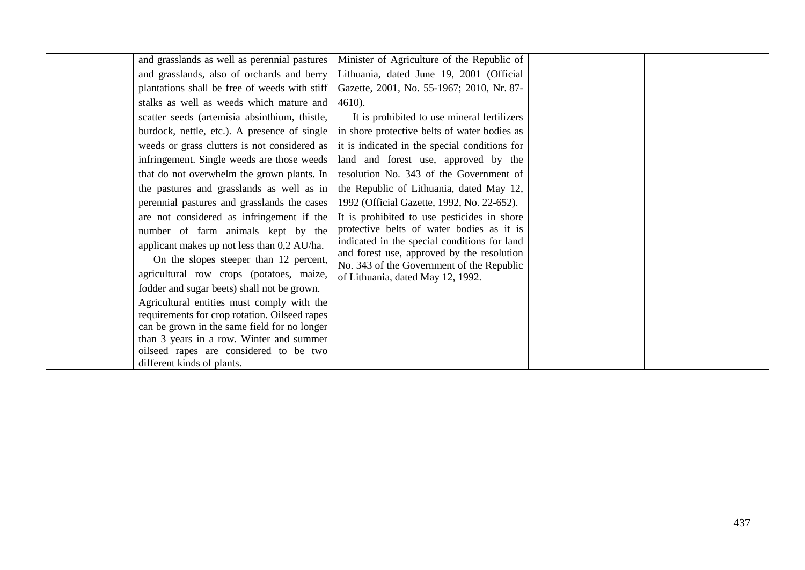| and grasslands as well as perennial pastures                                             | Minister of Agriculture of the Republic of                                                         |  |
|------------------------------------------------------------------------------------------|----------------------------------------------------------------------------------------------------|--|
| and grasslands, also of orchards and berry                                               | Lithuania, dated June 19, 2001 (Official                                                           |  |
| plantations shall be free of weeds with stiff                                            | Gazette, 2001, No. 55-1967; 2010, Nr. 87-                                                          |  |
| stalks as well as weeds which mature and                                                 | $4610$ ).                                                                                          |  |
| scatter seeds (artemisia absinthium, thistle,                                            | It is prohibited to use mineral fertilizers                                                        |  |
| burdock, nettle, etc.). A presence of single $\vert$                                     | in shore protective belts of water bodies as                                                       |  |
|                                                                                          | weeds or grass clutters is not considered as $\vert$ it is indicated in the special conditions for |  |
| infringement. Single weeds are those weeds                                               | land and forest use, approved by the                                                               |  |
| that do not overwhelm the grown plants. In $\vert$                                       | resolution No. 343 of the Government of                                                            |  |
| the pastures and grasslands as well as in                                                | the Republic of Lithuania, dated May 12,                                                           |  |
| perennial pastures and grasslands the cases                                              | 1992 (Official Gazette, 1992, No. 22-652).                                                         |  |
| are not considered as infringement if the                                                | It is prohibited to use pesticides in shore                                                        |  |
| number of farm animals kept by the                                                       | protective belts of water bodies as it is                                                          |  |
| applicant makes up not less than 0,2 AU/ha.                                              | indicated in the special conditions for land<br>and forest use, approved by the resolution         |  |
| On the slopes steeper than 12 percent,                                                   | No. 343 of the Government of the Republic                                                          |  |
| agricultural row crops (potatoes, maize,                                                 | of Lithuania, dated May 12, 1992.                                                                  |  |
| fodder and sugar beets) shall not be grown.                                              |                                                                                                    |  |
| Agricultural entities must comply with the                                               |                                                                                                    |  |
| requirements for crop rotation. Oilseed rapes                                            |                                                                                                    |  |
| can be grown in the same field for no longer<br>than 3 years in a row. Winter and summer |                                                                                                    |  |
| oilseed rapes are considered to be two                                                   |                                                                                                    |  |
| different kinds of plants.                                                               |                                                                                                    |  |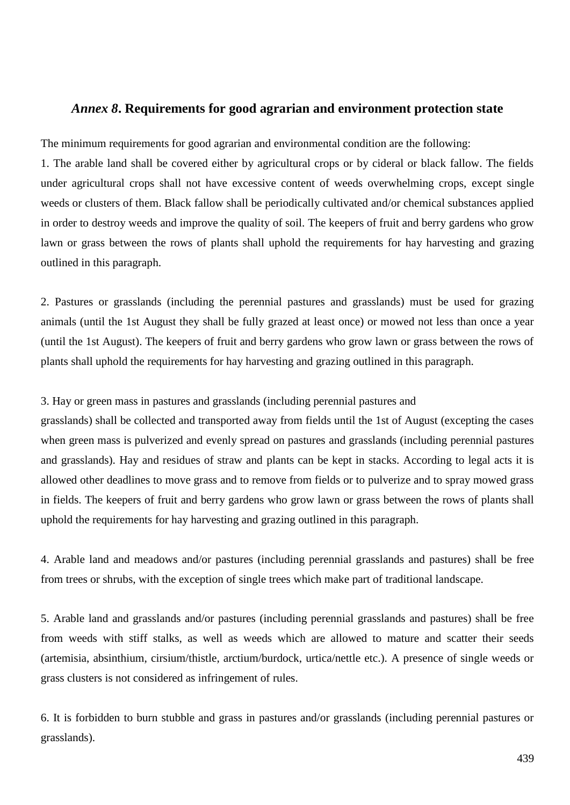# *Annex 8***. Requirements for good agrarian and environment protection state**

The minimum requirements for good agrarian and environmental condition are the following:

1. The arable land shall be covered either by agricultural crops or by cideral or black fallow. The fields under agricultural crops shall not have excessive content of weeds overwhelming crops, except single weeds or clusters of them. Black fallow shall be periodically cultivated and/or chemical substances applied in order to destroy weeds and improve the quality of soil. The keepers of fruit and berry gardens who grow lawn or grass between the rows of plants shall uphold the requirements for hay harvesting and grazing outlined in this paragraph.

2. Pastures or grasslands (including the perennial pastures and grasslands) must be used for grazing animals (until the 1st August they shall be fully grazed at least once) or mowed not less than once a year (until the 1st August). The keepers of fruit and berry gardens who grow lawn or grass between the rows of plants shall uphold the requirements for hay harvesting and grazing outlined in this paragraph.

3. Hay or green mass in pastures and grasslands (including perennial pastures and

grasslands) shall be collected and transported away from fields until the 1st of August (excepting the cases when green mass is pulverized and evenly spread on pastures and grasslands (including perennial pastures and grasslands). Hay and residues of straw and plants can be kept in stacks. According to legal acts it is allowed other deadlines to move grass and to remove from fields or to pulverize and to spray mowed grass in fields. The keepers of fruit and berry gardens who grow lawn or grass between the rows of plants shall uphold the requirements for hay harvesting and grazing outlined in this paragraph.

4. Arable land and meadows and/or pastures (including perennial grasslands and pastures) shall be free from trees or shrubs, with the exception of single trees which make part of traditional landscape.

5. Arable land and grasslands and/or pastures (including perennial grasslands and pastures) shall be free from weeds with stiff stalks, as well as weeds which are allowed to mature and scatter their seeds (artemisia, absinthium, cirsium/thistle, arctium/burdock, urtica/nettle etc.). A presence of single weeds or grass clusters is not considered as infringement of rules.

6. It is forbidden to burn stubble and grass in pastures and/or grasslands (including perennial pastures or grasslands).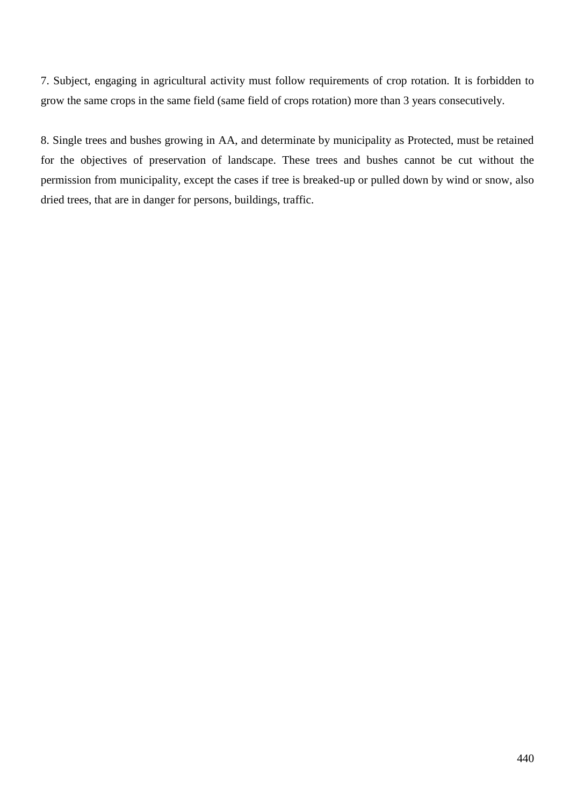7. Subject, engaging in agricultural activity must follow requirements of crop rotation. It is forbidden to grow the same crops in the same field (same field of crops rotation) more than 3 years consecutively.

8. Single trees and bushes growing in AA, and determinate by municipality as Protected, must be retained for the objectives of preservation of landscape. These trees and bushes cannot be cut without the permission from municipality, except the cases if tree is breaked-up or pulled down by wind or snow, also dried trees, that are in danger for persons, buildings, traffic.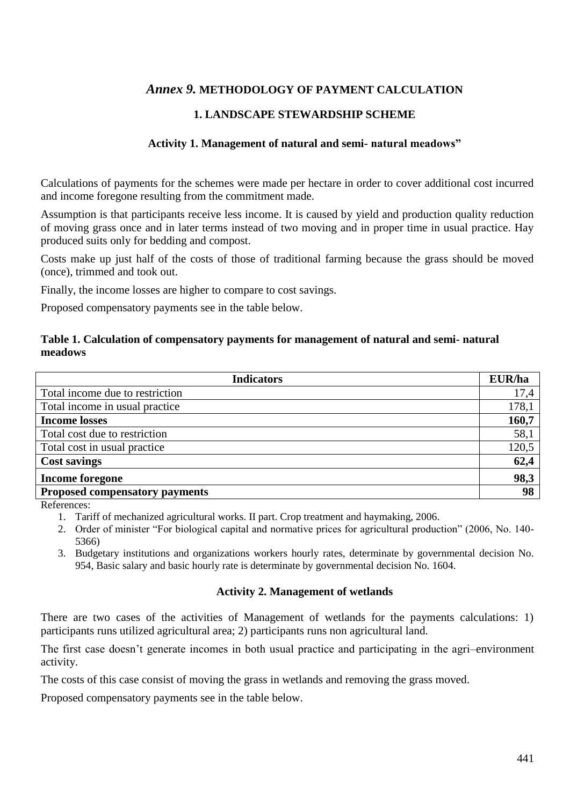# *Annex 9.* **METHODOLOGY OF PAYMENT CALCULATION**

# **1. LANDSCAPE STEWARDSHIP SCHEME**

### **Activity 1. Management of natural and semi- natural meadows"**

Calculations of payments for the schemes were made per hectare in order to cover additional cost incurred and income foregone resulting from the commitment made.

Assumption is that participants receive less income. It is caused by yield and production quality reduction of moving grass once and in later terms instead of two moving and in proper time in usual practice. Hay produced suits only for bedding and compost.

Costs make up just half of the costs of those of traditional farming because the grass should be moved (once), trimmed and took out.

Finally, the income losses are higher to compare to cost savings.

Proposed compensatory payments see in the table below.

#### **Table 1. Calculation of compensatory payments for management of natural and semi- natural meadows**

| <b>Indicators</b>                     | EUR/ha |
|---------------------------------------|--------|
| Total income due to restriction       | 17,4   |
| Total income in usual practice        | 178,1  |
| <b>Income losses</b>                  | 160,7  |
| Total cost due to restriction         | 58,1   |
| Total cost in usual practice          | 120,5  |
| <b>Cost savings</b>                   | 62,4   |
| <b>Income foregone</b>                | 98,3   |
| <b>Proposed compensatory payments</b> | 98     |

References:

- 1. Tariff of mechanized agricultural works. II part. Crop treatment and haymaking, 2006.
- 2. Order of minister "For biological capital and normative prices for agricultural production" (2006, No. 140- 5366)
- 3. Budgetary institutions and organizations workers hourly rates, determinate by governmental decision No. 954, Basic salary and basic hourly rate is determinate by governmental decision No. 1604.

#### **Activity 2. Management of wetlands**

There are two cases of the activities of Management of wetlands for the payments calculations: 1) participants runs utilized agricultural area; 2) participants runs non agricultural land.

The first case doesn't generate incomes in both usual practice and participating in the agri–environment activity.

The costs of this case consist of moving the grass in wetlands and removing the grass moved.

Proposed compensatory payments see in the table below.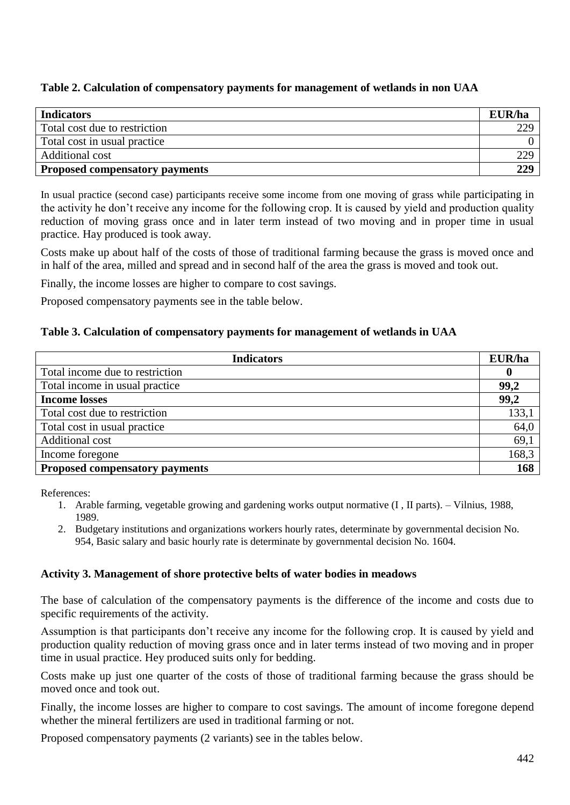# **Table 2. Calculation of compensatory payments for management of wetlands in non UAA**

| <b>Indicators</b>                     | EUR/ha |
|---------------------------------------|--------|
| Total cost due to restriction         | 229    |
| Total cost in usual practice          |        |
| Additional cost                       | 229    |
| <b>Proposed compensatory payments</b> | 229    |

In usual practice (second case) participants receive some income from one moving of grass while participating in the activity he don't receive any income for the following crop. It is caused by yield and production quality reduction of moving grass once and in later term instead of two moving and in proper time in usual practice. Hay produced is took away.

Costs make up about half of the costs of those of traditional farming because the grass is moved once and in half of the area, milled and spread and in second half of the area the grass is moved and took out.

Finally, the income losses are higher to compare to cost savings.

Proposed compensatory payments see in the table below.

# **Table 3. Calculation of compensatory payments for management of wetlands in UAA**

| <b>Indicators</b>                     | EUR/ha |
|---------------------------------------|--------|
| Total income due to restriction       | 0      |
| Total income in usual practice        | 99,2   |
| <b>Income losses</b>                  | 99,2   |
| Total cost due to restriction         | 133,1  |
| Total cost in usual practice          | 64,0   |
| Additional cost                       | 69,1   |
| Income foregone                       | 168,3  |
| <b>Proposed compensatory payments</b> | 168    |

References:

- 1. Arable farming, vegetable growing and gardening works output normative (I , II parts). Vilnius, 1988, 1989.
- 2. Budgetary institutions and organizations workers hourly rates, determinate by governmental decision No. 954, Basic salary and basic hourly rate is determinate by governmental decision No. 1604.

#### **Activity 3. Management of shore protective belts of water bodies in meadows**

The base of calculation of the compensatory payments is the difference of the income and costs due to specific requirements of the activity.

Assumption is that participants don't receive any income for the following crop. It is caused by yield and production quality reduction of moving grass once and in later terms instead of two moving and in proper time in usual practice. Hey produced suits only for bedding.

Costs make up just one quarter of the costs of those of traditional farming because the grass should be moved once and took out.

Finally, the income losses are higher to compare to cost savings. The amount of income foregone depend whether the mineral fertilizers are used in traditional farming or not.

Proposed compensatory payments [\(2](../AppData/Local/Microsoft/Windows/Temporary%20Internet%20Files/AppData/Local/Microsoft/Windows/Temporary%20Internet%20Files/Content.IE5/Local%20Settings/Temporary%20Internet%20Files/Content.IE5/Local%20Settings/Temp/Local%20Settings/Local%20Settings/Temp/ZOD2D.tmp.htm#R39812#R39812) variants) see in the tables below.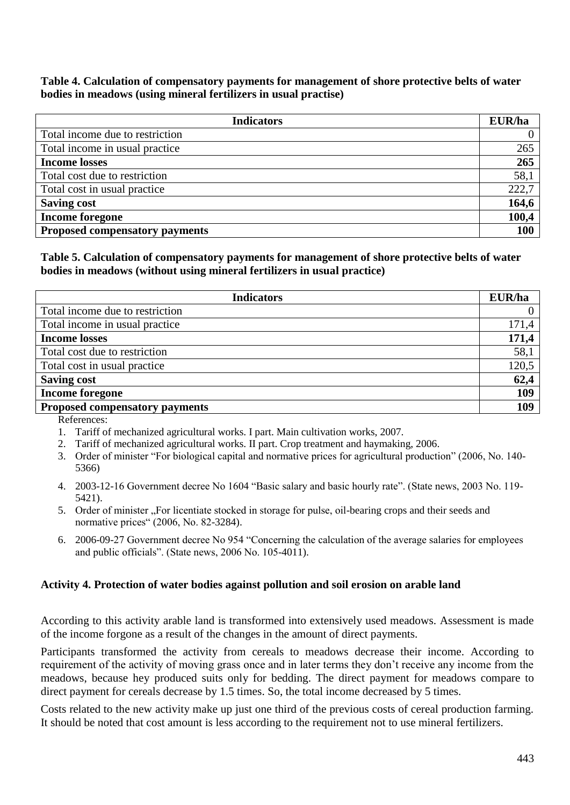### **Table 4. Calculation of compensatory payments for management of shore protective belts of water bodies in meadows (using mineral fertilizers in usual practise)**

| <b>Indicators</b>                     | EUR/ha     |
|---------------------------------------|------------|
| Total income due to restriction       |            |
| Total income in usual practice        | 265        |
| <b>Income losses</b>                  | 265        |
| Total cost due to restriction         | 58,1       |
| Total cost in usual practice          | 222,7      |
| <b>Saving cost</b>                    | 164,6      |
| <b>Income foregone</b>                | 100,4      |
| <b>Proposed compensatory payments</b> | <b>100</b> |

# **Table 5. Calculation of compensatory payments for management of shore protective belts of water bodies in meadows (without using mineral fertilizers in usual practice)**

| <b>Indicators</b>                     | EUR/ha |
|---------------------------------------|--------|
| Total income due to restriction       |        |
| Total income in usual practice        | 171,4  |
| <b>Income losses</b>                  | 171,4  |
| Total cost due to restriction         | 58,1   |
| Total cost in usual practice          | 120,5  |
| <b>Saving cost</b>                    | 62,4   |
| <b>Income foregone</b>                | 109    |
| <b>Proposed compensatory payments</b> | 109    |

References:

- 1. Tariff of mechanized agricultural works. I part. Main cultivation works, 2007.
- 2. Tariff of mechanized agricultural works. II part. Crop treatment and haymaking, 2006.
- 3. Order of minister "For biological capital and normative prices for agricultural production" (2006, No. 140- 5366)
- 4. 2003-12-16 Government decree No 1604 "Basic salary and basic hourly rate". (State news, 2003 No. 119- 5421).
- 5. Order of minister "For licentiate stocked in storage for pulse, oil-bearing crops and their seeds and normative prices" (2006, No. 82-3284).
- 6. 2006-09-27 Government decree No 954 "Concerning the calculation of the average salaries for employees and public officials". (State news, 2006 No. 105-4011).

#### **Activity 4. Protection of water bodies against pollution and soil erosion on arable land**

According to this activity arable land is transformed into extensively used meadows. Assessment is made of the income forgone as a result of the changes in the amount of direct payments.

Participants transformed the activity from cereals to meadows decrease their income. According to requirement of the activity of moving grass once and in later terms they don't receive any income from the meadows, because hey produced suits only for bedding. The direct payment for meadows compare to direct payment for cereals decrease by 1.5 times. So, the total income decreased by 5 times.

Costs related to the new activity make up just one third of the previous costs of cereal production farming. It should be noted that cost amount is less according to the requirement not to use mineral fertilizers.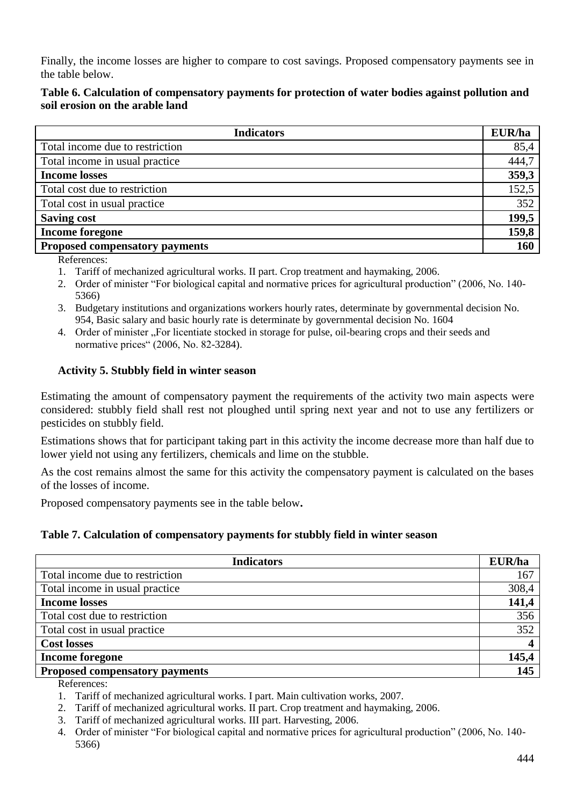Finally, the income losses are higher to compare to cost savings. Proposed compensatory payments see in the table below.

# **Table 6. Calculation of compensatory payments for protection of water bodies against pollution and soil erosion on the arable land**

| <b>Indicators</b>                     | EUR/ha |
|---------------------------------------|--------|
| Total income due to restriction       | 85,4   |
| Total income in usual practice        | 444,7  |
| <b>Income losses</b>                  | 359,3  |
| Total cost due to restriction         | 152,5  |
| Total cost in usual practice          | 352    |
| <b>Saving cost</b>                    | 199,5  |
| Income foregone                       | 159,8  |
| <b>Proposed compensatory payments</b> | 160    |

References:

- 1. Tariff of mechanized agricultural works. II part. Crop treatment and haymaking, 2006.
- 2. Order of minister "For biological capital and normative prices for agricultural production" (2006, No. 140- 5366)
- 3. Budgetary institutions and organizations workers hourly rates, determinate by governmental decision No. 954, Basic salary and basic hourly rate is determinate by governmental decision No. 1604
- 4. Order of minister ... For licentiate stocked in storage for pulse, oil-bearing crops and their seeds and normative prices" (2006, No. 82-3284).

# **Activity 5. Stubbly field in winter season**

Estimating the amount of compensatory payment the requirements of the activity two main aspects were considered: stubbly field shall rest not ploughed until spring next year and not to use any fertilizers or pesticides on stubbly field.

Estimations shows that for participant taking part in this activity the income decrease more than half due to lower yield not using any fertilizers, chemicals and lime on the stubble.

As the cost remains almost the same for this activity the compensatory payment is calculated on the bases of the losses of income.

Proposed compensatory payments see in the table below**.**

# **Table 7. Calculation of compensatory payments for stubbly field in winter season**

| <b>Indicators</b>                     | EUR/ha |
|---------------------------------------|--------|
| Total income due to restriction       | 167    |
| Total income in usual practice        | 308,4  |
| <b>Income losses</b>                  | 141,4  |
| Total cost due to restriction         | 356    |
| Total cost in usual practice          | 352    |
| <b>Cost losses</b>                    |        |
| <b>Income foregone</b>                | 145,4  |
| <b>Proposed compensatory payments</b> | 145    |

References:

- 1. Tariff of mechanized agricultural works. I part. Main cultivation works, 2007.
- 2. Tariff of mechanized agricultural works. II part. Crop treatment and haymaking, 2006.
- 3. Tariff of mechanized agricultural works. III part. Harvesting, 2006.
- 4. Order of minister "For biological capital and normative prices for agricultural production" (2006, No. 140- 5366)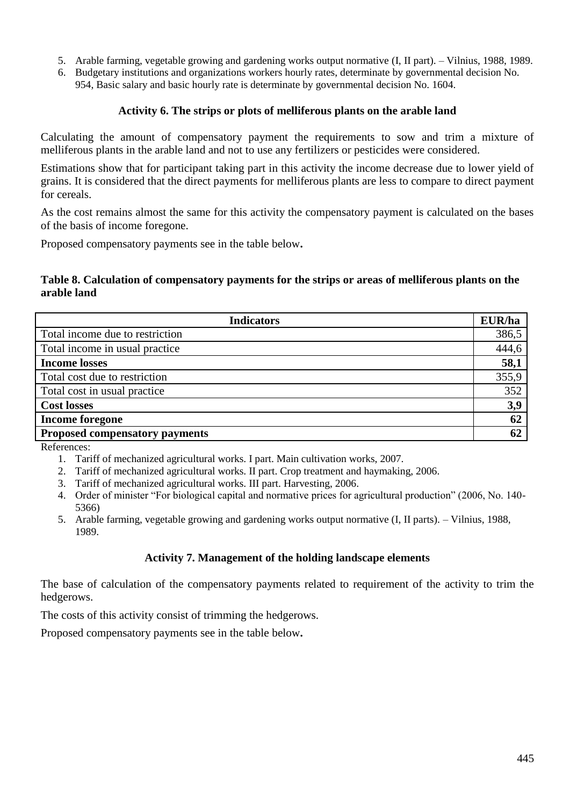- 5. Arable farming, vegetable growing and gardening works output normative (I, II part). Vilnius, 1988, 1989.
- 6. Budgetary institutions and organizations workers hourly rates, determinate by governmental decision No. 954, Basic salary and basic hourly rate is determinate by governmental decision No. 1604.

#### **Activity 6. The strips or plots of melliferous plants on the arable land**

Calculating the amount of compensatory payment the requirements to sow and trim a mixture of melliferous plants in the arable land and not to use any fertilizers or pesticides were considered.

Estimations show that for participant taking part in this activity the income decrease due to lower yield of grains. It is considered that the direct payments for melliferous plants are less to compare to direct payment for cereals.

As the cost remains almost the same for this activity the compensatory payment is calculated on the bases of the basis of income foregone.

Proposed compensatory payments see in the table below**.**

#### **Table 8. Calculation of compensatory payments for the strips or areas of melliferous plants on the arable land**

| <b>Indicators</b>                     | EUR/ha |
|---------------------------------------|--------|
| Total income due to restriction       | 386,5  |
| Total income in usual practice        | 444,6  |
| <b>Income losses</b>                  | 58,1   |
| Total cost due to restriction         | 355,9  |
| Total cost in usual practice          | 352    |
| <b>Cost losses</b>                    | 3,9    |
| <b>Income foregone</b>                | 62     |
| <b>Proposed compensatory payments</b> | 62     |

References:

- 1. Tariff of mechanized agricultural works. I part. Main cultivation works, 2007.
- 2. Tariff of mechanized agricultural works. II part. Crop treatment and haymaking, 2006.
- 3. Tariff of mechanized agricultural works. III part. Harvesting, 2006.
- 4. Order of minister "For biological capital and normative prices for agricultural production" (2006, No. 140- 5366)
- 5. Arable farming, vegetable growing and gardening works output normative (I, II parts). Vilnius, 1988, 1989.

# **Activity 7. Management of the holding landscape elements**

The base of calculation of the compensatory payments related to requirement of the activity to trim the hedgerows.

The costs of this activity consist of trimming the hedgerows.

Proposed compensatory payments see in the table below**.**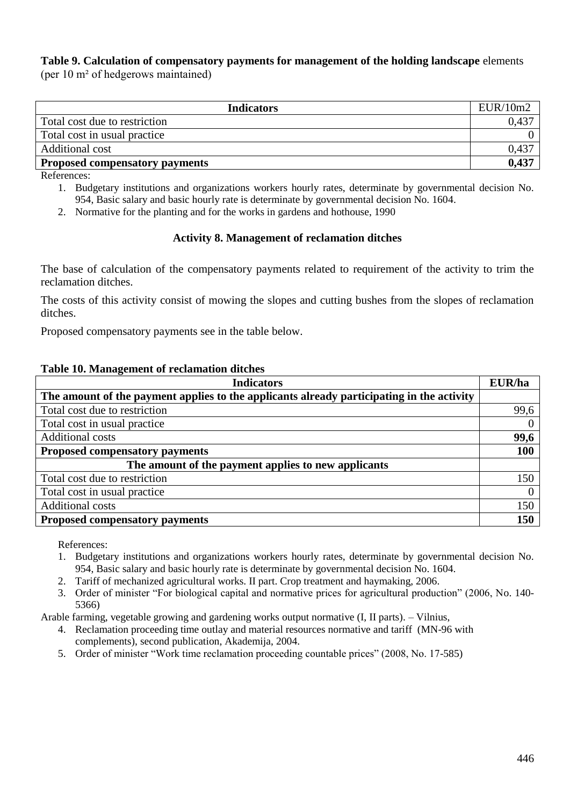# **Table 9. Calculation of compensatory payments for management of the holding landscape** elements

(per 10 m² of hedgerows maintained)

| <b>Indicators</b>                     | EUR/10m2 |
|---------------------------------------|----------|
| Total cost due to restriction         | 0,437    |
| Total cost in usual practice          |          |
| Additional cost                       | 0,437    |
| <b>Proposed compensatory payments</b> | 0,437    |

References:

- 1. Budgetary institutions and organizations workers hourly rates, determinate by governmental decision No. 954, Basic salary and basic hourly rate is determinate by governmental decision No. 1604.
- 2. Normative for the planting and for the works in gardens and hothouse, 1990

# **Activity 8. Management of reclamation ditches**

The base of calculation of the compensatory payments related to requirement of the activity to trim the reclamation ditches.

The costs of this activity consist of mowing the slopes and cutting bushes from the slopes of reclamation ditches.

Proposed compensatory payments see in the table below.

#### **Table 10. Management of reclamation ditches**

| <b>Indicators</b>                                                                         | <b>EUR/ha</b>  |
|-------------------------------------------------------------------------------------------|----------------|
| The amount of the payment applies to the applicants already participating in the activity |                |
| Total cost due to restriction                                                             | 99,6           |
| Total cost in usual practice                                                              | $\overline{0}$ |
| Additional costs                                                                          | 99,6           |
| <b>Proposed compensatory payments</b>                                                     | 100            |
| The amount of the payment applies to new applicants                                       |                |
| Total cost due to restriction                                                             | 150            |
| Total cost in usual practice                                                              | $\overline{0}$ |
| Additional costs                                                                          | 150            |
| <b>Proposed compensatory payments</b>                                                     | 150            |

References:

- 1. Budgetary institutions and organizations workers hourly rates, determinate by governmental decision No. 954, Basic salary and basic hourly rate is determinate by governmental decision No. 1604.
- 2. Tariff of mechanized agricultural works. II part. Crop treatment and haymaking, 2006.
- 3. Order of minister "For biological capital and normative prices for agricultural production" (2006, No. 140- 5366)

Arable farming, vegetable growing and gardening works output normative (I, II parts). – Vilnius,

- 4. Reclamation proceeding time outlay and material resources normative and tariff (MN-96 with complements), second publication, Akademija, 2004.
- 5. Order of minister "Work time reclamation proceeding countable prices" (2008, No. 17-585)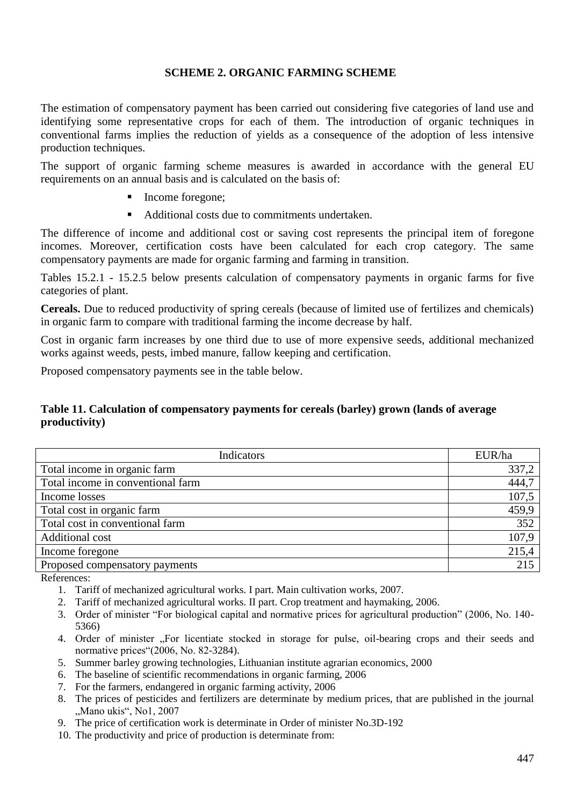### **SCHEME 2. ORGANIC FARMING SCHEME**

The estimation of compensatory payment has been carried out considering five categories of land use and identifying some representative crops for each of them. The introduction of organic techniques in conventional farms implies the reduction of yields as a consequence of the adoption of less intensive production techniques.

The support of organic farming scheme measures is awarded in accordance with the general EU requirements on an annual basis and is calculated on the basis of:

- Income foregone:
- Additional costs due to commitments undertaken.

The difference of income and additional cost or saving cost represents the principal item of foregone incomes. Moreover, certification costs have been calculated for each crop category. The same compensatory payments are made for organic farming and farming in transition.

Tables 15.2.1 - 15.2.5 below presents calculation of compensatory payments in organic farms for five categories of plant.

**Cereals.** Due to reduced productivity of spring cereals (because of limited use of fertilizes and chemicals) in organic farm to compare with traditional farming the income decrease by half.

Cost in organic farm increases by one third due to use of more expensive seeds, additional mechanized works against weeds, pests, imbed manure, fallow keeping and certification.

Proposed compensatory payments see in the table below.

#### **Table 11. Calculation of compensatory payments for cereals (barley) grown (lands of average productivity)**

| Indicators                        | EUR/ha |
|-----------------------------------|--------|
| Total income in organic farm      | 337,2  |
| Total income in conventional farm | 444,7  |
| Income losses                     | 107,5  |
| Total cost in organic farm        | 459,9  |
| Total cost in conventional farm   | 352    |
| Additional cost                   | 107,9  |
| Income foregone                   | 215,4  |
| Proposed compensatory payments    | 215    |

References:

- 1. Tariff of mechanized agricultural works. I part. Main cultivation works, 2007.
- 2. Tariff of mechanized agricultural works. II part. Crop treatment and haymaking, 2006.
- 3. Order of minister "For biological capital and normative prices for agricultural production" (2006, No. 140- 5366)
- 4. Order of minister "For licentiate stocked in storage for pulse, oil-bearing crops and their seeds and normative prices"(2006, No. 82-3284).
- 5. Summer barley growing technologies, Lithuanian institute agrarian economics, 2000
- 6. The baseline of scientific recommendations in organic farming, 2006
- 7. For the farmers, endangered in organic farming activity, 2006
- 8. The prices of pesticides and fertilizers are determinate by medium prices, that are published in the journal "Mano ukis", No1, 2007
- 9. The price of certification work is determinate in Order of minister No.3D-192
- 10. The productivity and price of production is determinate from: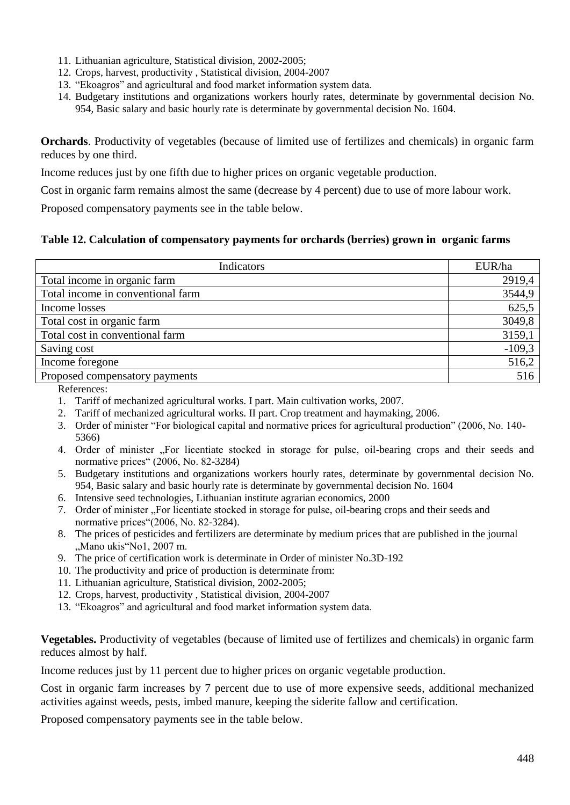- 11. Lithuanian agriculture, Statistical division, 2002-2005;
- 12. Crops, harvest, productivity , Statistical division, 2004-2007
- 13. "Ekoagros" and agricultural and food market information system data.
- 14. Budgetary institutions and organizations workers hourly rates, determinate by governmental decision No. 954, Basic salary and basic hourly rate is determinate by governmental decision No. 1604.

**Orchards**. Productivity of vegetables (because of limited use of fertilizes and chemicals) in organic farm reduces by one third.

Income reduces just by one fifth due to higher prices on organic vegetable production.

Cost in organic farm remains almost the same (decrease by 4 percent) due to use of more labour work.

Proposed compensatory payments see in the table below.

# **Table 12. Calculation of compensatory payments for orchards (berries) grown in organic farms**

| Indicators                        | EUR/ha   |
|-----------------------------------|----------|
| Total income in organic farm      | 2919,4   |
| Total income in conventional farm | 3544,9   |
| Income losses                     | 625,5    |
| Total cost in organic farm        | 3049,8   |
| Total cost in conventional farm   | 3159,1   |
| Saving cost                       | $-109,3$ |
| Income foregone                   | 516,2    |
| Proposed compensatory payments    | 516      |

References:

- 1. Tariff of mechanized agricultural works. I part. Main cultivation works, 2007.
- 2. Tariff of mechanized agricultural works. II part. Crop treatment and haymaking, 2006.
- 3. Order of minister "For biological capital and normative prices for agricultural production" (2006, No. 140- 5366)
- 4. Order of minister "For licentiate stocked in storage for pulse, oil-bearing crops and their seeds and normative prices" (2006, No. 82-3284)
- 5. Budgetary institutions and organizations workers hourly rates, determinate by governmental decision No. 954, Basic salary and basic hourly rate is determinate by governmental decision No. 1604
- 6. Intensive seed technologies, Lithuanian institute agrarian economics, 2000
- 7. Order of minister . For licentiate stocked in storage for pulse, oil-bearing crops and their seeds and normative prices"(2006, No. 82-3284).
- 8. The prices of pesticides and fertilizers are determinate by medium prices that are published in the journal "Mano ukis"No1, 2007 m.
- 9. The price of certification work is determinate in Order of minister No.3D-192
- 10. The productivity and price of production is determinate from:
- 11. Lithuanian agriculture, Statistical division, 2002-2005;
- 12. Crops, harvest, productivity , Statistical division, 2004-2007
- 13. "Ekoagros" and agricultural and food market information system data.

**Vegetables.** Productivity of vegetables (because of limited use of fertilizes and chemicals) in organic farm reduces almost by half.

Income reduces just by 11 percent due to higher prices on organic vegetable production.

Cost in organic farm increases by 7 percent due to use of more expensive seeds, additional mechanized activities against weeds, pests, imbed manure, keeping the siderite fallow and certification.

Proposed compensatory payments see in the table below.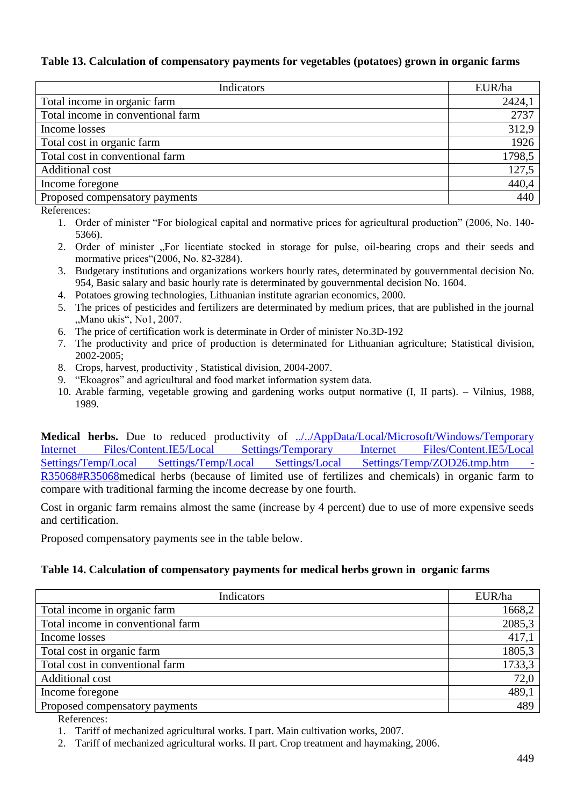#### **Table 13. Calculation of compensatory payments for vegetables (potatoes) grown in organic farms**

| <b>Indicators</b>                 | EUR/ha |
|-----------------------------------|--------|
| Total income in organic farm      | 2424,1 |
| Total income in conventional farm | 2737   |
| Income losses                     | 312,9  |
| Total cost in organic farm        | 1926   |
| Total cost in conventional farm   | 1798,5 |
| Additional cost                   | 127,5  |
| Income foregone                   | 440,4  |
| Proposed compensatory payments    | 440    |

References:

- 1. Order of minister "For biological capital and normative prices for agricultural production" (2006, No. 140- 5366).
- 2. Order of minister "For licentiate stocked in storage for pulse, oil-bearing crops and their seeds and mormative prices"(2006, No. 82-3284).
- 3. Budgetary institutions and organizations workers hourly rates, determinated by gouvernmental decision No. 954, Basic salary and basic hourly rate is determinated by gouvernmental decision No. 1604.
- 4. Potatoes growing technologies, Lithuanian institute agrarian economics, 2000.
- 5. The prices of pesticides and fertilizers are determinated by medium prices, that are published in the journal "Mano ukis", No1, 2007.
- 6. The price of certification work is determinate in Order of minister No.3D-192
- 7. The productivity and price of production is determinated for Lithuanian agriculture; Statistical division, 2002-2005;
- 8. Crops, harvest, productivity , Statistical division, 2004-2007.
- 9. "Ekoagros" and agricultural and food market information system data.
- 10. Arable farming, vegetable growing and gardening works output normative (I, II parts). Vilnius, 1988, 1989.

**Medical herbs.** Due to reduced productivity of [../../AppData/Local/Microsoft/Windows/Temporary](../AppData/Local/Microsoft/Windows/Temporary%20Internet%20Files/AppData/Local/Microsoft/Windows/Temporary%20Internet%20Files/Content.IE5/Local%20Settings/Temporary%20Internet%20Files/Content.IE5/Local%20Settings/Temp/Local%20Settings/Temp/Local%20Settings/Local%20Settings/Temp/ZOD26.tmp.htm#R35068#R35068)  [Internet Files/Content.IE5/Local Settings/Temporary Internet Files/Content.IE5/Local](../AppData/Local/Microsoft/Windows/Temporary%20Internet%20Files/AppData/Local/Microsoft/Windows/Temporary%20Internet%20Files/Content.IE5/Local%20Settings/Temporary%20Internet%20Files/Content.IE5/Local%20Settings/Temp/Local%20Settings/Temp/Local%20Settings/Local%20Settings/Temp/ZOD26.tmp.htm#R35068#R35068)  [Settings/Temp/Local Settings/Temp/Local Settings/Local Settings/Temp/ZOD26.tmp.htm -](../AppData/Local/Microsoft/Windows/Temporary%20Internet%20Files/AppData/Local/Microsoft/Windows/Temporary%20Internet%20Files/Content.IE5/Local%20Settings/Temporary%20Internet%20Files/Content.IE5/Local%20Settings/Temp/Local%20Settings/Temp/Local%20Settings/Local%20Settings/Temp/ZOD26.tmp.htm#R35068#R35068) [R35068#R35068m](../AppData/Local/Microsoft/Windows/Temporary%20Internet%20Files/AppData/Local/Microsoft/Windows/Temporary%20Internet%20Files/Content.IE5/Local%20Settings/Temporary%20Internet%20Files/Content.IE5/Local%20Settings/Temp/Local%20Settings/Temp/Local%20Settings/Local%20Settings/Temp/ZOD26.tmp.htm#R35068#R35068)edical herbs (because of limited use of fertilizes and chemicals) in organic farm to compare with traditional farming the income decrease by one fourth.

Cost in organic farm remains almost the same (increase by 4 percent) due to use of more expensive seeds and certification.

Proposed compensatory payments see in the table below.

#### **Table 14. Calculation of compensatory payments for medical herbs grown in organic farms**

| Indicators                        | EUR/ha |
|-----------------------------------|--------|
| Total income in organic farm      | 1668,2 |
| Total income in conventional farm | 2085,3 |
| Income losses                     | 417,1  |
| Total cost in organic farm        | 1805,3 |
| Total cost in conventional farm   | 1733,3 |
| Additional cost                   | 72,0   |
| Income foregone                   | 489,1  |
| Proposed compensatory payments    | 489    |

References:

1. Tariff of mechanized agricultural works. I part. Main cultivation works, 2007.

2. Tariff of mechanized agricultural works. II part. Crop treatment and haymaking, 2006.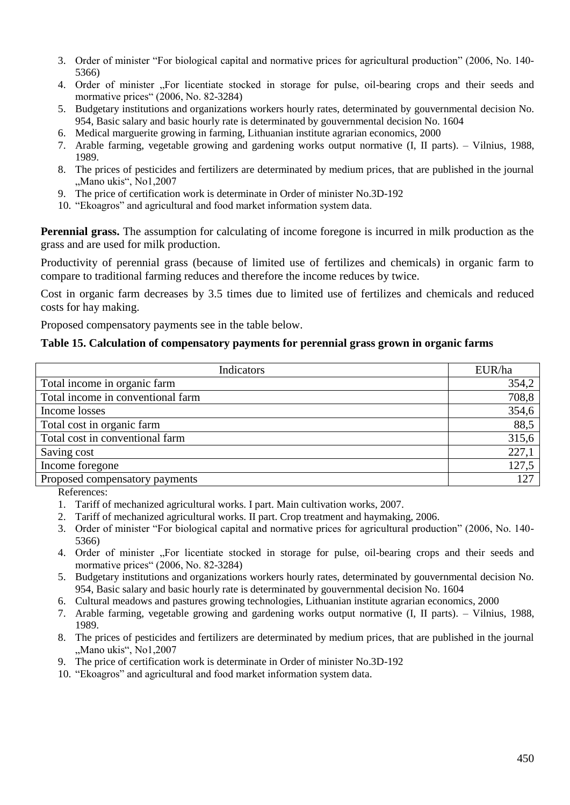- 3. Order of minister "For biological capital and normative prices for agricultural production" (2006, No. 140- 5366)
- 4. Order of minister "For licentiate stocked in storage for pulse, oil-bearing crops and their seeds and mormative prices" (2006, No. 82-3284)
- 5. Budgetary institutions and organizations workers hourly rates, determinated by gouvernmental decision No. 954, Basic salary and basic hourly rate is determinated by gouvernmental decision No. 1604
- 6. Medical marguerite growing in farming, Lithuanian institute agrarian economics, 2000
- 7. Arable farming, vegetable growing and gardening works output normative (I, II parts). Vilnius, 1988, 1989.
- 8. The prices of pesticides and fertilizers are determinated by medium prices, that are published in the journal "Mano ukis", No1,2007
- 9. The price of certification work is determinate in Order of minister No.3D-192
- 10. "Ekoagros" and agricultural and food market information system data.

**Perennial grass.** The assumption for calculating of income foregone is incurred in milk production as the grass and are used for milk production.

Productivity of perennial grass (because of limited use of fertilizes and chemicals) in organic farm to compare to traditional farming reduces and therefore the income reduces by twice.

Cost in organic farm decreases by 3.5 times due to limited use of fertilizes and chemicals and reduced costs for hay making.

Proposed compensatory payments see in the table below.

#### **Table 15. Calculation of compensatory payments for perennial grass grown in organic farms**

| Indicators                        | EUR/ha |
|-----------------------------------|--------|
| Total income in organic farm      | 354,2  |
| Total income in conventional farm | 708,8  |
| Income losses                     | 354,6  |
| Total cost in organic farm        | 88,5   |
| Total cost in conventional farm   | 315,6  |
| Saving cost                       | 227,1  |
| Income foregone                   | 127,5  |
| Proposed compensatory payments    | 127    |

References:

- 1. Tariff of mechanized agricultural works. I part. Main cultivation works, 2007.
- 2. Tariff of mechanized agricultural works. II part. Crop treatment and haymaking, 2006.
- 3. Order of minister "For biological capital and normative prices for agricultural production" (2006, No. 140- 5366)
- 4. Order of minister "For licentiate stocked in storage for pulse, oil-bearing crops and their seeds and mormative prices" (2006, No. 82-3284)
- 5. Budgetary institutions and organizations workers hourly rates, determinated by gouvernmental decision No. 954, Basic salary and basic hourly rate is determinated by gouvernmental decision No. 1604
- 6. Cultural meadows and pastures growing technologies, Lithuanian institute agrarian economics, 2000
- 7. Arable farming, vegetable growing and gardening works output normative (I, II parts). Vilnius, 1988, 1989.
- 8. The prices of pesticides and fertilizers are determinated by medium prices, that are published in the journal "Mano ukis", No1,2007
- 9. The price of certification work is determinate in Order of minister No.3D-192
- 10. "Ekoagros" and agricultural and food market information system data.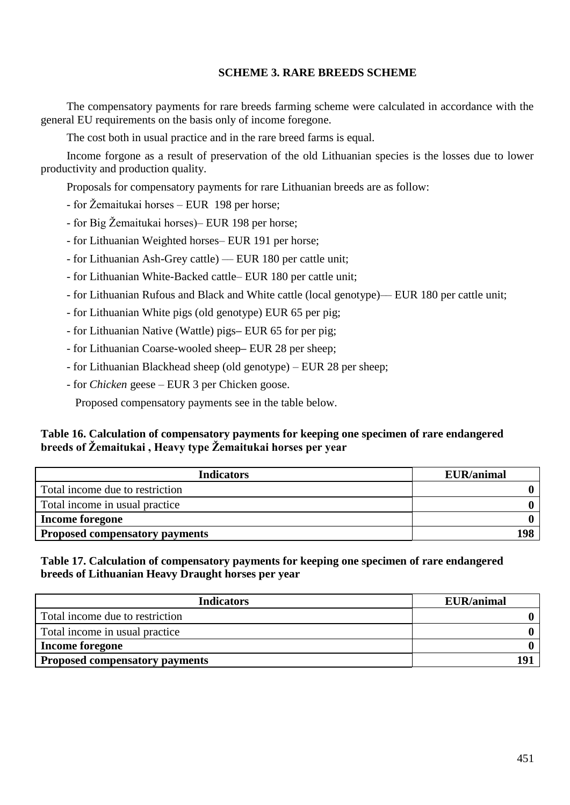### **SCHEME 3. RARE BREEDS SCHEME**

The compensatory payments for rare breeds farming scheme were calculated in accordance with the general EU requirements on the basis only of income foregone.

The cost both in usual practice and in the rare breed farms is equal.

Income forgone as a result of preservation of the old Lithuanian species is the losses due to lower productivity and production quality.

Proposals for compensatory payments for rare Lithuanian breeds are as follow:

- for Žemaitukai horses EUR 198 per horse;
- for Big Žemaitukai horses)– EUR 198 per horse;
- for Lithuanian Weighted horses– EUR 191 per horse;
- for Lithuanian Ash-Grey cattle) –– EUR 180 per cattle unit;
- for Lithuanian White-Backed cattle– EUR 180 per cattle unit;
- for Lithuanian Rufous and Black and White cattle (local genotype)–– EUR 180 per cattle unit;
- for Lithuanian White pigs (old genotype) EUR 65 per pig;
- for Lithuanian Native (Wattle) pigs**–** EUR 65 for per pig;
- for Lithuanian Coarse-wooled sheep**–** EUR 28 per sheep;
- for Lithuanian Blackhead sheep (old genotype) EUR 28 per sheep;
- for *Chicken* geese EUR 3 per Chicken goose.

Proposed compensatory payments see in the table below.

# **Table 16. Calculation of compensatory payments for keeping one specimen of rare endangered breeds of Žemaitukai , Heavy type Žemaitukai horses per year**

| <b>Indicators</b>                     | <b>EUR/animal</b> |
|---------------------------------------|-------------------|
| Total income due to restriction       |                   |
| Total income in usual practice        |                   |
| <b>Income foregone</b>                |                   |
| <b>Proposed compensatory payments</b> | 198               |

**Table 17. Calculation of compensatory payments for keeping one specimen of rare endangered breeds of Lithuanian Heavy Draught horses per year**

| <b>Indicators</b>                     | <b>EUR/animal</b> |
|---------------------------------------|-------------------|
| Total income due to restriction       |                   |
| Total income in usual practice        |                   |
| <b>Income foregone</b>                |                   |
| <b>Proposed compensatory payments</b> |                   |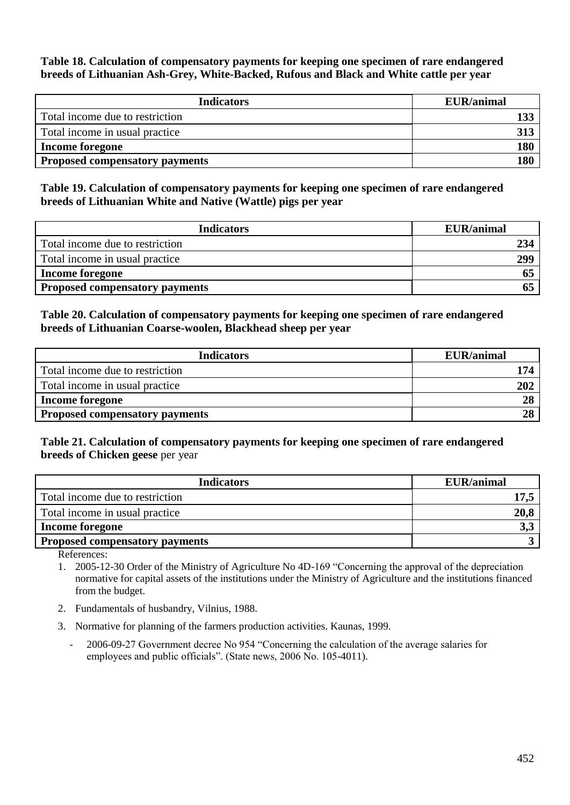**Table 18. Calculation of compensatory payments for keeping one specimen of rare endangered breeds of Lithuanian Ash-Grey, White-Backed, Rufous and Black and White cattle per year**

| <b>Indicators</b>                     | <b>EUR/animal</b> |
|---------------------------------------|-------------------|
| Total income due to restriction       |                   |
| Total income in usual practice        |                   |
| <b>Income foregone</b>                | 180               |
| <b>Proposed compensatory payments</b> | 180               |

**Table 19. Calculation of compensatory payments for keeping one specimen of rare endangered breeds of Lithuanian White and Native (Wattle) pigs per year**

| <b>Indicators</b>                     | <b>EUR/animal</b> |
|---------------------------------------|-------------------|
| Total income due to restriction       | 234               |
| Total income in usual practice        | 299               |
| <b>Income foregone</b>                |                   |
| <b>Proposed compensatory payments</b> |                   |

#### **Table 20. Calculation of compensatory payments for keeping one specimen of rare endangered breeds of Lithuanian Coarse-woolen, Blackhead sheep per year**

| <b>Indicators</b>                     | <b>EUR/animal</b> |
|---------------------------------------|-------------------|
| Total income due to restriction       | 174               |
| Total income in usual practice        | 202               |
| <b>Income foregone</b>                | 28                |
| <b>Proposed compensatory payments</b> | 28                |

# **Table 21. Calculation of compensatory payments for keeping one specimen of rare endangered breeds of Chicken geese** per year

| <b>Indicators</b>                     | <b>EUR/animal</b> |
|---------------------------------------|-------------------|
| Total income due to restriction       |                   |
| Total income in usual practice        | 20,8              |
| <b>Income foregone</b>                | 3,3               |
| <b>Proposed compensatory payments</b> |                   |

References:

- 1. 2005-12-30 Order of the Ministry of Agriculture No 4D-169 "Concerning the approval of the depreciation normative for capital assets of the institutions under the Ministry of Agriculture and the institutions financed from the budget.
- 2. Fundamentals of husbandry, Vilnius, 1988.
- 3. Normative for planning of the farmers production activities. Kaunas, 1999.
	- 2006-09-27 Government decree No 954 "Concerning the calculation of the average salaries for employees and public officials". (State news, 2006 No. 105-4011).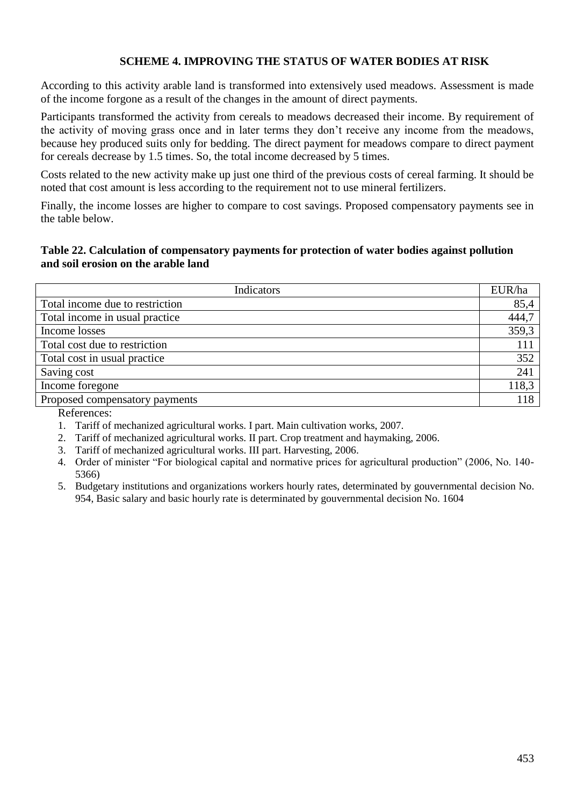# **SCHEME 4. IMPROVING THE STATUS OF WATER BODIES AT RISK**

According to this activity arable land is transformed into extensively used meadows. Assessment is made of the income forgone as a result of the changes in the amount of direct payments.

Participants transformed the activity from cereals to meadows decreased their income. By requirement of the activity of moving grass once and in later terms they don't receive any income from the meadows, because hey produced suits only for bedding. The direct payment for meadows compare to direct payment for cereals decrease by 1.5 times. So, the total income decreased by 5 times.

Costs related to the new activity make up just one third of the previous costs of cereal farming. It should be noted that cost amount is less according to the requirement not to use mineral fertilizers.

Finally, the income losses are higher to compare to cost savings. Proposed compensatory payments see in the table below.

#### **Table 22. Calculation of compensatory payments for protection of water bodies against pollution and soil erosion on the arable land**

| Indicators                      | EUR/ha |
|---------------------------------|--------|
| Total income due to restriction | 85,4   |
| Total income in usual practice  | 444,7  |
| Income losses                   | 359,3  |
| Total cost due to restriction   | 111    |
| Total cost in usual practice    | 352    |
| Saving cost                     | 241    |
| Income foregone                 | 118,3  |
| Proposed compensatory payments  | 118    |

References:

1. Tariff of mechanized agricultural works. I part. Main cultivation works, 2007.

2. Tariff of mechanized agricultural works. II part. Crop treatment and haymaking, 2006.

3. Tariff of mechanized agricultural works. III part. Harvesting, 2006.

4. Order of minister "For biological capital and normative prices for agricultural production" (2006, No. 140- 5366)

5. Budgetary institutions and organizations workers hourly rates, determinated by gouvernmental decision No. 954, Basic salary and basic hourly rate is determinated by gouvernmental decision No. 1604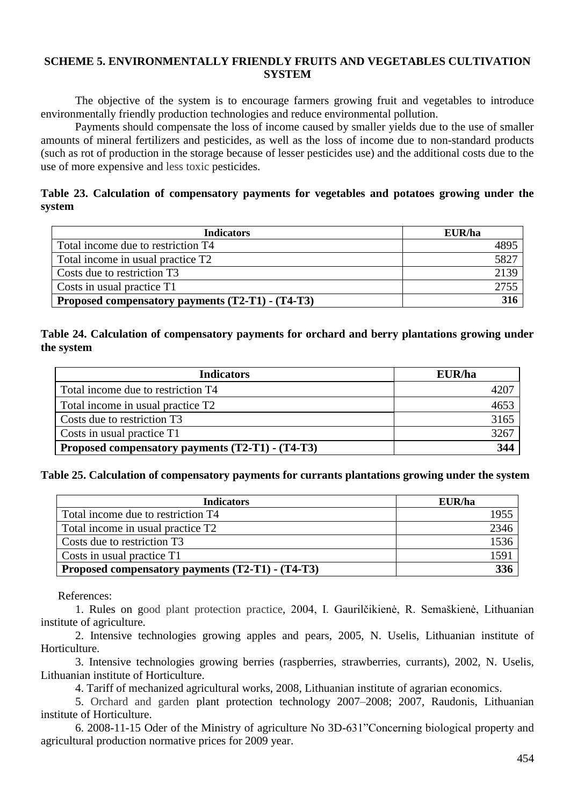#### **SCHEME 5. ENVIRONMENTALLY FRIENDLY FRUITS AND VEGETABLES CULTIVATION SYSTEM**

The objective of the system is to encourage farmers growing fruit and vegetables to introduce environmentally friendly production technologies and reduce environmental pollution.

 Payments should compensate the loss of income caused by smaller yields due to the use of smaller amounts of mineral fertilizers and pesticides, as well as the loss of income due to non-standard products (such as rot of production in the storage because of lesser pesticides use) and the additional costs due to the use of more expensive and less toxic pesticides.

### **Table 23. Calculation of compensatory payments for vegetables and potatoes growing under the system**

| <b>Indicators</b>                                | EUR/ha |
|--------------------------------------------------|--------|
| Total income due to restriction T4               | 4895   |
| Total income in usual practice T2                | 5827   |
| Costs due to restriction T3                      | 2139   |
| Costs in usual practice T1                       | 2755   |
| Proposed compensatory payments (T2-T1) - (T4-T3) | 316    |

### **Table 24. Calculation of compensatory payments for orchard and berry plantations growing under the system**

| <b>Indicators</b>                                | EUR/ha |
|--------------------------------------------------|--------|
| Total income due to restriction T4               |        |
| Total income in usual practice T2                | 4653   |
| Costs due to restriction T3                      | 3165   |
| Costs in usual practice T1                       | 3267   |
| Proposed compensatory payments (T2-T1) - (T4-T3) | 344    |

#### **Table 25. Calculation of compensatory payments for currants plantations growing under the system**

| <b>Indicators</b>                                | EUR/ha |
|--------------------------------------------------|--------|
| Total income due to restriction T4               | 1955   |
| Total income in usual practice T2                | 2346   |
| Costs due to restriction T3                      | 1536   |
| Costs in usual practice T1                       | 1591   |
| Proposed compensatory payments (T2-T1) - (T4-T3) | 336    |

References:

1. Rules on good plant protection practice, 2004, I. Gaurilčikienė, R. Semaškienė, Lithuanian institute of agriculture.

2. Intensive technologies growing apples and pears, 2005, N. Uselis, Lithuanian institute of Horticulture.

3. Intensive technologies growing berries (raspberries, strawberries, currants), 2002, N. Uselis, Lithuanian institute of Horticulture.

4. Tariff of mechanized agricultural works, 2008, Lithuanian institute of agrarian economics.

5. Orchard and garden plant protection technology 2007–2008; 2007, Raudonis, Lithuanian institute of Horticulture.

6. 2008-11-15 Oder of the Ministry of agriculture No 3D-631"Concerning biological property and agricultural production normative prices for 2009 year.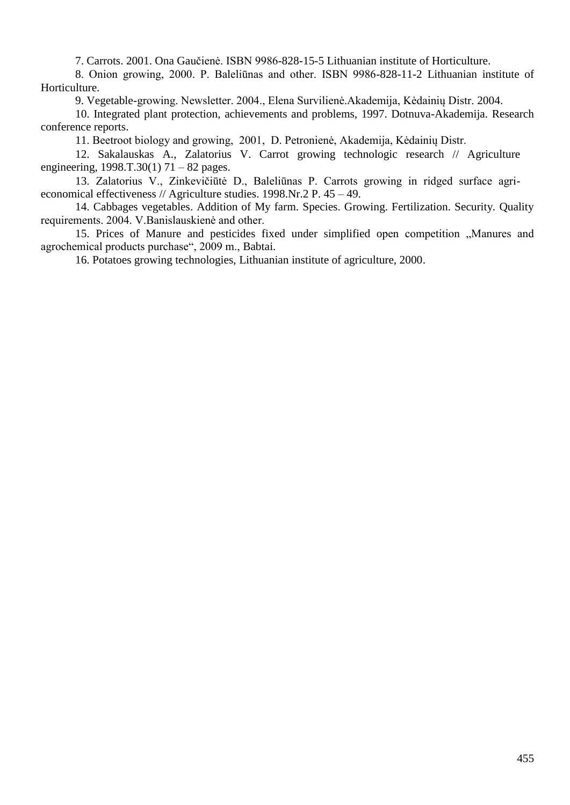7. Carrots. 2001. Ona Gaučienė. ISBN 9986-828-15-5 Lithuanian institute of Horticulture.

8. Onion growing, 2000. P. Baleliūnas and other. ISBN 9986-828-11-2 Lithuanian institute of Horticulture.

9. Vegetable-growing. Newsletter. 2004., Elena Survilienė.Akademija, Kėdainių Distr. 2004.

 10. Integrated plant protection, achievements and problems, 1997. Dotnuva-Akademija. Research conference reports.

11. Beetroot biology and growing, 2001, D. Petronienė, Akademija, Kėdainių Distr.

 12. Sakalauskas A., Zalatorius V. Carrot growing technologic research // Agriculture engineering,  $1998 \text{.} T.30(1) 71 - 82 \text{ pages}.$ 

 13. Zalatorius V., Zinkevičiūtė D., Baleliūnas P. Carrots growing in ridged surface agrieconomical effectiveness // Agriculture studies. 1998.Nr.2 P. 45 – 49.

 14. Cabbages vegetables. Addition of My farm. Species. Growing. Fertilization. Security. Quality requirements. 2004. V.Banislauskienė and other.

15. Prices of Manure and pesticides fixed under simplified open competition "Manures and agrochemical products purchase", 2009 m., Babtai.

16. Potatoes growing technologies, Lithuanian institute of agriculture, 2000.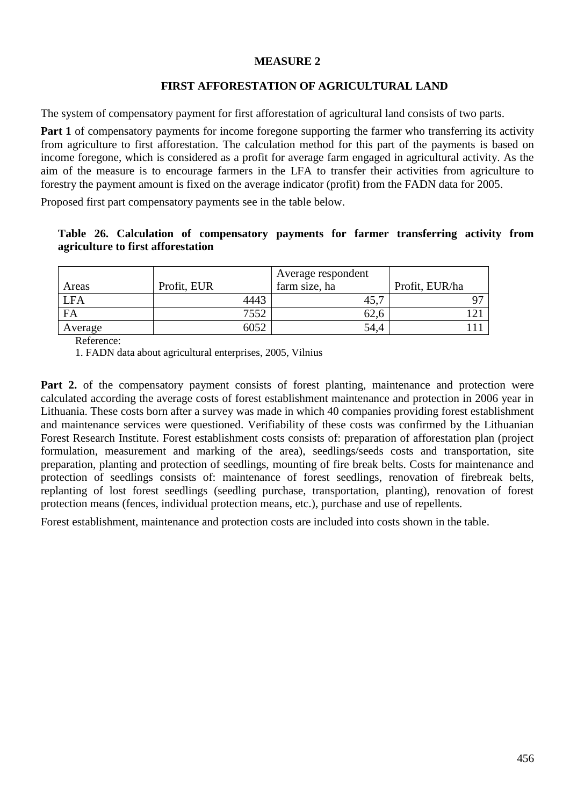#### **MEASURE 2**

# **FIRST AFFORESTATION OF AGRICULTURAL LAND**

The system of compensatory payment for first afforestation of agricultural land consists of two parts.

**Part 1** of compensatory payments for income foregone supporting the farmer who transferring its activity from agriculture to first afforestation. The calculation method for this part of the payments is based on income foregone, which is considered as a profit for average farm engaged in agricultural activity. As the aim of the measure is to encourage farmers in the LFA to transfer their activities from agriculture to forestry the payment amount is fixed on the average indicator (profit) from the FADN data for 2005.

Proposed first part compensatory payments see in the table below.

#### **Table 26. Calculation of compensatory payments for farmer transferring activity from agriculture to first afforestation**

| Areas      | Profit, EUR | Average respondent<br>farm size, ha | Profit, EUR/ha |
|------------|-------------|-------------------------------------|----------------|
| <b>LFA</b> | 4443        | 40.                                 |                |
| FA         | 7552        | 02.C                                |                |
| Average    | 6052        | 54,4                                |                |

Reference:

1. FADN data about agricultural enterprises, 2005, Vilnius

**Part 2.** of the compensatory payment consists of forest planting, maintenance and protection were calculated according the average costs of forest establishment maintenance and protection in 2006 year in Lithuania. These costs born after a survey was made in which 40 companies providing forest establishment and maintenance services were questioned. Verifiability of these costs was confirmed by the Lithuanian Forest Research Institute. Forest establishment costs consists of: preparation of afforestation plan (project formulation, measurement and marking of the area), seedlings/seeds costs and transportation, site preparation, planting and protection of seedlings, mounting of fire break belts. Costs for maintenance and protection of seedlings consists of: maintenance of forest seedlings, renovation of firebreak belts, replanting of lost forest seedlings (seedling purchase, transportation, planting), renovation of forest protection means (fences, individual protection means, etc.), purchase and use of repellents.

Forest establishment, maintenance and protection costs are included into costs shown in the table.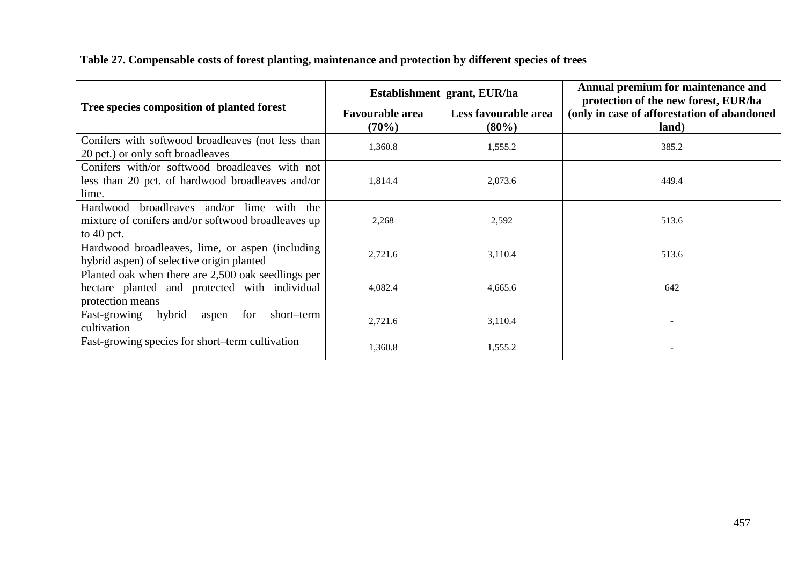|                                                                                                                         | Establishment grant, EUR/ha     |                                  | Annual premium for maintenance and<br>protection of the new forest, EUR/ha |  |
|-------------------------------------------------------------------------------------------------------------------------|---------------------------------|----------------------------------|----------------------------------------------------------------------------|--|
| Tree species composition of planted forest                                                                              | <b>Favourable area</b><br>(70%) | Less favourable area<br>$(80\%)$ | (only in case of afforestation of abandoned<br>land)                       |  |
| Conifers with softwood broadleaves (not less than<br>20 pct.) or only soft broadleaves                                  | 1,360.8                         | 1,555.2                          | 385.2                                                                      |  |
| Conifers with/or softwood broadleaves with not<br>less than 20 pct. of hardwood broadleaves and/or<br>lime.             | 1,814.4                         | 2,073.6                          | 449.4                                                                      |  |
| Hardwood broadleaves and/or lime with the<br>mixture of conifers and/or softwood broadleaves up<br>to $40$ pct.         | 2,268                           | 2,592                            | 513.6                                                                      |  |
| Hardwood broadleaves, lime, or aspen (including<br>hybrid aspen) of selective origin planted                            | 2,721.6                         | 3,110.4                          | 513.6                                                                      |  |
| Planted oak when there are 2,500 oak seedlings per<br>hectare planted and protected with individual<br>protection means | 4,082.4                         | 4,665.6                          | 642                                                                        |  |
| hybrid<br>Fast-growing<br>for<br>short-term<br>aspen<br>cultivation                                                     | 2,721.6                         | 3,110.4                          |                                                                            |  |
| Fast-growing species for short-term cultivation                                                                         | 1,360.8                         | 1,555.2                          |                                                                            |  |

**Table 27. Compensable costs of forest planting, maintenance and protection by different species of trees**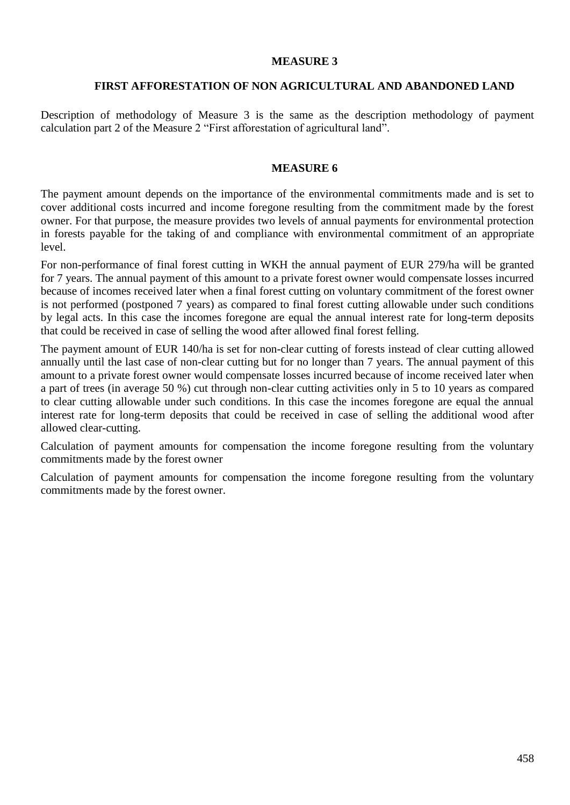#### **MEASURE 3**

#### **FIRST AFFORESTATION OF NON AGRICULTURAL AND ABANDONED LAND**

Description of methodology of Measure 3 is the same as the description methodology of payment calculation part 2 of the Measure 2 "First afforestation of agricultural land".

#### **MEASURE 6**

The payment amount depends on the importance of the environmental commitments made and is set to cover additional costs incurred and income foregone resulting from the commitment made by the forest owner. For that purpose, the measure provides two levels of annual payments for environmental protection in forests payable for the taking of and compliance with environmental commitment of an appropriate level.

For non-performance of final forest cutting in WKH the annual payment of EUR 279/ha will be granted for 7 years. The annual payment of this amount to a private forest owner would compensate losses incurred because of incomes received later when a final forest cutting on voluntary commitment of the forest owner is not performed (postponed 7 years) as compared to final forest cutting allowable under such conditions by legal acts. In this case the incomes foregone are equal the annual interest rate for long-term deposits that could be received in case of selling the wood after allowed final forest felling.

The payment amount of EUR 140/ha is set for non-clear cutting of forests instead of clear cutting allowed annually until the last case of non-clear cutting but for no longer than 7 years. The annual payment of this amount to a private forest owner would compensate losses incurred because of income received later when a part of trees (in average 50 %) cut through non-clear cutting activities only in 5 to 10 years as compared to clear cutting allowable under such conditions. In this case the incomes foregone are equal the annual interest rate for long-term deposits that could be received in case of selling the additional wood after allowed clear-cutting.

Calculation of payment amounts for compensation the income foregone resulting from the voluntary commitments made by the forest owner

Calculation of payment amounts for compensation the income foregone resulting from the voluntary commitments made by the forest owner.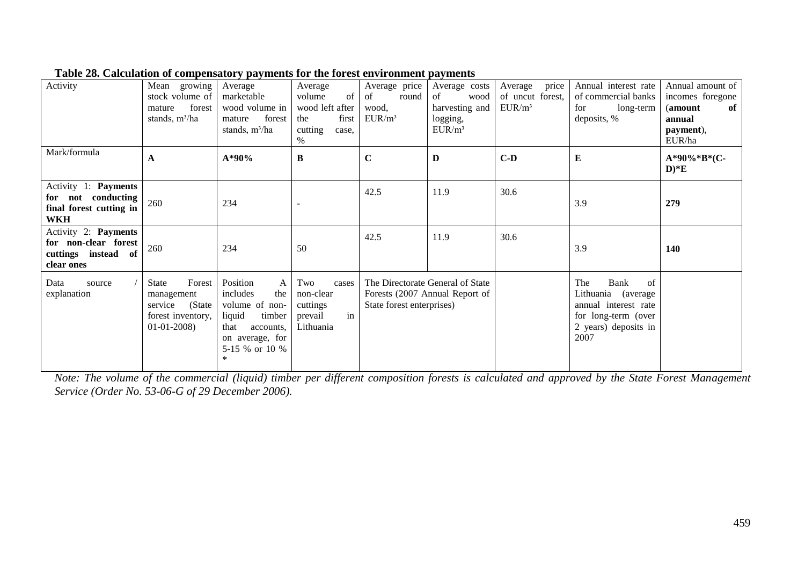| Activity                                                                            | Mean<br>growing<br>stock volume of<br>forest<br>mature<br>stands, m <sup>3</sup> /ha     | Average<br>marketable<br>wood volume in<br>forest<br>mature<br>stands, $m^3/ha$                                                            | Average<br>volume<br>of<br>wood left after<br>first<br>the<br>cutting<br>case.<br>$\%$ | Average price<br>of<br>round<br>wood.<br>$EUR/m^3$            | Average costs<br>of<br>wood<br>harvesting and<br>logging,<br>$EUR/m^3$ | price<br>Average<br>of uncut forest,<br>$EUR/m^3$ | Annual interest rate<br>of commercial banks<br>for<br>long-term<br>deposits, %                                         | Annual amount of<br>incomes foregone<br>(amount<br>of<br>annual<br>payment),<br>EUR/ha |
|-------------------------------------------------------------------------------------|------------------------------------------------------------------------------------------|--------------------------------------------------------------------------------------------------------------------------------------------|----------------------------------------------------------------------------------------|---------------------------------------------------------------|------------------------------------------------------------------------|---------------------------------------------------|------------------------------------------------------------------------------------------------------------------------|----------------------------------------------------------------------------------------|
| Mark/formula                                                                        | A                                                                                        | A*90%                                                                                                                                      | $\bf{B}$                                                                               | $\mathbf C$                                                   | D                                                                      | $C-D$                                             | ${\bf E}$                                                                                                              | A*90%*B*(C-<br>$D)*E$                                                                  |
| Activity 1: Payments<br>for not conducting<br>final forest cutting in<br><b>WKH</b> | 260                                                                                      | 234                                                                                                                                        |                                                                                        | 42.5                                                          | 11.9                                                                   | 30.6                                              | 3.9                                                                                                                    | 279                                                                                    |
| Activity 2: Payments<br>for non-clear forest<br>cuttings instead of<br>clear ones   | 260                                                                                      | 234                                                                                                                                        | 50                                                                                     | 42.5                                                          | 11.9                                                                   | 30.6                                              | 3.9                                                                                                                    | 140                                                                                    |
| Data<br>source<br>explanation                                                       | Forest<br>State<br>management<br>(State)<br>service<br>forest inventory,<br>$01-01-2008$ | Position<br>A<br>includes<br>the<br>volume of non-<br>liquid<br>timber<br>that<br>accounts,<br>on average, for<br>5-15 % or 10 %<br>$\ast$ | Two<br>cases<br>non-clear<br>cuttings<br>in<br>prevail<br>Lithuania                    | The Directorate General of State<br>State forest enterprises) | Forests (2007 Annual Report of                                         |                                                   | The<br>Bank<br>of<br>Lithuania (average<br>annual interest rate<br>for long-term (over<br>2 years) deposits in<br>2007 |                                                                                        |

#### **Table 28. Calculation of compensatory payments for the forest environment payments**

*Note: The volume of the commercial (liquid) timber per different composition forests is calculated and approved by the State Forest Management Service (Order No. 53-06-G of 29 December 2006).*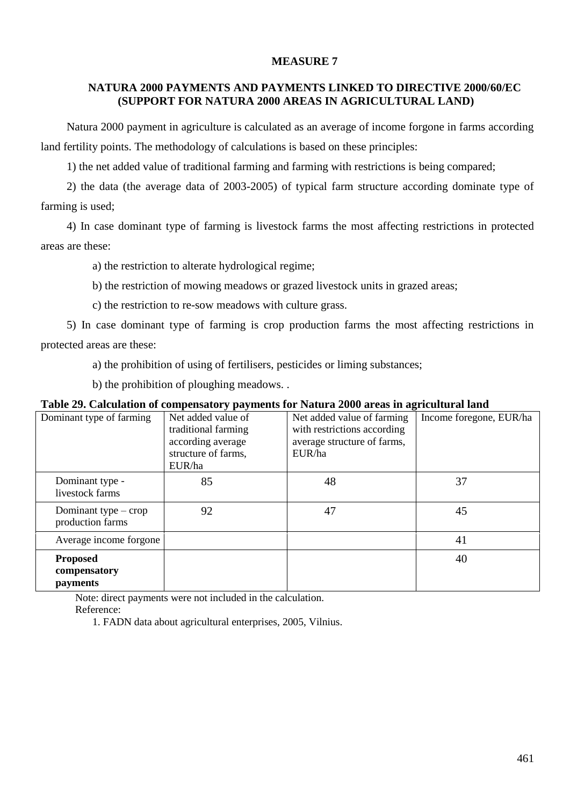#### **MEASURE 7**

# **NATURA 2000 PAYMENTS AND PAYMENTS LINKED TO DIRECTIVE 2000/60/EC (SUPPORT FOR NATURA 2000 AREAS IN AGRICULTURAL LAND)**

Natura 2000 payment in agriculture is calculated as an average of income forgone in farms according land fertility points. The methodology of calculations is based on these principles:

1) the net added value of traditional farming and farming with restrictions is being compared;

2) the data (the average data of 2003-2005) of typical farm structure according dominate type of farming is used;

4) In case dominant type of farming is livestock farms the most affecting restrictions in protected areas are these:

a) the restriction to alterate hydrological regime;

b) the restriction of mowing meadows or grazed livestock units in grazed areas;

c) the restriction to re-sow meadows with culture grass.

5) In case dominant type of farming is crop production farms the most affecting restrictions in protected areas are these:

a) the prohibition of using of fertilisers, pesticides or liming substances;

b) the prohibition of ploughing meadows. .

#### **Table 29. Calculation of compensatory payments for Natura 2000 areas in agricultural land**

| Dominant type of farming                    | Net added value of  | Net added value of farming  | Income foregone, EUR/ha |
|---------------------------------------------|---------------------|-----------------------------|-------------------------|
|                                             | traditional farming | with restrictions according |                         |
|                                             | according average   | average structure of farms, |                         |
|                                             | structure of farms, | EUR/ha                      |                         |
|                                             | EUR/ha              |                             |                         |
| Dominant type -<br>livestock farms          | 85                  | 48                          | 37                      |
| Dominant type $-$ crop<br>production farms  | 92                  | 47                          | 45                      |
| Average income forgone                      |                     |                             | 41                      |
| <b>Proposed</b><br>compensatory<br>payments |                     |                             | 40                      |
|                                             |                     |                             |                         |

Note: direct payments were not included in the calculation.

Reference:

1. FADN data about agricultural enterprises, 2005, Vilnius.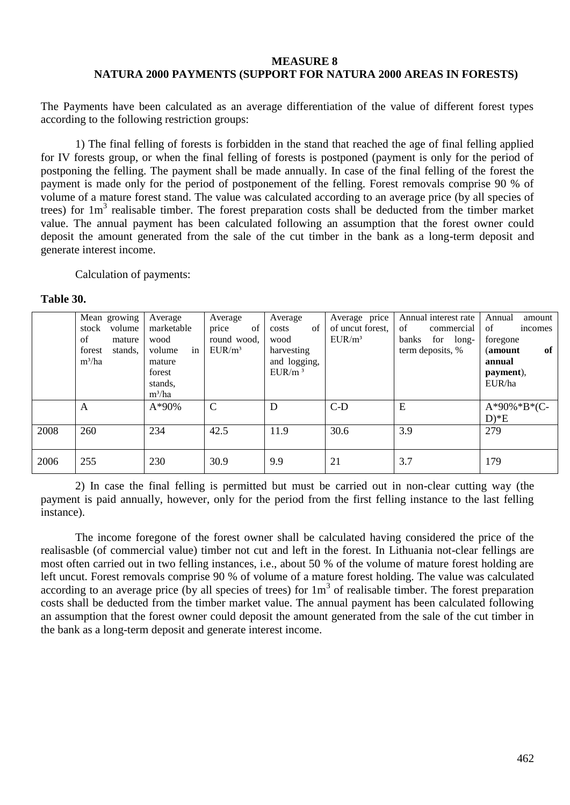#### **MEASURE 8 NATURA 2000 PAYMENTS (SUPPORT FOR NATURA 2000 AREAS IN FORESTS)**

The Payments have been calculated as an average differentiation of the value of different forest types according to the following restriction groups:

1) The final felling of forests is forbidden in the stand that reached the age of final felling applied for IV forests group, or when the final felling of forests is postponed (payment is only for the period of postponing the felling. The payment shall be made annually. In case of the final felling of the forest the payment is made only for the period of postponement of the felling. Forest removals comprise 90 % of volume of a mature forest stand. The value was calculated according to an average price (by all species of trees) for 1m<sup>3</sup> realisable timber. The forest preparation costs shall be deducted from the timber market value. The annual payment has been calculated following an assumption that the forest owner could deposit the amount generated from the sale of the cut timber in the bank as a long-term deposit and generate interest income.

Calculation of payments:

#### **Table 30.**

|      | Mean growing      | Average      | Average       | Average            | Average price       | Annual interest rate | Annual<br>amount |
|------|-------------------|--------------|---------------|--------------------|---------------------|----------------------|------------------|
|      | volume<br>stock   | marketable   | of<br>price   | of<br>costs        | of uncut forest.    | of<br>commercial     | of<br>incomes    |
|      | of<br>mature      | wood         | round wood.   | wood               | $E I \, \rm IR/m^3$ | banks<br>for long-   | foregone         |
|      | stands,<br>forest | in<br>volume | $EUR/m^3$     | harvesting         |                     | term deposits, %     | of<br>(amount    |
|      | $m^3/ha$          | mature       |               | and logging,       |                     |                      | annual           |
|      |                   | forest       |               | EUR/m <sup>3</sup> |                     |                      | payment),        |
|      |                   | stands,      |               |                    |                     |                      | EUR/ha           |
|      |                   | $m^3/ha$     |               |                    |                     |                      |                  |
|      | A                 | $A*90%$      | $\mathcal{C}$ | D                  | $C-D$               | E                    | $A*90\%*B*(C-$   |
|      |                   |              |               |                    |                     |                      | $D)*E$           |
| 2008 | 260               | 234          | 42.5          | 11.9               | 30.6                | 3.9                  | 279              |
|      |                   |              |               |                    |                     |                      |                  |
| 2006 | 255               | 230          | 30.9          | 9.9                | 21                  | 3.7                  | 179              |

2) In case the final felling is permitted but must be carried out in non-clear cutting way (the payment is paid annually, however, only for the period from the first felling instance to the last felling instance).

The income foregone of the forest owner shall be calculated having considered the price of the realisasble (of commercial value) timber not cut and left in the forest. In Lithuania not-clear fellings are most often carried out in two felling instances, i.e., about 50 % of the volume of mature forest holding are left uncut. Forest removals comprise 90 % of volume of a mature forest holding. The value was calculated according to an average price (by all species of trees) for  $1m<sup>3</sup>$  of realisable timber. The forest preparation costs shall be deducted from the timber market value. The annual payment has been calculated following an assumption that the forest owner could deposit the amount generated from the sale of the cut timber in the bank as a long-term deposit and generate interest income.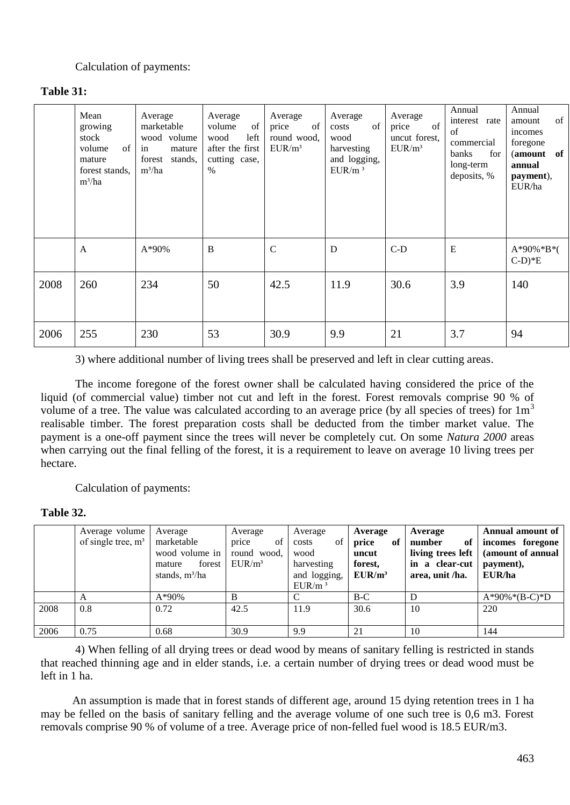# Calculation of payments:

| <b>Table 31:</b> |  |
|------------------|--|
|------------------|--|

|      | Mean<br>growing<br>stock<br>of<br>volume<br>mature<br>forest stands.<br>$m^3/ha$ | Average<br>marketable<br>wood volume<br>in<br>mature<br>stands,<br>forest<br>$m^3/ha$ | Average<br>volume<br>of<br>left<br>wood<br>after the first<br>cutting case,<br>$\%$ | Average<br>of<br>price<br>round wood,<br>$EUR/m^3$ | Average<br>of<br>costs<br>wood<br>harvesting<br>and logging,<br>EUR/m <sup>3</sup> | Average<br>of<br>price<br>uncut forest,<br>$EUR/m^3$ | Annual<br>interest rate<br>of<br>commercial<br>banks<br>for<br>long-term<br>deposits, % | Annual<br>of<br>amount<br>incomes<br>foregone<br>(amount of<br>annual<br>payment),<br>EUR/ha |
|------|----------------------------------------------------------------------------------|---------------------------------------------------------------------------------------|-------------------------------------------------------------------------------------|----------------------------------------------------|------------------------------------------------------------------------------------|------------------------------------------------------|-----------------------------------------------------------------------------------------|----------------------------------------------------------------------------------------------|
|      | $\overline{A}$                                                                   | $A*90%$                                                                               | B                                                                                   | $\mathcal{C}$                                      | D                                                                                  | $C-D$                                                | E                                                                                       | $A*90\%*B*($<br>$(-D)*E$                                                                     |
| 2008 | 260                                                                              | 234                                                                                   | 50                                                                                  | 42.5                                               | 11.9                                                                               | 30.6                                                 | 3.9                                                                                     | 140                                                                                          |
| 2006 | 255                                                                              | 230                                                                                   | 53                                                                                  | 30.9                                               | 9.9                                                                                | 21                                                   | 3.7                                                                                     | 94                                                                                           |

3) where additional number of living trees shall be preserved and left in clear cutting areas.

The income foregone of the forest owner shall be calculated having considered the price of the liquid (of commercial value) timber not cut and left in the forest. Forest removals comprise 90 % of volume of a tree. The value was calculated according to an average price (by all species of trees) for  $1m<sup>3</sup>$ realisable timber. The forest preparation costs shall be deducted from the timber market value. The payment is a one-off payment since the trees will never be completely cut. On some *Natura 2000* areas when carrying out the final felling of the forest, it is a requirement to leave on average 10 living trees per hectare.

Calculation of payments:

#### **Table 32.**

|      | Average volume<br>of single tree, $m3$ | Average<br>marketable<br>wood volume in<br>forest<br>mature<br>stands, $m^3/ha$ | Average<br>of<br>price<br>round wood.<br>$EUR/m^3$ | Average<br>of<br>costs<br>wood<br>harvesting<br>and logging,<br>EUR/m <sup>3</sup> | Average<br>price<br>of<br>uncut<br>forest,<br>EUR/m <sup>3</sup> | Average<br>number<br>of<br>living trees left<br>in a clear-cut<br>area, unit /ha. | Annual amount of<br>incomes foregone<br>(amount of annual<br>payment),<br>EUR/ha |
|------|----------------------------------------|---------------------------------------------------------------------------------|----------------------------------------------------|------------------------------------------------------------------------------------|------------------------------------------------------------------|-----------------------------------------------------------------------------------|----------------------------------------------------------------------------------|
|      | A                                      | $A*90\%$                                                                        | B                                                  |                                                                                    | $B-C$                                                            | D                                                                                 | $A*90\%*(B-C)*D$                                                                 |
| 2008 | 0.8                                    | 0.72                                                                            | 42.5                                               | 11.9                                                                               | 30.6                                                             | 10                                                                                | 220                                                                              |
| 2006 | 0.75                                   | 0.68                                                                            | 30.9                                               | 9.9                                                                                | 21                                                               | 10                                                                                | 144                                                                              |

4) When felling of all drying trees or dead wood by means of sanitary felling is restricted in stands that reached thinning age and in elder stands, i.e. a certain number of drying trees or dead wood must be left in 1 ha.

 An assumption is made that in forest stands of different age, around 15 dying retention trees in 1 ha may be felled on the basis of sanitary felling and the average volume of one such tree is 0,6 m3. Forest removals comprise 90 % of volume of a tree. Average price of non-felled fuel wood is 18.5 EUR/m3.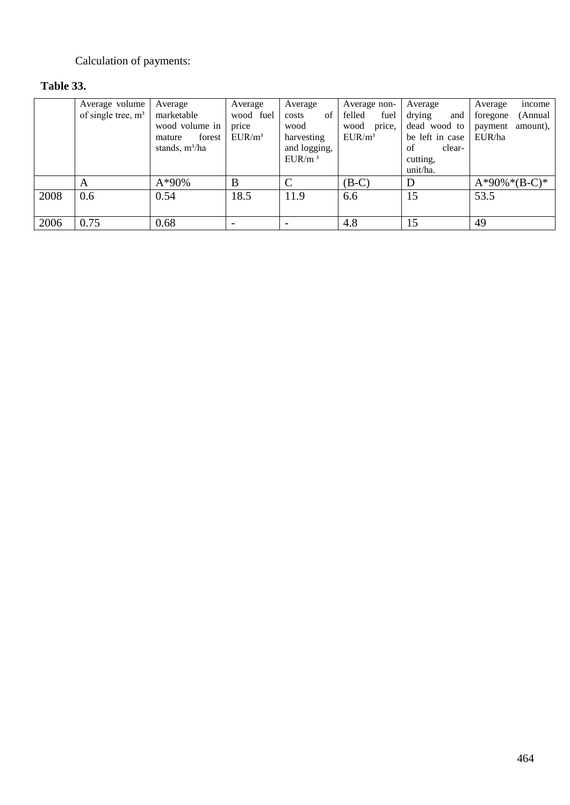# Calculation of payments:

# **Table 33.**

|      | Average volume       | Average          | Average                  | Average            | Average non-   | Average         | income<br>Average   |
|------|----------------------|------------------|--------------------------|--------------------|----------------|-----------------|---------------------|
|      | of single tree, $m3$ | marketable       | wood fuel                | of<br>costs        | felled<br>fuel | drying<br>and   | (Annual<br>foregone |
|      |                      | wood volume in   | price                    | wood               | wood<br>price, | dead wood to    | amount),<br>payment |
|      |                      | forest<br>mature | $EUR/m^3$                | harvesting         | $EUR/m^3$      | be left in case | EUR/ha              |
|      |                      | stands, $m^3/ha$ |                          | and logging,       |                | clear-<br>of    |                     |
|      |                      |                  |                          | $EUR/m^3$          |                | cutting,        |                     |
|      |                      |                  |                          |                    |                | unit/ha.        |                     |
|      | A                    | $A*90%$          | B                        | $\curvearrowright$ | $(B-C)$        | D               | $A*90\%*(B-C)*$     |
| 2008 | 0.6                  | 0.54             | 18.5                     | 11.9               | 6.6            | 15              | 53.5                |
|      |                      |                  |                          |                    |                |                 |                     |
| 2006 | 0.75                 | 0.68             | $\overline{\phantom{0}}$ |                    | 4.8            | 15              | 49                  |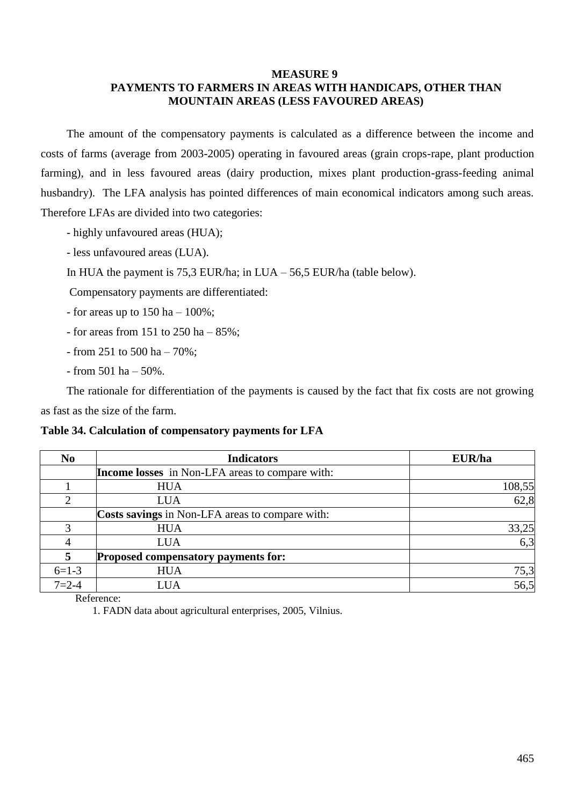#### **MEASURE 9**

# **PAYMENTS TO FARMERS IN AREAS WITH HANDICAPS, OTHER THAN MOUNTAIN AREAS (LESS FAVOURED AREAS)**

The amount of the compensatory payments is calculated as a difference between the income and costs of farms (average from 2003-2005) operating in favoured areas (grain crops-rape, plant production farming), and in less favoured areas (dairy production, mixes plant production-grass-feeding animal husbandry). The LFA analysis has pointed differences of main economical indicators among such areas. Therefore LFAs are divided into two categories:

- highly unfavoured areas (HUA);
- less unfavoured areas (LUA).
- In HUA the payment is  $75.3$  EUR/ha; in LUA  $56.5$  EUR/ha (table below).

Compensatory payments are differentiated:

- for areas up to  $150$  ha  $100\%$ ;
- for areas from 151 to 250 ha 85%;
- from 251 to 500 ha 70%;
- $-$  from 501 ha  $-$  50%.

The rationale for differentiation of the payments is caused by the fact that fix costs are not growing as fast as the size of the farm.

#### **Table 34. Calculation of compensatory payments for LFA**

| N <sub>0</sub> | <b>Indicators</b>                                      | EUR/ha |
|----------------|--------------------------------------------------------|--------|
|                | <b>Income losses</b> in Non-LFA areas to compare with: |        |
|                | <b>HUA</b>                                             | 108,55 |
| ↑              | <b>LUA</b>                                             | 62,8   |
|                | Costs savings in Non-LFA areas to compare with:        |        |
| 3              | <b>HUA</b>                                             | 33,25  |
|                | <b>LUA</b>                                             | 6,3    |
| 5              | Proposed compensatory payments for:                    |        |
| $6=1-3$        | <b>HUA</b>                                             | 75,3   |
| $7 = 2 - 4$    | LUA                                                    | 56,5   |

Reference:

1. FADN data about agricultural enterprises, 2005, Vilnius.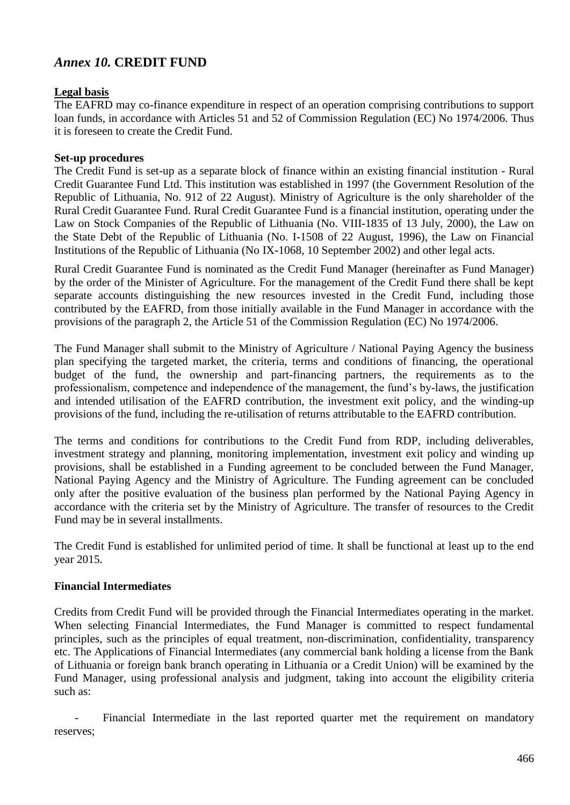# *Annex 10.* **CREDIT FUND**

# **Legal basis**

The EAFRD may co-finance expenditure in respect of an operation comprising contributions to support loan funds, in accordance with Articles 51 and 52 of Commission Regulation (EC) No 1974/2006. Thus it is foreseen to create the Credit Fund.

### **Set-up procedures**

The Credit Fund is set-up as a separate block of finance within an existing financial institution - Rural Credit Guarantee Fund Ltd. This institution was established in 1997 (the Government Resolution of the Republic of Lithuania, No. 912 of 22 August). Ministry of Agriculture is the only shareholder of the Rural Credit Guarantee Fund. Rural Credit Guarantee Fund is a financial institution, operating under the Law on Stock Companies of the Republic of Lithuania (No. VIII-1835 of 13 July, 2000), the Law on the State Debt of the Republic of Lithuania (No. I-1508 of 22 August, 1996), the Law on Financial Institutions of the Republic of Lithuania (No IX-1068, 10 September 2002) and other legal acts.

Rural Credit Guarantee Fund is nominated as the Credit Fund Manager (hereinafter as Fund Manager) by the order of the Minister of Agriculture. For the management of the Credit Fund there shall be kept separate accounts distinguishing the new resources invested in the Credit Fund, including those contributed by the EAFRD, from those initially available in the Fund Manager in accordance with the provisions of the paragraph 2, the Article 51 of the Commission Regulation (EC) No 1974/2006.

The Fund Manager shall submit to the Ministry of Agriculture / National Paying Agency the business plan specifying the targeted market, the criteria, terms and conditions of financing, the operational budget of the fund, the ownership and part-financing partners, the requirements as to the professionalism, competence and independence of the management, the fund's by-laws, the justification and intended utilisation of the EAFRD contribution, the investment exit policy, and the winding-up provisions of the fund, including the re-utilisation of returns attributable to the EAFRD contribution.

The terms and conditions for contributions to the Credit Fund from RDP, including deliverables, investment strategy and planning, monitoring implementation, investment exit policy and winding up provisions, shall be established in a Funding agreement to be concluded between the Fund Manager, National Paying Agency and the Ministry of Agriculture. The Funding agreement can be concluded only after the positive evaluation of the business plan performed by the National Paying Agency in accordance with the criteria set by the Ministry of Agriculture. The transfer of resources to the Credit Fund may be in several installments.

The Credit Fund is established for unlimited period of time. It shall be functional at least up to the end year 2015.

# **Financial Intermediates**

Credits from Credit Fund will be provided through the Financial Intermediates operating in the market. When selecting Financial Intermediates, the Fund Manager is committed to respect fundamental principles, such as the principles of equal treatment, non-discrimination, confidentiality, transparency etc. The Applications of Financial Intermediates (any commercial bank holding a license from the Bank of Lithuania or foreign bank branch operating in Lithuania or a Credit Union) will be examined by the Fund Manager, using professional analysis and judgment, taking into account the eligibility criteria such as:

Financial Intermediate in the last reported quarter met the requirement on mandatory reserves;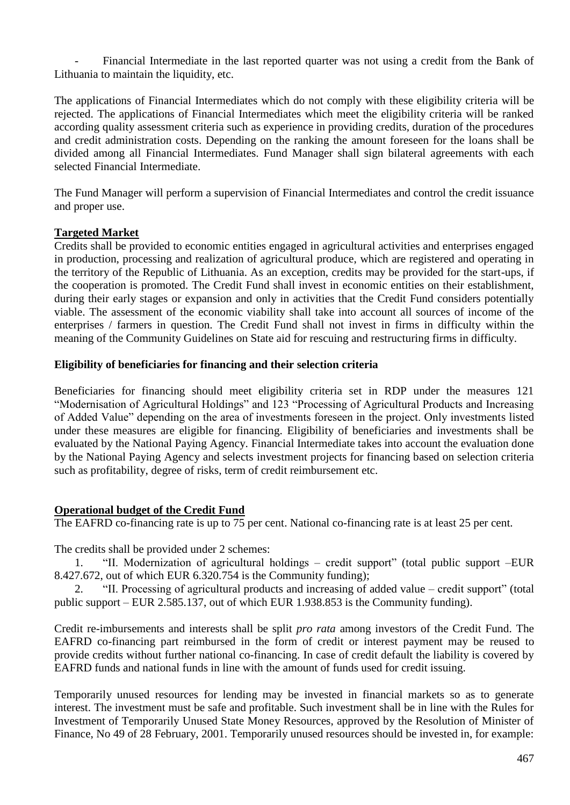Financial Intermediate in the last reported quarter was not using a credit from the Bank of Lithuania to maintain the liquidity, etc.

The applications of Financial Intermediates which do not comply with these eligibility criteria will be rejected. The applications of Financial Intermediates which meet the eligibility criteria will be ranked according quality assessment criteria such as experience in providing credits, duration of the procedures and credit administration costs. Depending on the ranking the amount foreseen for the loans shall be divided among all Financial Intermediates. Fund Manager shall sign bilateral agreements with each selected Financial Intermediate.

The Fund Manager will perform a supervision of Financial Intermediates and control the credit issuance and proper use.

# **Targeted Market**

Credits shall be provided to economic entities engaged in agricultural activities and enterprises engaged in production, processing and realization of agricultural produce, which are registered and operating in the territory of the Republic of Lithuania. As an exception, credits may be provided for the start-ups, if the cooperation is promoted. The Credit Fund shall invest in economic entities on their establishment, during their early stages or expansion and only in activities that the Credit Fund considers potentially viable. The assessment of the economic viability shall take into account all sources of income of the enterprises / farmers in question. The Credit Fund shall not invest in firms in difficulty within the meaning of the Community Guidelines on State aid for rescuing and restructuring firms in difficulty.

#### **Eligibility of beneficiaries for financing and their selection criteria**

Beneficiaries for financing should meet eligibility criteria set in RDP under the measures 121 "Modernisation of Agricultural Holdings" and 123 "Processing of Agricultural Products and Increasing of Added Value" depending on the area of investments foreseen in the project. Only investments listed under these measures are eligible for financing. Eligibility of beneficiaries and investments shall be evaluated by the National Paying Agency. Financial Intermediate takes into account the evaluation done by the National Paying Agency and selects investment projects for financing based on selection criteria such as profitability, degree of risks, term of credit reimbursement etc.

# **Operational budget of the Credit Fund**

The EAFRD co-financing rate is up to 75 per cent. National co-financing rate is at least 25 per cent.

The credits shall be provided under 2 schemes:

1. "II. Modernization of agricultural holdings – credit support" (total public support –EUR 8.427.672, out of which EUR 6.320.754 is the Community funding);

2. "II. Processing of agricultural products and increasing of added value – credit support" (total public support – EUR 2.585.137, out of which EUR 1.938.853 is the Community funding).

Credit re-imbursements and interests shall be split *pro rata* among investors of the Credit Fund. The EAFRD co-financing part reimbursed in the form of credit or interest payment may be reused to provide credits without further national co-financing. In case of credit default the liability is covered by EAFRD funds and national funds in line with the amount of funds used for credit issuing.

Temporarily unused resources for lending may be invested in financial markets so as to generate interest. The investment must be safe and profitable. Such investment shall be in line with the Rules for Investment of Temporarily Unused State Money Resources, approved by the Resolution of Minister of Finance, No 49 of 28 February, 2001. Temporarily unused resources should be invested in, for example: